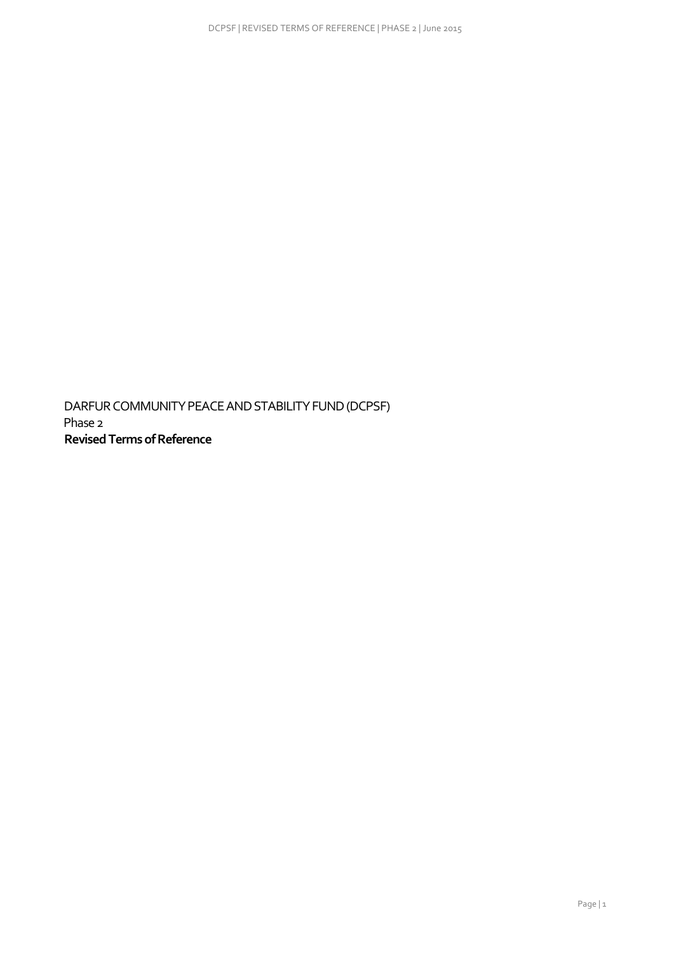DARFUR COMMUNITY PEACE AND STABILITY FUND (DCPSF) Phase 2  **Revised Terms of Reference**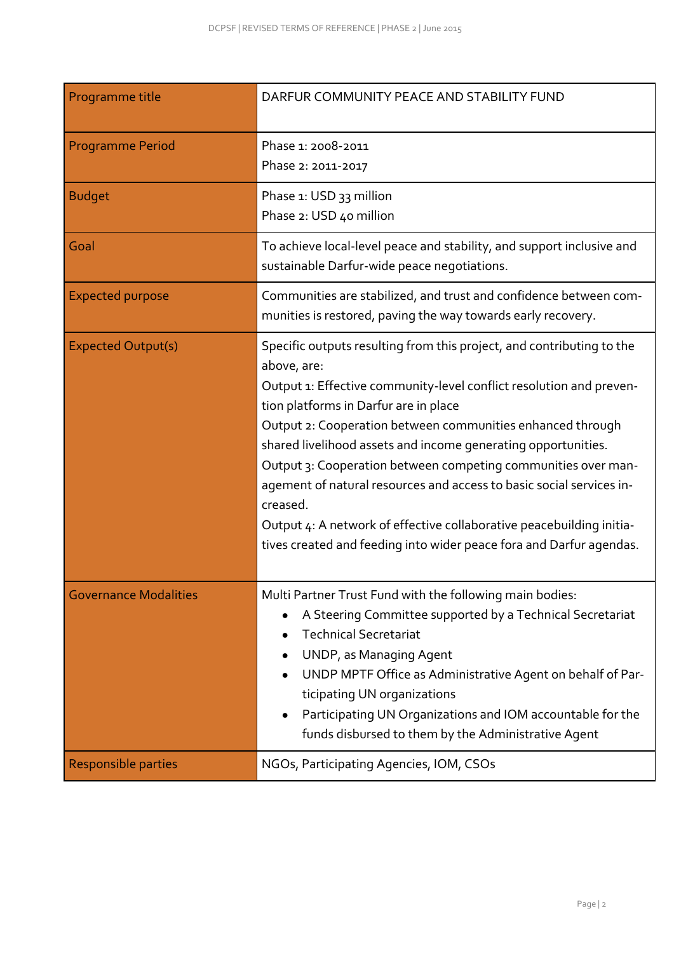| Programme title              | DARFUR COMMUNITY PEACE AND STABILITY FUND                                                                                                                                                                                                                                                                                                                                                                                                                                                                                                                                                                                               |  |  |  |  |  |  |
|------------------------------|-----------------------------------------------------------------------------------------------------------------------------------------------------------------------------------------------------------------------------------------------------------------------------------------------------------------------------------------------------------------------------------------------------------------------------------------------------------------------------------------------------------------------------------------------------------------------------------------------------------------------------------------|--|--|--|--|--|--|
| <b>Programme Period</b>      | Phase 1: 2008-2011<br>Phase 2: 2011-2017                                                                                                                                                                                                                                                                                                                                                                                                                                                                                                                                                                                                |  |  |  |  |  |  |
| <b>Budget</b>                | Phase 1: USD 33 million<br>Phase 2: USD 40 million                                                                                                                                                                                                                                                                                                                                                                                                                                                                                                                                                                                      |  |  |  |  |  |  |
| Goal                         | To achieve local-level peace and stability, and support inclusive and<br>sustainable Darfur-wide peace negotiations.                                                                                                                                                                                                                                                                                                                                                                                                                                                                                                                    |  |  |  |  |  |  |
| <b>Expected purpose</b>      | Communities are stabilized, and trust and confidence between com-<br>munities is restored, paving the way towards early recovery.                                                                                                                                                                                                                                                                                                                                                                                                                                                                                                       |  |  |  |  |  |  |
| <b>Expected Output(s)</b>    | Specific outputs resulting from this project, and contributing to the<br>above, are:<br>Output 1: Effective community-level conflict resolution and preven-<br>tion platforms in Darfur are in place<br>Output 2: Cooperation between communities enhanced through<br>shared livelihood assets and income generating opportunities.<br>Output 3: Cooperation between competing communities over man-<br>agement of natural resources and access to basic social services in-<br>creased.<br>Output 4: A network of effective collaborative peacebuilding initia-<br>tives created and feeding into wider peace fora and Darfur agendas. |  |  |  |  |  |  |
| <b>Governance Modalities</b> | Multi Partner Trust Fund with the following main bodies:<br>A Steering Committee supported by a Technical Secretariat<br><b>Technical Secretariat</b><br>UNDP, as Managing Agent<br>UNDP MPTF Office as Administrative Agent on behalf of Par-<br>ticipating UN organizations<br>Participating UN Organizations and IOM accountable for the<br>funds disbursed to them by the Administrative Agent                                                                                                                                                                                                                                      |  |  |  |  |  |  |
| Responsible parties          | NGOs, Participating Agencies, IOM, CSOs                                                                                                                                                                                                                                                                                                                                                                                                                                                                                                                                                                                                 |  |  |  |  |  |  |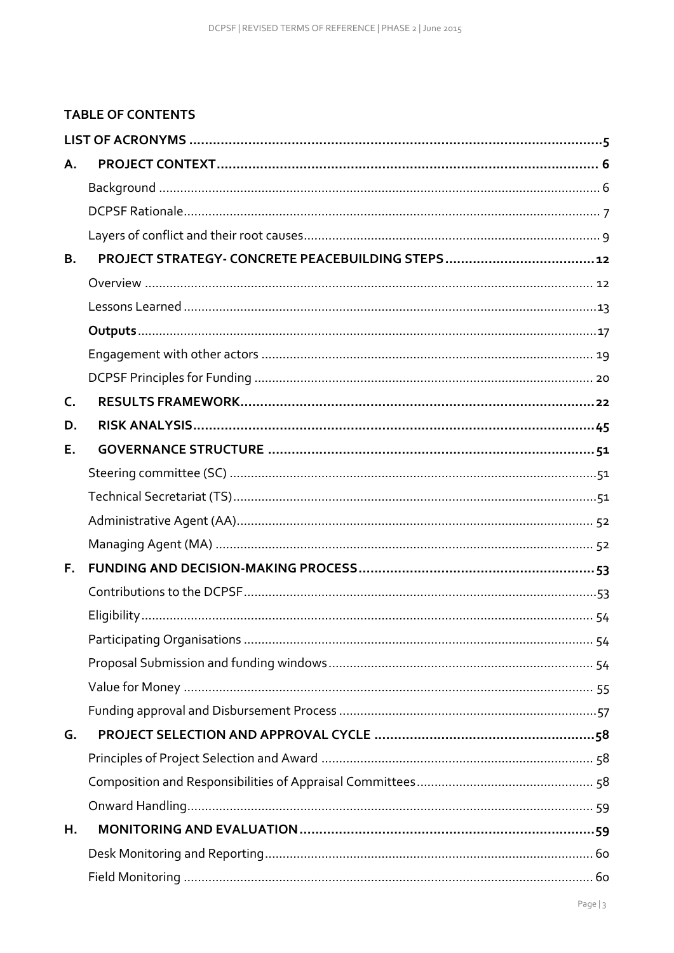# **TABLE OF CONTENTS**

| Α.        |  |
|-----------|--|
|           |  |
|           |  |
|           |  |
| <b>B.</b> |  |
|           |  |
|           |  |
|           |  |
|           |  |
|           |  |
| C.        |  |
| D.        |  |
| Е.        |  |
|           |  |
|           |  |
|           |  |
|           |  |
| Е.        |  |
|           |  |
|           |  |
|           |  |
|           |  |
|           |  |
|           |  |
| G.        |  |
|           |  |
|           |  |
|           |  |
| Η.        |  |
|           |  |
|           |  |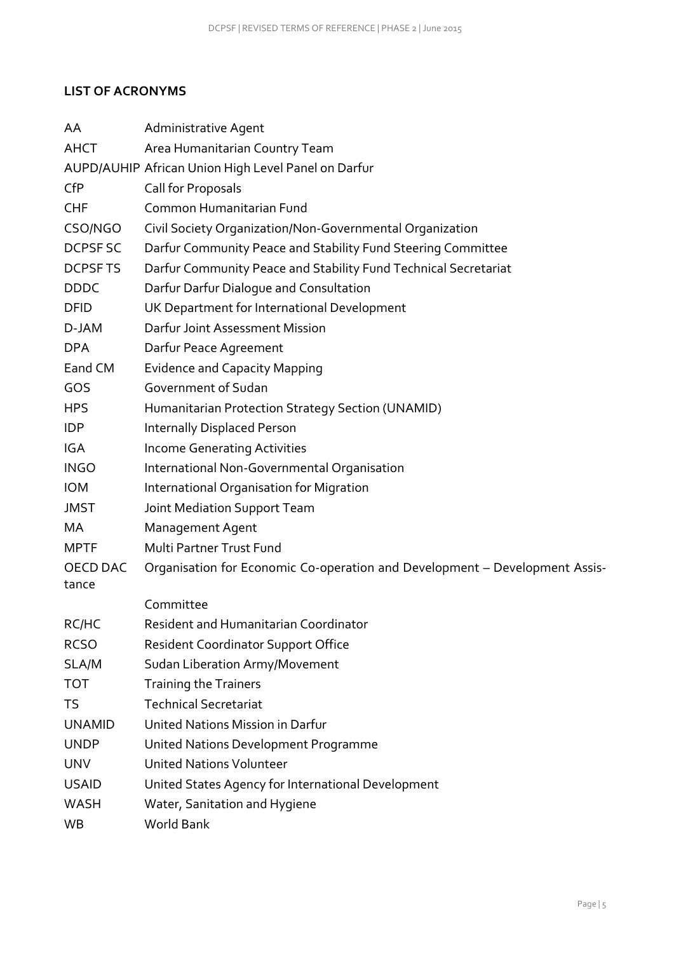### <span id="page-4-0"></span>**LIST OF ACRONYMS**

| AA                | Administrative Agent                                                        |  |  |  |  |  |  |  |
|-------------------|-----------------------------------------------------------------------------|--|--|--|--|--|--|--|
| <b>AHCT</b>       | Area Humanitarian Country Team                                              |  |  |  |  |  |  |  |
|                   | AUPD/AUHIP African Union High Level Panel on Darfur                         |  |  |  |  |  |  |  |
| <b>CfP</b>        | Call for Proposals                                                          |  |  |  |  |  |  |  |
| <b>CHF</b>        | Common Humanitarian Fund                                                    |  |  |  |  |  |  |  |
| CSO/NGO           | Civil Society Organization/Non-Governmental Organization                    |  |  |  |  |  |  |  |
| DCPSF SC          | Darfur Community Peace and Stability Fund Steering Committee                |  |  |  |  |  |  |  |
| DCPSF TS          | Darfur Community Peace and Stability Fund Technical Secretariat             |  |  |  |  |  |  |  |
| <b>DDDC</b>       | Darfur Darfur Dialogue and Consultation                                     |  |  |  |  |  |  |  |
| <b>DFID</b>       | UK Department for International Development                                 |  |  |  |  |  |  |  |
| D-JAM             | Darfur Joint Assessment Mission                                             |  |  |  |  |  |  |  |
| <b>DPA</b>        | Darfur Peace Agreement                                                      |  |  |  |  |  |  |  |
| Eand CM           | <b>Evidence and Capacity Mapping</b>                                        |  |  |  |  |  |  |  |
| GOS               | Government of Sudan                                                         |  |  |  |  |  |  |  |
| <b>HPS</b>        | Humanitarian Protection Strategy Section (UNAMID)                           |  |  |  |  |  |  |  |
| <b>IDP</b>        | <b>Internally Displaced Person</b>                                          |  |  |  |  |  |  |  |
| <b>IGA</b>        | <b>Income Generating Activities</b>                                         |  |  |  |  |  |  |  |
| <b>INGO</b>       | International Non-Governmental Organisation                                 |  |  |  |  |  |  |  |
| <b>IOM</b>        | International Organisation for Migration                                    |  |  |  |  |  |  |  |
| <b>JMST</b>       | Joint Mediation Support Team                                                |  |  |  |  |  |  |  |
| MA                | <b>Management Agent</b>                                                     |  |  |  |  |  |  |  |
| <b>MPTF</b>       | Multi Partner Trust Fund                                                    |  |  |  |  |  |  |  |
| OECD DAC<br>tance | Organisation for Economic Co-operation and Development - Development Assis- |  |  |  |  |  |  |  |
|                   | Committee                                                                   |  |  |  |  |  |  |  |
| RC/HC             | <b>Resident and Humanitarian Coordinator</b>                                |  |  |  |  |  |  |  |
| <b>RCSO</b>       | <b>Resident Coordinator Support Office</b>                                  |  |  |  |  |  |  |  |
| SLA/M             | Sudan Liberation Army/Movement                                              |  |  |  |  |  |  |  |
| <b>TOT</b>        | <b>Training the Trainers</b>                                                |  |  |  |  |  |  |  |
| TS                | <b>Technical Secretariat</b>                                                |  |  |  |  |  |  |  |
| <b>UNAMID</b>     | United Nations Mission in Darfur                                            |  |  |  |  |  |  |  |
| <b>UNDP</b>       | United Nations Development Programme                                        |  |  |  |  |  |  |  |
| <b>UNV</b>        | <b>United Nations Volunteer</b>                                             |  |  |  |  |  |  |  |
| <b>USAID</b>      | United States Agency for International Development                          |  |  |  |  |  |  |  |
| <b>WASH</b>       | Water, Sanitation and Hygiene                                               |  |  |  |  |  |  |  |
| WB                | World Bank                                                                  |  |  |  |  |  |  |  |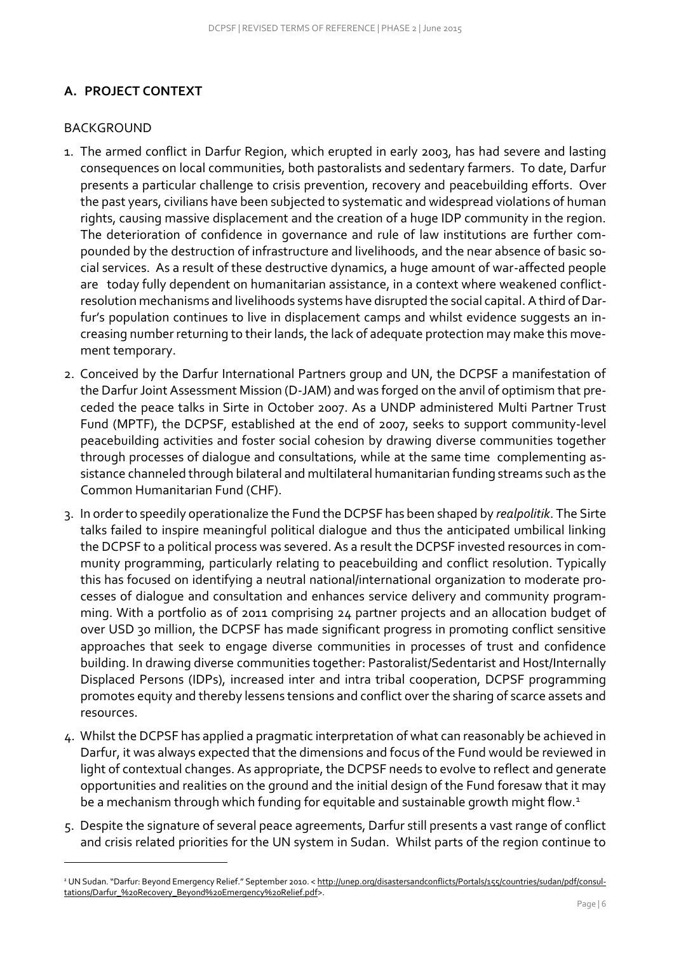# <span id="page-5-0"></span>**A. PROJECT CONTEXT**

# <span id="page-5-1"></span>BACKGROUND

- 1. The armed conflict in Darfur Region, which erupted in early 2003, has had severe and lasting consequences on local communities, both pastoralists and sedentary farmers. To date, Darfur presents a particular challenge to crisis prevention, recovery and peacebuilding efforts. Over the past years, civilians have been subjected to systematic and widespread violations of human rights, causing massive displacement and the creation of a huge IDP community in the region. The deterioration of confidence in governance and rule of law institutions are further compounded by the destruction of infrastructure and livelihoods, and the near absence of basic social services. As a result of these destructive dynamics, a huge amount of war-affected people are today fully dependent on humanitarian assistance, in a context where weakened conflictresolution mechanisms and livelihoods systems have disrupted the social capital. A third of Darfur's population continues to live in displacement camps and whilst evidence suggests an increasing number returning to their lands, the lack of adequate protection may make this movement temporary.
- 2. Conceived by the Darfur International Partners group and UN, the DCPSF a manifestation of the Darfur Joint Assessment Mission (D-JAM) and was forged on the anvil of optimism that preceded the peace talks in Sirte in October 2007. As a UNDP administered Multi Partner Trust Fund (MPTF), the DCPSF, established at the end of 2007, seeks to support community-level peacebuilding activities and foster social cohesion by drawing diverse communities together through processes of dialogue and consultations, while at the same time complementing assistance channeled through bilateral and multilateral humanitarian funding streams such as the Common Humanitarian Fund (CHF).
- 3. In order to speedily operationalize the Fund the DCPSF has been shaped by *realpolitik*. The Sirte talks failed to inspire meaningful political dialogue and thus the anticipated umbilical linking the DCPSF to a political process was severed. As a result the DCPSF invested resources in community programming, particularly relating to peacebuilding and conflict resolution. Typically this has focused on identifying a neutral national/international organization to moderate processes of dialogue and consultation and enhances service delivery and community programming. With a portfolio as of 2011 comprising 24 partner projects and an allocation budget of over USD 30 million, the DCPSF has made significant progress in promoting conflict sensitive approaches that seek to engage diverse communities in processes of trust and confidence building. In drawing diverse communities together: Pastoralist/Sedentarist and Host/Internally Displaced Persons (IDPs), increased inter and intra tribal cooperation, DCPSF programming promotes equity and thereby lessens tensions and conflict over the sharing of scarce assets and resources.
- 4. Whilst the DCPSF has applied a pragmatic interpretation of what can reasonably be achieved in Darfur, it was always expected that the dimensions and focus of the Fund would be reviewed in light of contextual changes. As appropriate, the DCPSF needs to evolve to reflect and generate opportunities and realities on the ground and the initial design of the Fund foresaw that it may be a mechanism through which funding for equitable and sustainable growth might flow.<sup>1</sup>
- 5. Despite the signature of several peace agreements, Darfur still presents a vast range of conflict and crisis related priorities for the UN system in Sudan. Whilst parts of the region continue to

*<sup>1</sup>* UN Sudan. "Darfur: Beyond Emergency Relief." September 2010. < [http://unep.org/disastersandconflicts/Portals/155/countries/sudan/pdf/consul](http://unep.org/disastersandconflicts/Portals/155/countries/sudan/pdf/consultations/Darfur_%20Recovery_Beyond%20Emergency%20Relief.pdf)[tations/Darfur\\_%20Recovery\\_Beyond%20Emergency%20Relief.pdf>](http://unep.org/disastersandconflicts/Portals/155/countries/sudan/pdf/consultations/Darfur_%20Recovery_Beyond%20Emergency%20Relief.pdf).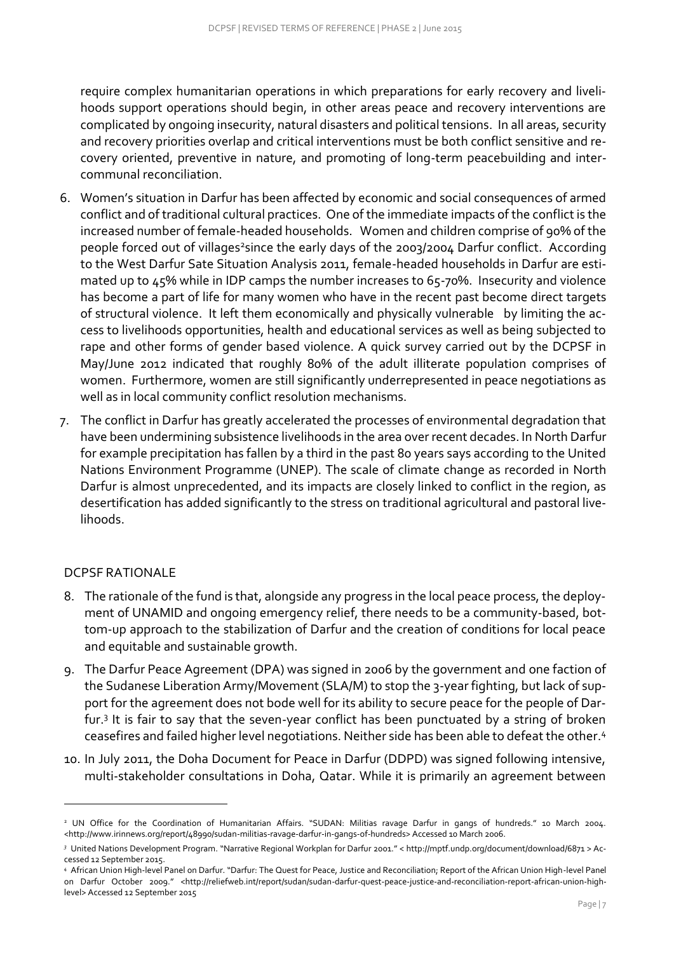require complex humanitarian operations in which preparations for early recovery and livelihoods support operations should begin, in other areas peace and recovery interventions are complicated by ongoing insecurity, natural disasters and political tensions. In all areas, security and recovery priorities overlap and critical interventions must be both conflict sensitive and recovery oriented, preventive in nature, and promoting of long-term peacebuilding and intercommunal reconciliation.

- 6. Women's situation in Darfur has been affected by economic and social consequences of armed conflict and of traditional cultural practices. One of the immediate impacts of the conflict is the increased number of female-headed households. Women and children comprise of 90% of the people forced out of villages<sup>2</sup>since the early days of the 2003/2004 Darfur conflict. According to the West Darfur Sate Situation Analysis 2011, female-headed households in Darfur are estimated up to 45% while in IDP camps the number increases to 65-70%. Insecurity and violence has become a part of life for many women who have in the recent past become direct targets of structural violence. It left them economically and physically vulnerable by limiting the access to livelihoods opportunities, health and educational services as well as being subjected to rape and other forms of gender based violence. A quick survey carried out by the DCPSF in May/June 2012 indicated that roughly 80% of the adult illiterate population comprises of women. Furthermore, women are still significantly underrepresented in peace negotiations as well as in local community conflict resolution mechanisms.
- 7. The conflict in Darfur has greatly accelerated the processes of environmental degradation that have been undermining subsistence livelihoods in the area over recent decades. In North Darfur for example precipitation has fallen by a third in the past 80 years says according to the United Nations Environment Programme (UNEP). The scale of climate change as recorded in North Darfur is almost unprecedented, and its impacts are closely linked to conflict in the region, as desertification has added significantly to the stress on traditional agricultural and pastoral livelihoods.

### <span id="page-6-0"></span>DCPSF RATIONALE

- 8. The rationale of the fund is that, alongside any progress in the local peace process, the deployment of UNAMID and ongoing emergency relief, there needs to be a community-based, bottom-up approach to the stabilization of Darfur and the creation of conditions for local peace and equitable and sustainable growth.
- 9. The Darfur Peace Agreement (DPA) was signed in 2006 by the government and one faction of the Sudanese Liberation Army/Movement (SLA/M) to stop the 3-year fighting, but lack of support for the agreement does not bode well for its ability to secure peace for the people of Darfur.<sup>3</sup> It is fair to say that the seven-year conflict has been punctuated by a string of broken ceasefires and failed higher level negotiations. Neither side has been able to defeat the other.<sup>4</sup>
- 10. In July 2011, the Doha Document for Peace in Darfur (DDPD) was signed following intensive, multi-stakeholder consultations in Doha, Qatar. While it is primarily an agreement between

<sup>&</sup>lt;sup>2</sup> UN Office for the Coordination of Humanitarian Affairs. "SUDAN: Militias ravage Darfur in gangs of hundreds." 10 March 2004. <http://www.irinnews.org/report/48990/sudan-militias-ravage-darfur-in-gangs-of-hundreds> Accessed 10 March 2006.

*<sup>3</sup>* United Nations Development Program. "Narrative Regional Workplan for Darfur 2001." < http://mptf.undp.org/document/download/6871 > Accessed 12 September 2015.

*<sup>4</sup>* African Union High-level Panel on Darfur. "Darfur: The Quest for Peace, Justice and Reconciliation; Report of the African Union High-level Panel on Darfur October 2009." <http://reliefweb.int/report/sudan/sudan-darfur-quest-peace-justice-and-reconciliation-report-african-union-highlevel> Accessed 12 September 2015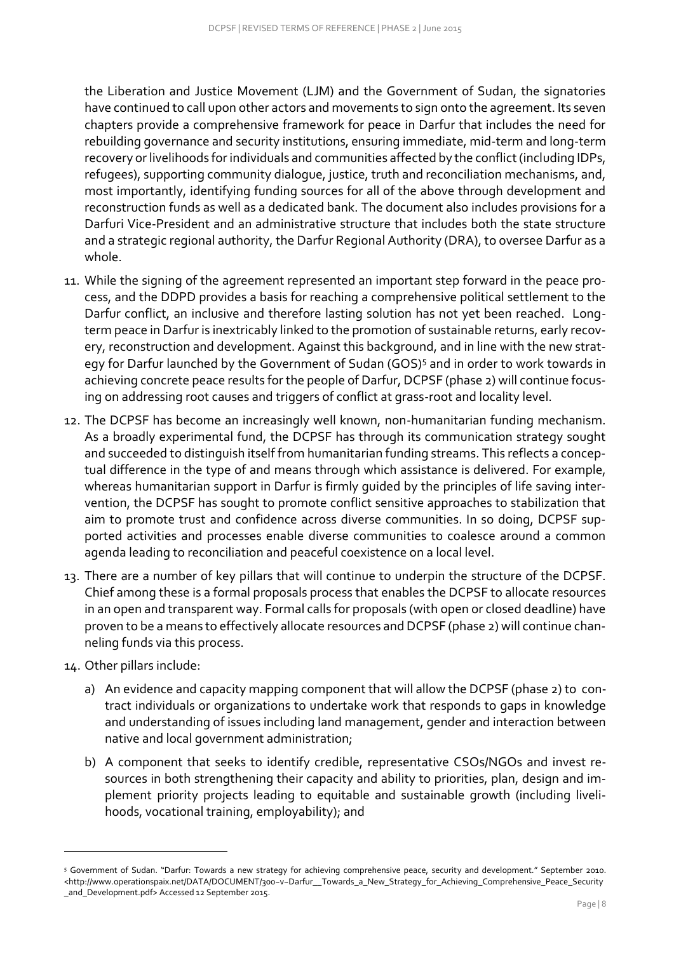the Liberation and Justice Movement (LJM) and the Government of Sudan, the signatories have continued to call upon other actors and movements to sign onto the agreement. Its seven chapters provide a comprehensive framework for peace in Darfur that includes the need for rebuilding governance and security institutions, ensuring immediate, mid-term and long-term recovery or livelihoods for individuals and communities affected by the conflict (including IDPs, refugees), supporting community dialogue, justice, truth and reconciliation mechanisms, and, most importantly, identifying funding sources for all of the above through development and reconstruction funds as well as a dedicated bank. The document also includes provisions for a Darfuri Vice-President and an administrative structure that includes both the state structure and a strategic regional authority, the Darfur Regional Authority (DRA), to oversee Darfur as a whole.

- 11. While the signing of the agreement represented an important step forward in the peace process, and the DDPD provides a basis for reaching a comprehensive political settlement to the Darfur conflict, an inclusive and therefore lasting solution has not yet been reached. Longterm peace in Darfur is inextricably linked to the promotion of sustainable returns, early recovery, reconstruction and development. Against this background, and in line with the new strategy for Darfur launched by the Government of Sudan (GOS)<sup>5</sup> and in order to work towards in achieving concrete peace results for the people of Darfur, DCPSF (phase 2) will continue focusing on addressing root causes and triggers of conflict at grass-root and locality level.
- 12. The DCPSF has become an increasingly well known, non-humanitarian funding mechanism. As a broadly experimental fund, the DCPSF has through its communication strategy sought and succeeded to distinguish itself from humanitarian funding streams. This reflects a conceptual difference in the type of and means through which assistance is delivered. For example, whereas humanitarian support in Darfur is firmly guided by the principles of life saving intervention, the DCPSF has sought to promote conflict sensitive approaches to stabilization that aim to promote trust and confidence across diverse communities. In so doing, DCPSF supported activities and processes enable diverse communities to coalesce around a common agenda leading to reconciliation and peaceful coexistence on a local level.
- 13. There are a number of key pillars that will continue to underpin the structure of the DCPSF. Chief among these is a formal proposals process that enables the DCPSF to allocate resources in an open and transparent way. Formal calls for proposals (with open or closed deadline) have proven to be a means to effectively allocate resources and DCPSF (phase 2) will continue channeling funds via this process.
- 14. Other pillars include:

- a) An evidence and capacity mapping component that will allow the DCPSF (phase 2) to contract individuals or organizations to undertake work that responds to gaps in knowledge and understanding of issues including land management, gender and interaction between native and local government administration;
- b) A component that seeks to identify credible, representative CSOs/NGOs and invest resources in both strengthening their capacity and ability to priorities, plan, design and implement priority projects leading to equitable and sustainable growth (including livelihoods, vocational training, employability); and

<sup>5</sup> Government of Sudan. "Darfur: Towards a new strategy for achieving comprehensive peace, security and development." September 2010. [<http://www.operationspaix.net/DATA/DOCUMENT/300~v~Darfur\\_\\_Towards\\_a\\_New\\_Strategy\\_for\\_Achieving\\_Comprehensive\\_Peace\\_Security](http://www.operationspaix.net/DATA/DOCUMENT/300~v~Darfur__Towards_a_New_Strategy_for_Achieving_Comprehensive_Peace_Security_and_Development.pdf) [\\_and\\_Development.pdf>](http://www.operationspaix.net/DATA/DOCUMENT/300~v~Darfur__Towards_a_New_Strategy_for_Achieving_Comprehensive_Peace_Security_and_Development.pdf) Accessed 12 September 2015.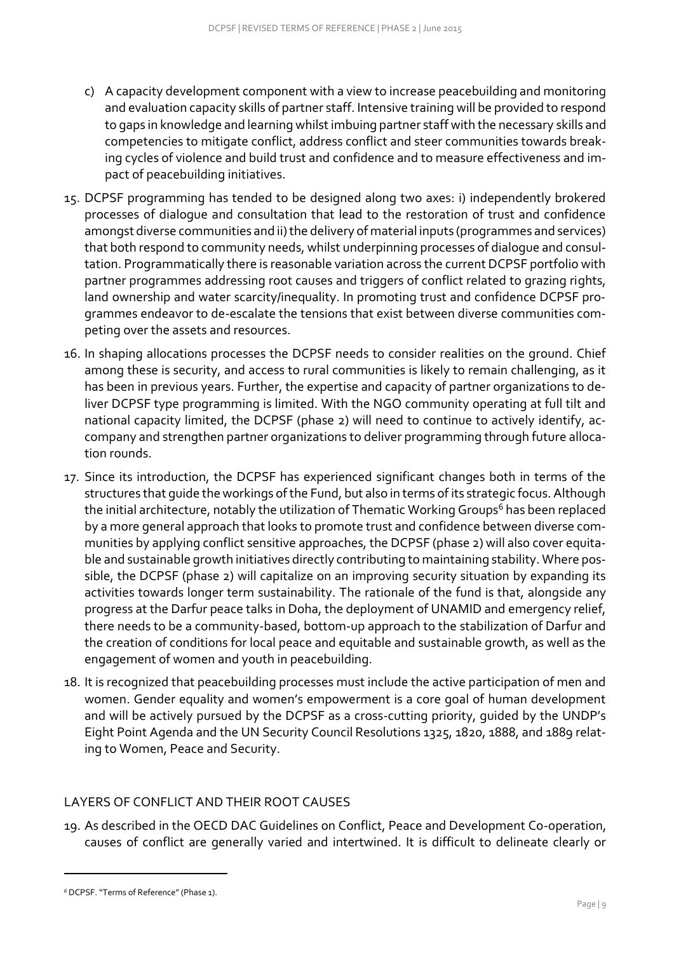- c) A capacity development component with a view to increase peacebuilding and monitoring and evaluation capacity skills of partner staff. Intensive training will be provided to respond to gaps in knowledge and learning whilst imbuing partner staff with the necessary skills and competencies to mitigate conflict, address conflict and steer communities towards breaking cycles of violence and build trust and confidence and to measure effectiveness and impact of peacebuilding initiatives.
- 15. DCPSF programming has tended to be designed along two axes: i) independently brokered processes of dialogue and consultation that lead to the restoration of trust and confidence amongst diverse communities and ii) the delivery of material inputs (programmes and services) that both respond to community needs, whilst underpinning processes of dialogue and consultation. Programmatically there is reasonable variation across the current DCPSF portfolio with partner programmes addressing root causes and triggers of conflict related to grazing rights, land ownership and water scarcity/inequality. In promoting trust and confidence DCPSF programmes endeavor to de-escalate the tensions that exist between diverse communities competing over the assets and resources.
- 16. In shaping allocations processes the DCPSF needs to consider realities on the ground. Chief among these is security, and access to rural communities is likely to remain challenging, as it has been in previous years. Further, the expertise and capacity of partner organizations to deliver DCPSF type programming is limited. With the NGO community operating at full tilt and national capacity limited, the DCPSF (phase 2) will need to continue to actively identify, accompany and strengthen partner organizations to deliver programming through future allocation rounds.
- 17. Since its introduction, the DCPSF has experienced significant changes both in terms of the structures that guide the workings of the Fund, but also in terms of its strategic focus. Although the initial architecture, notably the utilization of Thematic Working Groups<sup>6</sup> has been replaced by a more general approach that looks to promote trust and confidence between diverse communities by applying conflict sensitive approaches, the DCPSF (phase 2) will also cover equitable and sustainable growth initiatives directly contributing to maintaining stability. Where possible, the DCPSF (phase 2) will capitalize on an improving security situation by expanding its activities towards longer term sustainability. The rationale of the fund is that, alongside any progress at the Darfur peace talks in Doha, the deployment of UNAMID and emergency relief, there needs to be a community-based, bottom-up approach to the stabilization of Darfur and the creation of conditions for local peace and equitable and sustainable growth, as well as the engagement of women and youth in peacebuilding.
- 18. It is recognized that peacebuilding processes must include the active participation of men and women. Gender equality and women's empowerment is a core goal of human development and will be actively pursued by the DCPSF as a cross-cutting priority, guided by the UNDP's Eight Point Agenda and the UN Security Council Resolutions 1325, 1820, 1888, and 1889 relating to Women, Peace and Security.

# <span id="page-8-0"></span>LAYERS OF CONFLICT AND THEIR ROOT CAUSES

19. As described in the OECD DAC Guidelines on Conflict, Peace and Development Co-operation, causes of conflict are generally varied and intertwined. It is difficult to delineate clearly or

*<sup>6</sup>* DCPSF. "Terms of Reference" (Phase 1).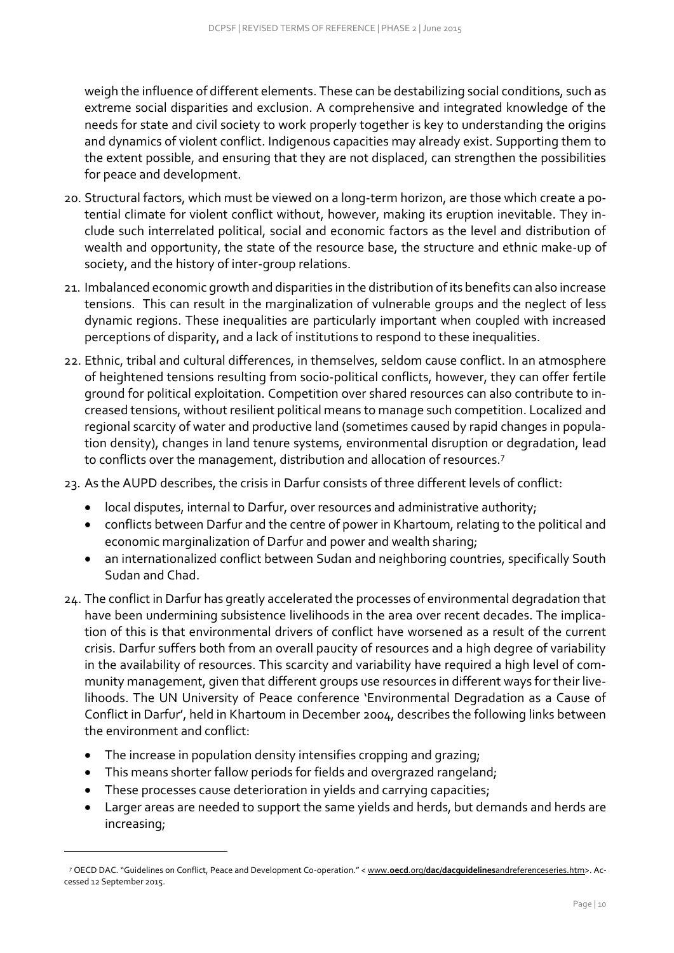weigh the influence of different elements. These can be destabilizing social conditions, such as extreme social disparities and exclusion. A comprehensive and integrated knowledge of the needs for state and civil society to work properly together is key to understanding the origins and dynamics of violent conflict. Indigenous capacities may already exist. Supporting them to the extent possible, and ensuring that they are not displaced, can strengthen the possibilities for peace and development.

- 20. Structural factors, which must be viewed on a long-term horizon, are those which create a potential climate for violent conflict without, however, making its eruption inevitable. They include such interrelated political, social and economic factors as the level and distribution of wealth and opportunity, the state of the resource base, the structure and ethnic make-up of society, and the history of inter-group relations.
- 21. Imbalanced economic growth and disparities in the distribution of its benefits can also increase tensions. This can result in the marginalization of vulnerable groups and the neglect of less dynamic regions. These inequalities are particularly important when coupled with increased perceptions of disparity, and a lack of institutions to respond to these inequalities.
- 22. Ethnic, tribal and cultural differences, in themselves, seldom cause conflict. In an atmosphere of heightened tensions resulting from socio-political conflicts, however, they can offer fertile ground for political exploitation. Competition over shared resources can also contribute to increased tensions, without resilient political means to manage such competition. Localized and regional scarcity of water and productive land (sometimes caused by rapid changes in population density), changes in land tenure systems, environmental disruption or degradation, lead to conflicts over the management, distribution and allocation of resources.<sup>7</sup>
- 23. As the AUPD describes, the crisis in Darfur consists of three different levels of conflict:
	- local disputes, internal to Darfur, over resources and administrative authority;
	- conflicts between Darfur and the centre of power in Khartoum, relating to the political and economic marginalization of Darfur and power and wealth sharing;
	- an internationalized conflict between Sudan and neighboring countries, specifically South Sudan and Chad.
- 24. The conflict in Darfur has greatly accelerated the processes of environmental degradation that have been undermining subsistence livelihoods in the area over recent decades. The implication of this is that environmental drivers of conflict have worsened as a result of the current crisis. Darfur suffers both from an overall paucity of resources and a high degree of variability in the availability of resources. This scarcity and variability have required a high level of community management, given that different groups use resources in different ways for their livelihoods. The UN University of Peace conference 'Environmental Degradation as a Cause of Conflict in Darfur', held in Khartoum in December 2004, describes the following links between the environment and conflict:
	- The increase in population density intensifies cropping and grazing;
	- This means shorter fallow periods for fields and overgrazed rangeland;
	- These processes cause deterioration in yields and carrying capacities;

-

 Larger areas are needed to support the same yields and herds, but demands and herds are increasing;

*<sup>7</sup>* OECD DAC. "Guidelines on Conflict, Peace and Development Co-operation." < www.**oecd**.org/**dac**/**dacguidelines**[andreferenceseries.htm>](http://www.oecd.org/dac/dacguidelinesandreferenceseries.htm). Accessed 12 September 2015.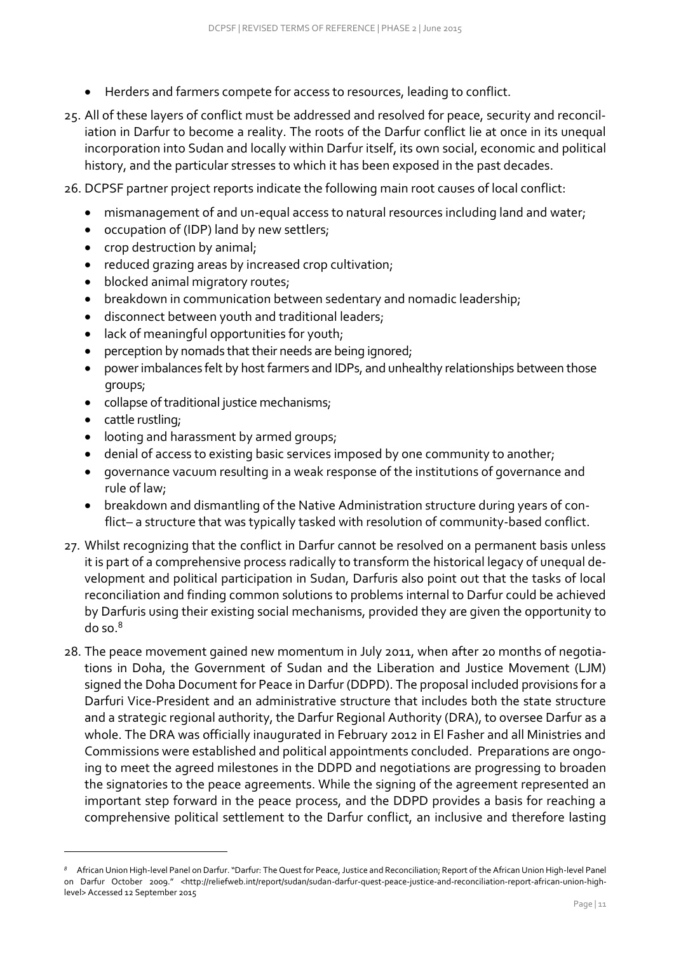- Herders and farmers compete for access to resources, leading to conflict.
- 25. All of these layers of conflict must be addressed and resolved for peace, security and reconciliation in Darfur to become a reality. The roots of the Darfur conflict lie at once in its unequal incorporation into Sudan and locally within Darfur itself, its own social, economic and political history, and the particular stresses to which it has been exposed in the past decades.
- 26. DCPSF partner project reports indicate the following main root causes of local conflict:
	- mismanagement of and un-equal access to natural resources including land and water;
	- occupation of (IDP) land by new settlers;
	- crop destruction by animal;
	- reduced grazing areas by increased crop cultivation;
	- blocked animal migratory routes;
	- breakdown in communication between sedentary and nomadic leadership;
	- $\bullet$  disconnect between youth and traditional leaders;
	- lack of meaningful opportunities for youth;
	- perception by nomads that their needs are being ignored;
	- power imbalances felt by host farmers and IDPs, and unhealthy relationships between those groups;
	- collapse of traditional justice mechanisms;
	- cattle rustling;

- looting and harassment by armed groups;
- denial of access to existing basic services imposed by one community to another;
- governance vacuum resulting in a weak response of the institutions of governance and rule of law;
- breakdown and dismantling of the Native Administration structure during years of conflict– a structure that was typically tasked with resolution of community-based conflict.
- 27. Whilst recognizing that the conflict in Darfur cannot be resolved on a permanent basis unless it is part of a comprehensive process radically to transform the historical legacy of unequal development and political participation in Sudan, Darfuris also point out that the tasks of local reconciliation and finding common solutions to problems internal to Darfur could be achieved by Darfuris using their existing social mechanisms, provided they are given the opportunity to do so.<sup>8</sup>
- 28. The peace movement gained new momentum in July 2011, when after 20 months of negotiations in Doha, the Government of Sudan and the Liberation and Justice Movement (LJM) signed the Doha Document for Peace in Darfur (DDPD). The proposal included provisions for a Darfuri Vice-President and an administrative structure that includes both the state structure and a strategic regional authority, the Darfur Regional Authority (DRA), to oversee Darfur as a whole. The DRA was officially inaugurated in February 2012 in El Fasher and all Ministries and Commissions were established and political appointments concluded. Preparations are ongoing to meet the agreed milestones in the DDPD and negotiations are progressing to broaden the signatories to the peace agreements. While the signing of the agreement represented an important step forward in the peace process, and the DDPD provides a basis for reaching a comprehensive political settlement to the Darfur conflict, an inclusive and therefore lasting

*<sup>8</sup>* African Union High-level Panel on Darfur. "Darfur: The Quest for Peace, Justice and Reconciliation; Report of the African Union High-level Panel on Darfur October 2009." <http://reliefweb.int/report/sudan/sudan-darfur-quest-peace-justice-and-reconciliation-report-african-union-highlevel> Accessed 12 September 2015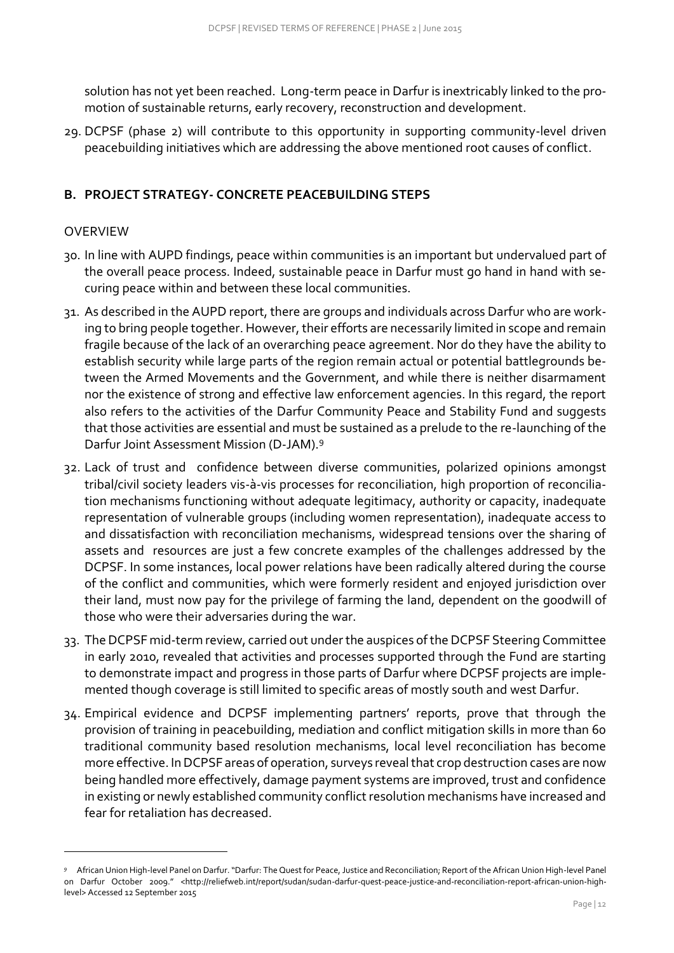solution has not yet been reached. Long-term peace in Darfur is inextricably linked to the promotion of sustainable returns, early recovery, reconstruction and development.

29. DCPSF (phase 2) will contribute to this opportunity in supporting community-level driven peacebuilding initiatives which are addressing the above mentioned root causes of conflict.

## <span id="page-11-0"></span>**B. PROJECT STRATEGY- CONCRETE PEACEBUILDING STEPS**

#### <span id="page-11-1"></span>OVERVIEW

- 30. In line with AUPD findings, peace within communities is an important but undervalued part of the overall peace process. Indeed, sustainable peace in Darfur must go hand in hand with securing peace within and between these local communities.
- 31. As described in the AUPD report, there are groups and individuals across Darfur who are working to bring people together. However, their efforts are necessarily limited in scope and remain fragile because of the lack of an overarching peace agreement. Nor do they have the ability to establish security while large parts of the region remain actual or potential battlegrounds between the Armed Movements and the Government, and while there is neither disarmament nor the existence of strong and effective law enforcement agencies. In this regard, the report also refers to the activities of the Darfur Community Peace and Stability Fund and suggests that those activities are essential and must be sustained as a prelude to the re-launching of the Darfur Joint Assessment Mission (D‐JAM).<sup>9</sup>
- 32. Lack of trust and confidence between diverse communities, polarized opinions amongst tribal/civil society leaders vis-à-vis processes for reconciliation, high proportion of reconciliation mechanisms functioning without adequate legitimacy, authority or capacity, inadequate representation of vulnerable groups (including women representation), inadequate access to and dissatisfaction with reconciliation mechanisms, widespread tensions over the sharing of assets and resources are just a few concrete examples of the challenges addressed by the DCPSF. In some instances, local power relations have been radically altered during the course of the conflict and communities, which were formerly resident and enjoyed jurisdiction over their land, must now pay for the privilege of farming the land, dependent on the goodwill of those who were their adversaries during the war.
- 33. The DCPSF mid-term review, carried out under the auspices of the DCPSF Steering Committee in early 2010, revealed that activities and processes supported through the Fund are starting to demonstrate impact and progress in those parts of Darfur where DCPSF projects are implemented though coverage is still limited to specific areas of mostly south and west Darfur.
- 34. Empirical evidence and DCPSF implementing partners' reports, prove that through the provision of training in peacebuilding, mediation and conflict mitigation skills in more than 60 traditional community based resolution mechanisms, local level reconciliation has become more effective. In DCPSF areas of operation, surveys reveal that crop destruction cases are now being handled more effectively, damage payment systems are improved, trust and confidence in existing or newly established community conflict resolution mechanisms have increased and fear for retaliation has decreased.

*<sup>9</sup>* African Union High-level Panel on Darfur. "Darfur: The Quest for Peace, Justice and Reconciliation; Report of the African Union High-level Panel on Darfur October 2009." <http://reliefweb.int/report/sudan/sudan-darfur-quest-peace-justice-and-reconciliation-report-african-union-highlevel> Accessed 12 September 2015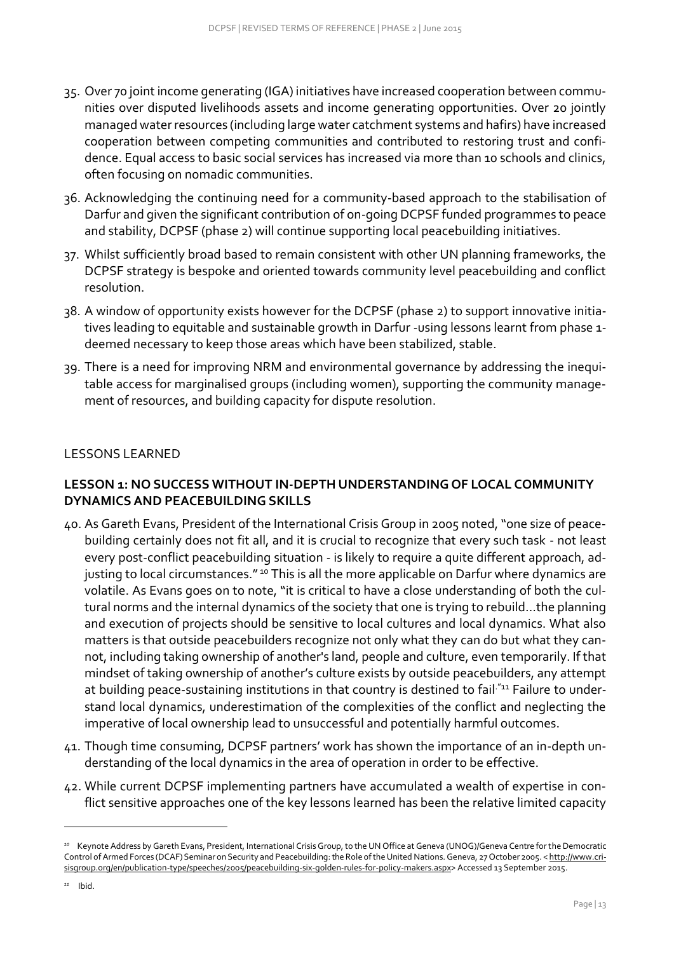- 35. Over 70 joint income generating (IGA) initiatives have increased cooperation between communities over disputed livelihoods assets and income generating opportunities. Over 20 jointly managed water resources (including large water catchment systems and hafirs) have increased cooperation between competing communities and contributed to restoring trust and confidence. Equal access to basic social services has increased via more than 10 schools and clinics, often focusing on nomadic communities.
- 36. Acknowledging the continuing need for a community-based approach to the stabilisation of Darfur and given the significant contribution of on-going DCPSF funded programmes to peace and stability, DCPSF (phase 2) will continue supporting local peacebuilding initiatives.
- 37. Whilst sufficiently broad based to remain consistent with other UN planning frameworks, the DCPSF strategy is bespoke and oriented towards community level peacebuilding and conflict resolution.
- 38. A window of opportunity exists however for the DCPSF (phase 2) to support innovative initiatives leading to equitable and sustainable growth in Darfur -using lessons learnt from phase 1 deemed necessary to keep those areas which have been stabilized, stable.
- 39. There is a need for improving NRM and environmental governance by addressing the inequitable access for marginalised groups (including women), supporting the community management of resources, and building capacity for dispute resolution.

#### <span id="page-12-0"></span>LESSONS LEARNED

# **LESSON 1: NO SUCCESS WITHOUT IN-DEPTH UNDERSTANDING OF LOCAL COMMUNITY DYNAMICS AND PEACEBUILDING SKILLS**

- 40. As Gareth Evans, President of the International Crisis Group in 2005 noted, "one size of peace‐ building certainly does not fit all, and it is crucial to recognize that every such task - not least every post-conflict peacebuilding situation - is likely to require a quite different approach, adjusting to local circumstances." <sup>10</sup> This is all the more applicable on Darfur where dynamics are volatile. As Evans goes on to note, "it is critical to have a close understanding of both the cul‐ tural norms and the internal dynamics of the society that one is trying to rebuild…the planning and execution of projects should be sensitive to local cultures and local dynamics. What also matters is that outside peacebuilders recognize not only what they can do but what they cannot, including taking ownership of another's land, people and culture, even temporarily. If that mindset of taking ownership of another's culture exists by outside peacebuilders, any attempt at building peace-sustaining institutions in that country is destined to fail.<sup>"11</sup> Failure to understand local dynamics, underestimation of the complexities of the conflict and neglecting the imperative of local ownership lead to unsuccessful and potentially harmful outcomes.
- 41. Though time consuming, DCPSF partners' work has shown the importance of an in-depth understanding of the local dynamics in the area of operation in order to be effective.
- 42. While current DCPSF implementing partners have accumulated a wealth of expertise in conflict sensitive approaches one of the key lessons learned has been the relative limited capacity

*<sup>10</sup>* Keynote Address by Gareth Evans, President, International Crisis Group, to the UN Office at Geneva (UNOG)/Geneva Centre for the Democratic Control of Armed Forces (DCAF) Seminar on Security and Peacebuilding: the Role of the United Nations. Geneva, 27 October 2005. < [http://www.cri](http://www.crisisgroup.org/en/publication-type/speeches/2005/peacebuilding-six-golden-rules-for-policy-makers.aspx)[sisgroup.org/en/publication-type/speeches/2005/peacebuilding-six-golden-rules-for-policy-makers.aspx>](http://www.crisisgroup.org/en/publication-type/speeches/2005/peacebuilding-six-golden-rules-for-policy-makers.aspx) Accessed 13 September 2015.

*<sup>11</sup>* Ibid.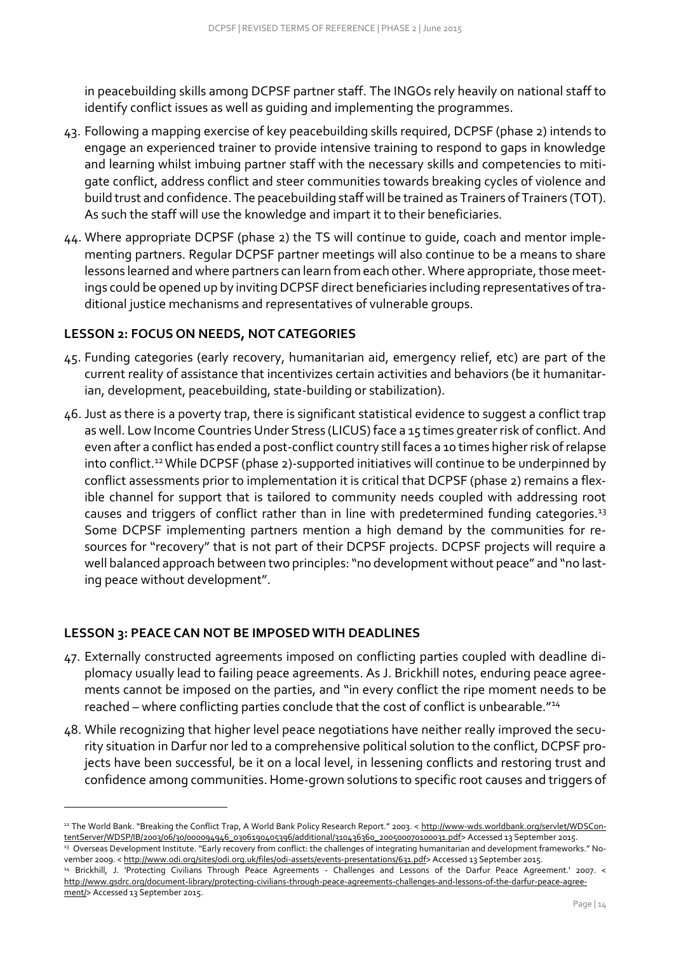in peacebuilding skills among DCPSF partner staff. The INGOs rely heavily on national staff to identify conflict issues as well as guiding and implementing the programmes.

- 43. Following a mapping exercise of key peacebuilding skills required, DCPSF (phase 2) intends to engage an experienced trainer to provide intensive training to respond to gaps in knowledge and learning whilst imbuing partner staff with the necessary skills and competencies to mitigate conflict, address conflict and steer communities towards breaking cycles of violence and build trust and confidence. The peacebuilding staff will be trained as Trainers of Trainers (TOT). As such the staff will use the knowledge and impart it to their beneficiaries.
- 44. Where appropriate DCPSF (phase 2) the TS will continue to guide, coach and mentor implementing partners. Regular DCPSF partner meetings will also continue to be a means to share lessons learned and where partners can learn from each other. Where appropriate, those meetings could be opened up by inviting DCPSF direct beneficiaries including representatives of traditional justice mechanisms and representatives of vulnerable groups.

# **LESSON 2: FOCUS ON NEEDS, NOT CATEGORIES**

- 45. Funding categories (early recovery, humanitarian aid, emergency relief, etc) are part of the current reality of assistance that incentivizes certain activities and behaviors (be it humanitarian, development, peacebuilding, state-building or stabilization).
- 46. Just as there is a poverty trap, there is significant statistical evidence to suggest a conflict trap as well. Low Income Countries Under Stress (LICUS) face a 15 times greater risk of conflict. And even after a conflict has ended a post-conflict country still faces a 10 times higher risk of relapse into conflict.<sup>12</sup> While DCPSF (phase 2)-supported initiatives will continue to be underpinned by conflict assessments prior to implementation it is critical that DCPSF (phase 2) remains a flexible channel for support that is tailored to community needs coupled with addressing root causes and triggers of conflict rather than in line with predetermined funding categories.<sup>13</sup> Some DCPSF implementing partners mention a high demand by the communities for resources for "recovery" that is not part of their DCPSF projects. DCPSF projects will require a well balanced approach between two principles: "no development without peace" and "no lasting peace without development".

# **LESSON 3: PEACE CAN NOT BE IMPOSED WITH DEADLINES**

- 47. Externally constructed agreements imposed on conflicting parties coupled with deadline diplomacy usually lead to failing peace agreements. As J. Brickhill notes, enduring peace agreements cannot be imposed on the parties, and "in every conflict the ripe moment needs to be reached – where conflicting parties conclude that the cost of conflict is unbearable."<sup>14</sup>
- 48. While recognizing that higher level peace negotiations have neither really improved the security situation in Darfur nor led to a comprehensive political solution to the conflict, DCPSF projects have been successful, be it on a local level, in lessening conflicts and restoring trust and confidence among communities. Home-grown solutions to specific root causes and triggers of

<sup>12</sup> The World Bank. "Breaking the Conflict Trap, A World Bank Policy Research Report." 2003. < [http://www-wds.worldbank.org/servlet/WDSCon](http://www-wds.worldbank.org/servlet/WDSContentServer/WDSP/IB/2003/06/30/000094946_0306190405396/additional/310436360_200500070100031.pdf)[tentServer/WDSP/IB/2003/06/30/000094946\\_0306190405396/additional/310436360\\_200500070100031.pdf>](http://www-wds.worldbank.org/servlet/WDSContentServer/WDSP/IB/2003/06/30/000094946_0306190405396/additional/310436360_200500070100031.pdf) Accessed 13 September 2015.

<sup>&</sup>lt;sup>13</sup> Overseas Development Institute. "Early recovery from conflict: the challenges of integrating humanitarian and development frameworks." No‐ vember 2009. < [http://www.odi.org/sites/odi.org.uk/files/odi-assets/events-presentations/631.pdf>](http://www.odi.org/sites/odi.org.uk/files/odi-assets/events-presentations/631.pdf) Accessed 13 September 2015.

<sup>14</sup> Brickhill, J. 'Protecting Civilians Through Peace Agreements - Challenges and Lessons of the Darfur Peace Agreement.' 2007. < [http://www.gsdrc.org/document-library/protecting-civilians-through-peace-agreements-challenges-and-lessons-of-the-darfur-peace-agree](http://www.gsdrc.org/document-library/protecting-civilians-through-peace-agreements-challenges-and-lessons-of-the-darfur-peace-agreement/)[ment/>](http://www.gsdrc.org/document-library/protecting-civilians-through-peace-agreements-challenges-and-lessons-of-the-darfur-peace-agreement/) Accessed 13 September 2015.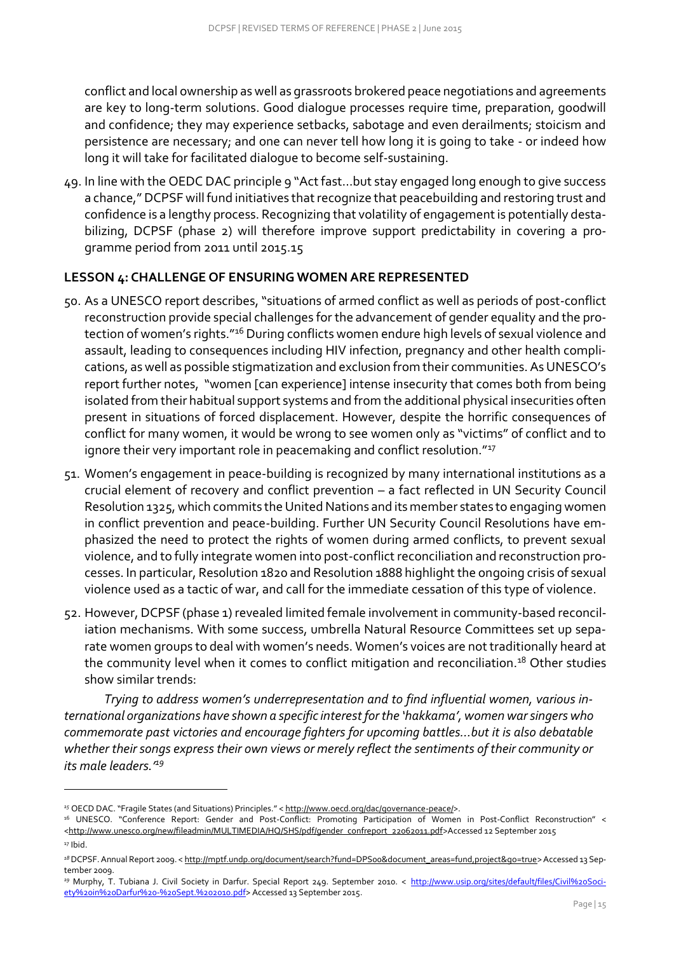conflict and local ownership as well as grassroots brokered peace negotiations and agreements are key to long-term solutions. Good dialogue processes require time, preparation, goodwill and confidence; they may experience setbacks, sabotage and even derailments; stoicism and persistence are necessary; and one can never tell how long it is going to take - or indeed how long it will take for facilitated dialogue to become self-sustaining.

49. In line with the OEDC DAC principle 9 "Act fast…but stay engaged long enough to give success a chance," DCPSF will fund initiatives that recognize that peacebuilding and restoring trust and confidence is a lengthy process. Recognizing that volatility of engagement is potentially destabilizing, DCPSF (phase 2) will therefore improve support predictability in covering a programme period from 2011 until 2015.15

#### **LESSON 4: CHALLENGE OF ENSURING WOMEN ARE REPRESENTED**

- 50. As a UNESCO report describes, "situations of armed conflict as well as periods of post-conflict reconstruction provide special challenges for the advancement of gender equality and the protection of women's rights."<sup>16</sup> During conflicts women endure high levels of sexual violence and assault, leading to consequences including HIV infection, pregnancy and other health complications, as well as possible stigmatization and exclusion from their communities. As UNESCO's report further notes, "women [can experience] intense insecurity that comes both from being isolated from their habitual support systems and from the additional physical insecurities often present in situations of forced displacement. However, despite the horrific consequences of conflict for many women, it would be wrong to see women only as "victims" of conflict and to ignore their very important role in peacemaking and conflict resolution."<sup>17</sup>
- 51. Women's engagement in peace-building is recognized by many international institutions as a crucial element of recovery and conflict prevention – a fact reflected in UN Security Council Resolution 1325, which commits the United Nations and its member states to engaging women in conflict prevention and peace-building. Further UN Security Council Resolutions have emphasized the need to protect the rights of women during armed conflicts, to prevent sexual violence, and to fully integrate women into post-conflict reconciliation and reconstruction processes. In particular, Resolution 1820 and Resolution 1888 highlight the ongoing crisis of sexual violence used as a tactic of war, and call for the immediate cessation of this type of violence.
- 52. However, DCPSF (phase 1) revealed limited female involvement in community-based reconciliation mechanisms. With some success, umbrella Natural Resource Committees set up separate women groups to deal with women's needs. Women's voices are not traditionally heard at the community level when it comes to conflict mitigation and reconciliation.<sup>18</sup> Other studies show similar trends:

*Trying to address women's underrepresentation and to find influential women, various international organizations have shown a specific interest for the 'hakkama', women war singers who commemorate past victories and encourage fighters for upcoming battles…but it is also debatable whether their songs express their own views or merely reflect the sentiments of their community or its male leaders.'<sup>19</sup>*

<sup>&</sup>lt;sup>15</sup> OECD DAC. "Fragile States (and Situations) Principles." < [http://www.oecd.org/dac/governance-peace/>](http://www.oecd.org/dac/governance-peace/).

<sup>16</sup> UNESCO. "Conference Report: Gender and Post-Conflict: Promoting Participation of Women in Post-Conflict Reconstruction" < [<http://www.unesco.org/new/fileadmin/MULTIMEDIA/HQ/SHS/pdf/gender\\_confreport\\_22062011.pdf>](http://www.unesco.org/new/fileadmin/MULTIMEDIA/HQ/SHS/pdf/gender_confreport_22062011.pdf)Accessed 12 September 2015

 $17$  Ibid.

<sup>&</sup>lt;sup>18</sup> DCPSF. Annual Report 2009. < [http://mptf.undp.org/document/search?fund=DPS00&document\\_areas=fund,project&go=true>](http://mptf.undp.org/document/search?fund=DPS00&document_areas=fund,project&go=true) Accessed 13 September 2009.

<sup>&</sup>lt;sup>19</sup> Murphy, T. Tubiana J. Civil Society in Darfur. Special Report 249. September 2010. < [http://www.usip.org/sites/default/files/Civil%20Soci](http://www.usip.org/sites/default/files/Civil%20Society%20in%20Darfur%20-%20Sept.%202010.pdf)[ety%20in%20Darfur%20-%20Sept.%202010.pdf>](http://www.usip.org/sites/default/files/Civil%20Society%20in%20Darfur%20-%20Sept.%202010.pdf) Accessed 13 September 2015.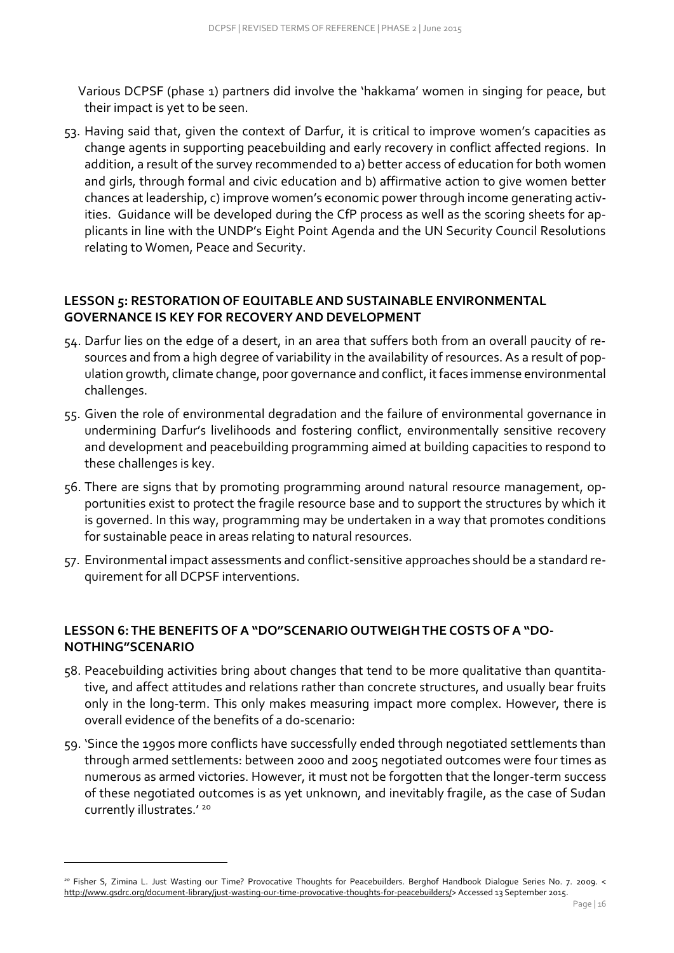Various DCPSF (phase 1) partners did involve the 'hakkama' women in singing for peace, but their impact is yet to be seen.

53. Having said that, given the context of Darfur, it is critical to improve women's capacities as change agents in supporting peacebuilding and early recovery in conflict affected regions. In addition, a result of the survey recommended to a) better access of education for both women and girls, through formal and civic education and b) affirmative action to give women better chances at leadership, c) improve women's economic power through income generating activities. Guidance will be developed during the CfP process as well as the scoring sheets for applicants in line with the UNDP's Eight Point Agenda and the UN Security Council Resolutions relating to Women, Peace and Security.

### **LESSON 5: RESTORATION OF EQUITABLE AND SUSTAINABLE ENVIRONMENTAL GOVERNANCE IS KEY FOR RECOVERY AND DEVELOPMENT**

- 54. Darfur lies on the edge of a desert, in an area that suffers both from an overall paucity of resources and from a high degree of variability in the availability of resources. As a result of population growth, climate change, poor governance and conflict, it faces immense environmental challenges.
- 55. Given the role of environmental degradation and the failure of environmental governance in undermining Darfur's livelihoods and fostering conflict, environmentally sensitive recovery and development and peacebuilding programming aimed at building capacities to respond to these challenges is key.
- 56. There are signs that by promoting programming around natural resource management, opportunities exist to protect the fragile resource base and to support the structures by which it is governed. In this way, programming may be undertaken in a way that promotes conditions for sustainable peace in areas relating to natural resources.
- 57. Environmental impact assessments and conflict-sensitive approaches should be a standard requirement for all DCPSF interventions.

# **LESSON 6: THE BENEFITS OF A "DO"SCENARIO OUTWEIGH THE COSTS OF A "DO-NOTHING"SCENARIO**

- 58. Peacebuilding activities bring about changes that tend to be more qualitative than quantitative, and affect attitudes and relations rather than concrete structures, and usually bear fruits only in the long-term. This only makes measuring impact more complex. However, there is overall evidence of the benefits of a do-scenario:
- 59. 'Since the 1990s more conflicts have successfully ended through negotiated settlements than through armed settlements: between 2000 and 2005 negotiated outcomes were four times as numerous as armed victories. However, it must not be forgotten that the longer-term success of these negotiated outcomes is as yet unknown, and inevitably fragile, as the case of Sudan currently illustrates.'<sup>20</sup>

*<sup>20</sup>* Fisher S, Zimina L. Just Wasting our Time? Provocative Thoughts for Peacebuilders. Berghof Handbook Dialogue Series No. 7. 2009. < [http://www.gsdrc.org/document-library/just-wasting-our-time-provocative-thoughts-for-peacebuilders/>](http://www.gsdrc.org/document-library/just-wasting-our-time-provocative-thoughts-for-peacebuilders/) Accessed 13 September 2015.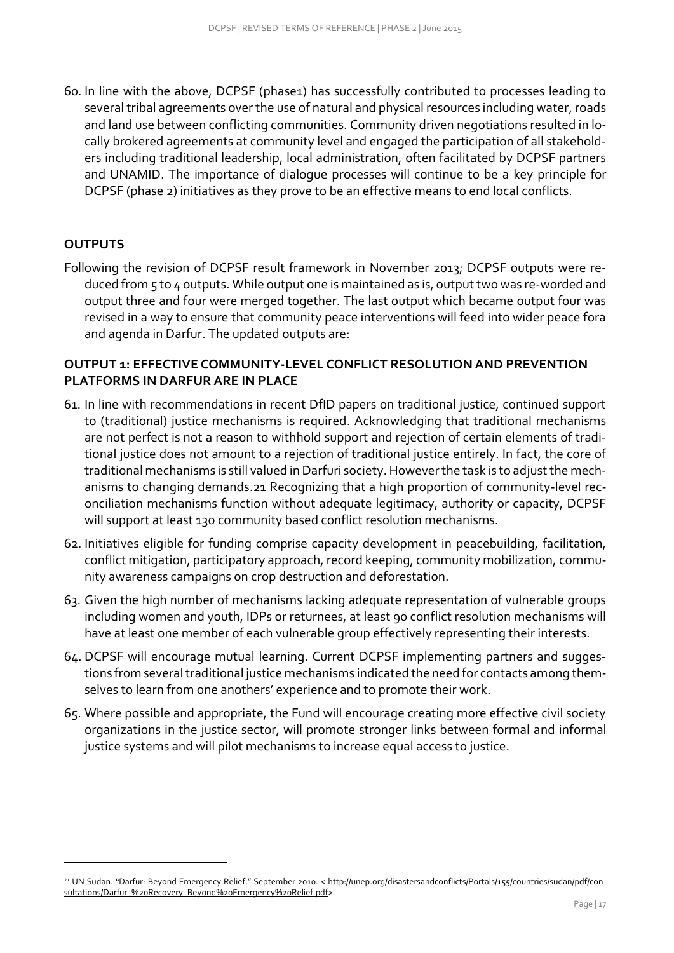60. In line with the above, DCPSF (phase1) has successfully contributed to processes leading to several tribal agreements over the use of natural and physical resources including water, roads and land use between conflicting communities. Community driven negotiations resulted in locally brokered agreements at community level and engaged the participation of all stakeholders including traditional leadership, local administration, often facilitated by DCPSF partners and UNAMID. The importance of dialogue processes will continue to be a key principle for DCPSF (phase 2) initiatives as they prove to be an effective means to end local conflicts.

### <span id="page-16-0"></span>**OUTPUTS**

-

Following the revision of DCPSF result framework in November 2013; DCPSF outputs were reduced from 5 to 4 outputs. While output one is maintained as is, output two was re-worded and output three and four were merged together. The last output which became output four was revised in a way to ensure that community peace interventions will feed into wider peace fora and agenda in Darfur. The updated outputs are:

#### **OUTPUT 1: EFFECTIVE COMMUNITY-LEVEL CONFLICT RESOLUTION AND PREVENTION PLATFORMS IN DARFUR ARE IN PLACE**

- 61. In line with recommendations in recent DfID papers on traditional justice, continued support to (traditional) justice mechanisms is required. Acknowledging that traditional mechanisms are not perfect is not a reason to withhold support and rejection of certain elements of traditional justice does not amount to a rejection of traditional justice entirely. In fact, the core of traditional mechanisms is still valued in Darfuri society. However the task is to adjust the mechanisms to changing demands.21 Recognizing that a high proportion of community-level reconciliation mechanisms function without adequate legitimacy, authority or capacity, DCPSF will support at least 130 community based conflict resolution mechanisms.
- 62. Initiatives eligible for funding comprise capacity development in peacebuilding, facilitation, conflict mitigation, participatory approach, record keeping, community mobilization, community awareness campaigns on crop destruction and deforestation.
- 63. Given the high number of mechanisms lacking adequate representation of vulnerable groups including women and youth, IDPs or returnees, at least 90 conflict resolution mechanisms will have at least one member of each vulnerable group effectively representing their interests.
- 64. DCPSF will encourage mutual learning. Current DCPSF implementing partners and suggestions from several traditional justice mechanisms indicated the need for contacts among themselves to learn from one anothers' experience and to promote their work.
- 65. Where possible and appropriate, the Fund will encourage creating more effective civil society organizations in the justice sector, will promote stronger links between formal and informal justice systems and will pilot mechanisms to increase equal access to justice.

*<sup>21</sup>* UN Sudan. "Darfur: Beyond Emergency Relief." September 2010. < [http://unep.org/disastersandconflicts/Portals/155/countries/sudan/pdf/con](http://unep.org/disastersandconflicts/Portals/155/countries/sudan/pdf/consultations/Darfur_%20Recovery_Beyond%20Emergency%20Relief.pdf)[sultations/Darfur\\_%20Recovery\\_Beyond%20Emergency%20Relief.pdf>](http://unep.org/disastersandconflicts/Portals/155/countries/sudan/pdf/consultations/Darfur_%20Recovery_Beyond%20Emergency%20Relief.pdf).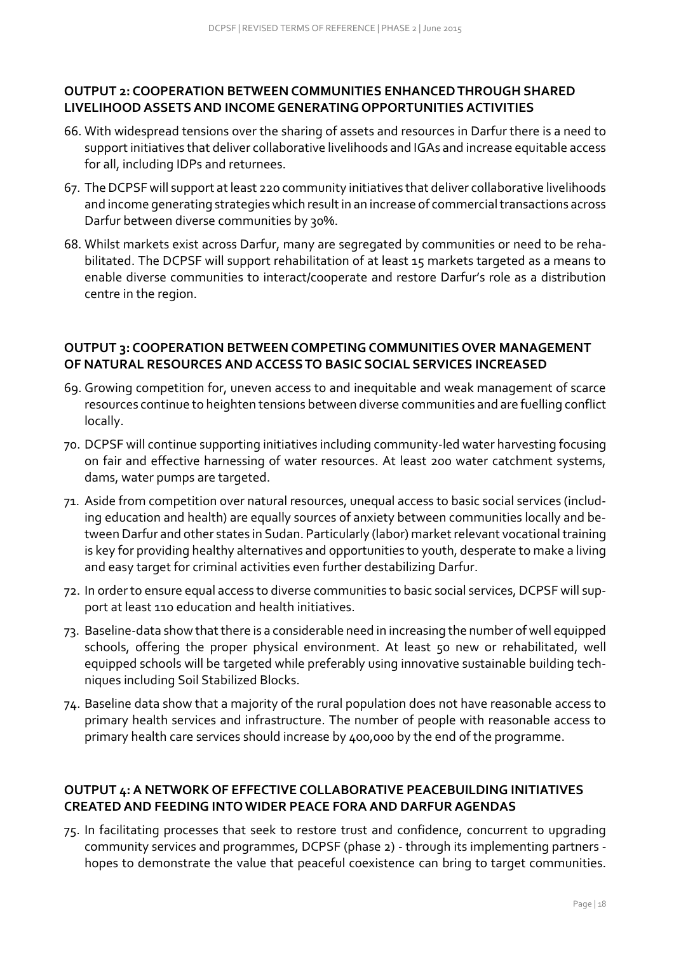### **OUTPUT 2: COOPERATION BETWEEN COMMUNITIES ENHANCED THROUGH SHARED LIVELIHOOD ASSETS AND INCOME GENERATING OPPORTUNITIES ACTIVITIES**

- 66. With widespread tensions over the sharing of assets and resources in Darfur there is a need to support initiatives that deliver collaborative livelihoods and IGAs and increase equitable access for all, including IDPs and returnees.
- 67. The DCPSF will support at least 220 community initiatives that deliver collaborative livelihoods and income generating strategies which result in an increase of commercial transactions across Darfur between diverse communities by 30%.
- 68. Whilst markets exist across Darfur, many are segregated by communities or need to be rehabilitated. The DCPSF will support rehabilitation of at least 15 markets targeted as a means to enable diverse communities to interact/cooperate and restore Darfur's role as a distribution centre in the region.

# **OUTPUT 3: COOPERATION BETWEEN COMPETING COMMUNITIES OVER MANAGEMENT OF NATURAL RESOURCES AND ACCESS TO BASIC SOCIAL SERVICES INCREASED**

- 69. Growing competition for, uneven access to and inequitable and weak management of scarce resources continue to heighten tensions between diverse communities and are fuelling conflict locally.
- 70. DCPSF will continue supporting initiatives including community-led water harvesting focusing on fair and effective harnessing of water resources. At least 200 water catchment systems, dams, water pumps are targeted.
- 71. Aside from competition over natural resources, unequal access to basic social services (including education and health) are equally sources of anxiety between communities locally and between Darfur and other states in Sudan. Particularly (labor) market relevant vocational training is key for providing healthy alternatives and opportunities to youth, desperate to make a living and easy target for criminal activities even further destabilizing Darfur.
- 72. In order to ensure equal access to diverse communities to basic social services, DCPSF will support at least 110 education and health initiatives.
- 73. Baseline-data show that there is a considerable need in increasing the number of well equipped schools, offering the proper physical environment. At least 50 new or rehabilitated, well equipped schools will be targeted while preferably using innovative sustainable building techniques including Soil Stabilized Blocks.
- 74. Baseline data show that a majority of the rural population does not have reasonable access to primary health services and infrastructure. The number of people with reasonable access to primary health care services should increase by 400,000 by the end of the programme.

# **OUTPUT 4: A NETWORK OF EFFECTIVE COLLABORATIVE PEACEBUILDING INITIATIVES CREATED AND FEEDING INTO WIDER PEACE FORA AND DARFUR AGENDAS**

75. In facilitating processes that seek to restore trust and confidence, concurrent to upgrading community services and programmes, DCPSF (phase 2) - through its implementing partners hopes to demonstrate the value that peaceful coexistence can bring to target communities.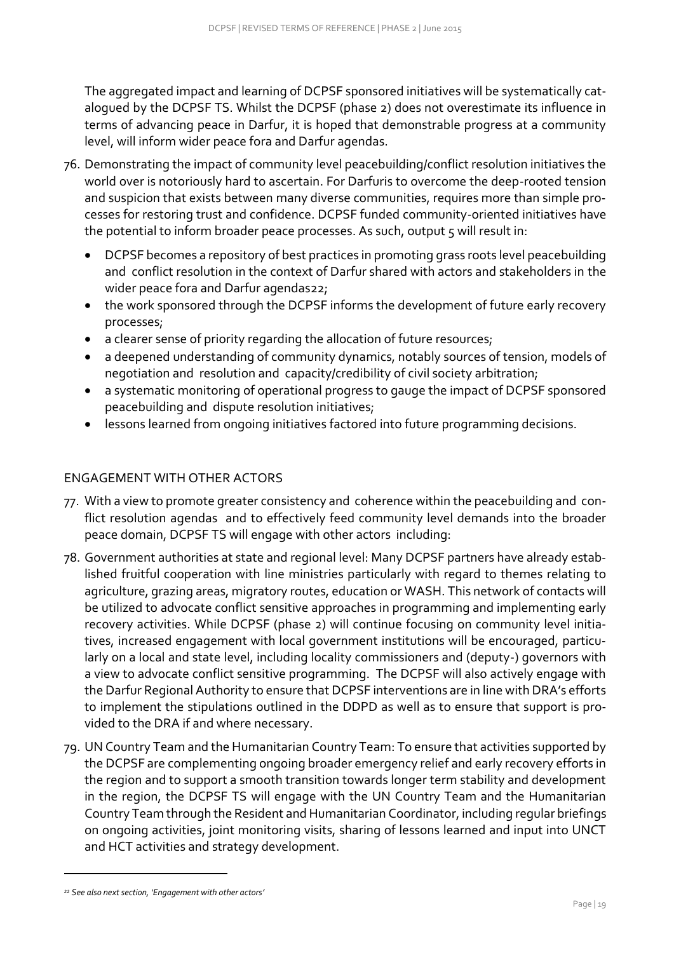The aggregated impact and learning of DCPSF sponsored initiatives will be systematically catalogued by the DCPSF TS. Whilst the DCPSF (phase 2) does not overestimate its influence in terms of advancing peace in Darfur, it is hoped that demonstrable progress at a community level, will inform wider peace fora and Darfur agendas.

- 76. Demonstrating the impact of community level peacebuilding/conflict resolution initiatives the world over is notoriously hard to ascertain. For Darfuris to overcome the deep-rooted tension and suspicion that exists between many diverse communities, requires more than simple processes for restoring trust and confidence. DCPSF funded community-oriented initiatives have the potential to inform broader peace processes. As such, output 5 will result in:
	- DCPSF becomes a repository of best practices in promoting grass roots level peacebuilding and conflict resolution in the context of Darfur shared with actors and stakeholders in the wider peace fora and Darfur agendas22;
	- the work sponsored through the DCPSF informs the development of future early recovery processes;
	- a clearer sense of priority regarding the allocation of future resources;
	- a deepened understanding of community dynamics, notably sources of tension, models of negotiation and resolution and capacity/credibility of civil society arbitration;
	- a systematic monitoring of operational progress to gauge the impact of DCPSF sponsored peacebuilding and dispute resolution initiatives;
	- lessons learned from ongoing initiatives factored into future programming decisions.

### <span id="page-18-0"></span>ENGAGEMENT WITH OTHER ACTORS

- 77. With a view to promote greater consistency and coherence within the peacebuilding and conflict resolution agendas and to effectively feed community level demands into the broader peace domain, DCPSF TS will engage with other actors including:
- 78. Government authorities at state and regional level: Many DCPSF partners have already established fruitful cooperation with line ministries particularly with regard to themes relating to agriculture, grazing areas, migratory routes, education or WASH. This network of contacts will be utilized to advocate conflict sensitive approaches in programming and implementing early recovery activities. While DCPSF (phase 2) will continue focusing on community level initiatives, increased engagement with local government institutions will be encouraged, particularly on a local and state level, including locality commissioners and (deputy-) governors with a view to advocate conflict sensitive programming. The DCPSF will also actively engage with the Darfur Regional Authority to ensure that DCPSF interventions are in line with DRA's efforts to implement the stipulations outlined in the DDPD as well as to ensure that support is provided to the DRA if and where necessary.
- 79. UN Country Team and the Humanitarian Country Team: To ensure that activities supported by the DCPSF are complementing ongoing broader emergency relief and early recovery efforts in the region and to support a smooth transition towards longer term stability and development in the region, the DCPSF TS will engage with the UN Country Team and the Humanitarian Country Team through the Resident and Humanitarian Coordinator, including regular briefings on ongoing activities, joint monitoring visits, sharing of lessons learned and input into UNCT and HCT activities and strategy development.

*<sup>22</sup> See also next section, 'Engagement with other actors'*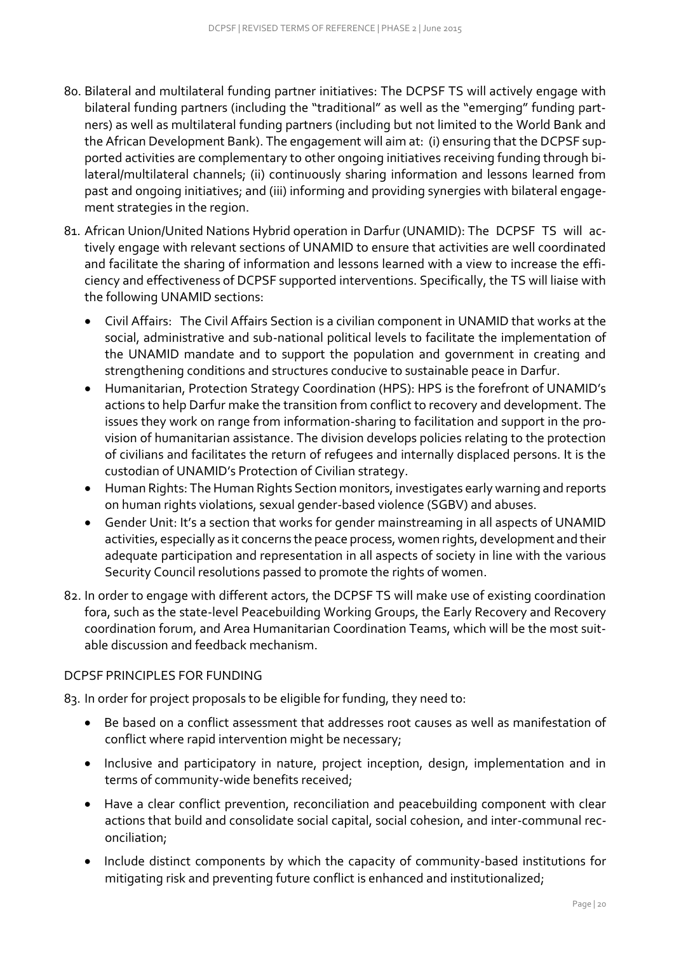- 80. Bilateral and multilateral funding partner initiatives: The DCPSF TS will actively engage with bilateral funding partners (including the "traditional" as well as the "emerging" funding part‐ ners) as well as multilateral funding partners (including but not limited to the World Bank and the African Development Bank). The engagement will aim at: (i) ensuring that the DCPSF supported activities are complementary to other ongoing initiatives receiving funding through bilateral/multilateral channels; (ii) continuously sharing information and lessons learned from past and ongoing initiatives; and (iii) informing and providing synergies with bilateral engagement strategies in the region.
- 81. African Union/United Nations Hybrid operation in Darfur (UNAMID): The DCPSF TS will actively engage with relevant sections of UNAMID to ensure that activities are well coordinated and facilitate the sharing of information and lessons learned with a view to increase the efficiency and effectiveness of DCPSF supported interventions. Specifically, the TS will liaise with the following UNAMID sections:
	- Civil Affairs: The Civil Affairs Section is a civilian component in UNAMID that works at the social, administrative and sub-national political levels to facilitate the implementation of the UNAMID mandate and to support the population and government in creating and strengthening conditions and structures conducive to sustainable peace in Darfur.
	- Humanitarian, Protection Strategy Coordination (HPS): HPS is the forefront of UNAMID's actions to help Darfur make the transition from conflict to recovery and development. The issues they work on range from information-sharing to facilitation and support in the provision of humanitarian assistance. The division develops policies relating to the protection of civilians and facilitates the return of refugees and internally displaced persons. It is the custodian of UNAMID's Protection of Civilian strategy.
	- Human Rights: The Human Rights Section monitors, investigates early warning and reports on human rights violations, sexual gender-based violence (SGBV) and abuses.
	- Gender Unit: It's a section that works for gender mainstreaming in all aspects of UNAMID activities, especially as it concerns the peace process, women rights, development and their adequate participation and representation in all aspects of society in line with the various Security Council resolutions passed to promote the rights of women.
- 82. In order to engage with different actors, the DCPSF TS will make use of existing coordination fora, such as the state-level Peacebuilding Working Groups, the Early Recovery and Recovery coordination forum, and Area Humanitarian Coordination Teams, which will be the most suitable discussion and feedback mechanism.

### <span id="page-19-0"></span>DCPSF PRINCIPLES FOR FUNDING

83. In order for project proposals to be eligible for funding, they need to:

- Be based on a conflict assessment that addresses root causes as well as manifestation of conflict where rapid intervention might be necessary;
- Inclusive and participatory in nature, project inception, design, implementation and in terms of community-wide benefits received;
- Have a clear conflict prevention, reconciliation and peacebuilding component with clear actions that build and consolidate social capital, social cohesion, and inter-communal reconciliation;
- Include distinct components by which the capacity of community-based institutions for mitigating risk and preventing future conflict is enhanced and institutionalized;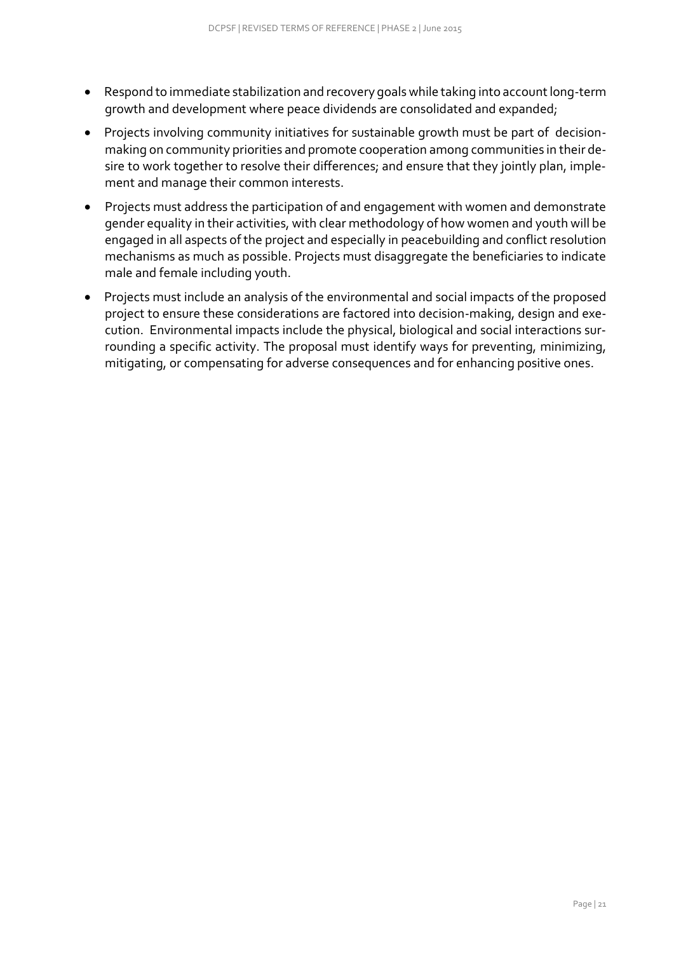- Respond to immediate stabilization and recovery goals while taking into account long-term growth and development where peace dividends are consolidated and expanded;
- Projects involving community initiatives for sustainable growth must be part of decisionmaking on community priorities and promote cooperation among communities in their desire to work together to resolve their differences; and ensure that they jointly plan, implement and manage their common interests.
- Projects must address the participation of and engagement with women and demonstrate gender equality in their activities, with clear methodology of how women and youth will be engaged in all aspects of the project and especially in peacebuilding and conflict resolution mechanisms as much as possible. Projects must disaggregate the beneficiaries to indicate male and female including youth.
- Projects must include an analysis of the environmental and social impacts of the proposed project to ensure these considerations are factored into decision-making, design and execution. Environmental impacts include the physical, biological and social interactions surrounding a specific activity. The proposal must identify ways for preventing, minimizing, mitigating, or compensating for adverse consequences and for enhancing positive ones.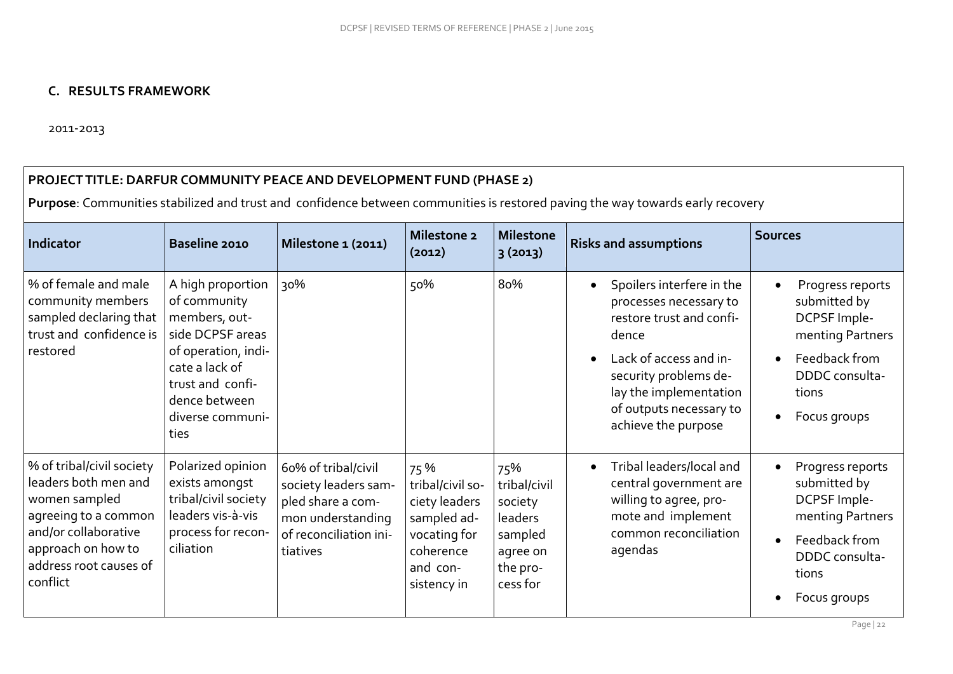# **C. RESULTS FRAMEWORK**

2011-2013

#### **PROJECT TITLE: DARFUR COMMUNITY PEACE AND DEVELOPMENT FUND (PHASE 2)**

**Purpose**: Communities stabilized and trust and confidence between communities is restored paving the way towards early recovery

<span id="page-21-0"></span>

| Indicator                                                                                                                                                                      | Baseline 2010                                                                                                                                                                    | Milestone 1 (2011)                                                                                                          | Milestone 2<br>(2012)                                                                                           | <b>Milestone</b><br>3(2013)                                                              | <b>Risks and assumptions</b>                                                                                                                                                                                                                      | <b>Sources</b>                                                                                                                   |
|--------------------------------------------------------------------------------------------------------------------------------------------------------------------------------|----------------------------------------------------------------------------------------------------------------------------------------------------------------------------------|-----------------------------------------------------------------------------------------------------------------------------|-----------------------------------------------------------------------------------------------------------------|------------------------------------------------------------------------------------------|---------------------------------------------------------------------------------------------------------------------------------------------------------------------------------------------------------------------------------------------------|----------------------------------------------------------------------------------------------------------------------------------|
| % of female and male<br>community members<br>sampled declaring that<br>trust and confidence is<br>restored                                                                     | A high proportion<br>of community<br>members, out-<br>side DCPSF areas<br>of operation, indi-<br>cate a lack of<br>trust and confi-<br>dence between<br>diverse communi-<br>ties | २०%                                                                                                                         | 50%                                                                                                             | 80%                                                                                      | Spoilers interfere in the<br>$\bullet$<br>processes necessary to<br>restore trust and confi-<br>dence<br>Lack of access and in-<br>$\bullet$<br>security problems de-<br>lay the implementation<br>of outputs necessary to<br>achieve the purpose | Progress reports<br>submitted by<br>DCPSF Imple-<br>menting Partners<br>Feedback from<br>DDDC consulta-<br>tions<br>Focus groups |
| % of tribal/civil society<br>leaders both men and<br>women sampled<br>agreeing to a common<br>and/or collaborative<br>approach on how to<br>address root causes of<br>conflict | Polarized opinion<br>exists amongst<br>tribal/civil society<br>leaders vis-à-vis<br>process for recon-<br>ciliation                                                              | 60% of tribal/civil<br>society leaders sam-<br>pled share a com-<br>mon understanding<br>of reconciliation ini-<br>tiatives | 75%<br>tribal/civil so-<br>ciety leaders<br>sampled ad-<br>vocating for<br>coherence<br>and con-<br>sistency in | 75%<br>tribal/civil<br>society<br>leaders<br>sampled<br>agree on<br>the pro-<br>cess for | Tribal leaders/local and<br>$\bullet$<br>central government are<br>willing to agree, pro-<br>mote and implement<br>common reconciliation<br>agendas                                                                                               | Progress reports<br>submitted by<br>DCPSF Imple-<br>menting Partners<br>Feedback from<br>DDDC consulta-<br>tions<br>Focus groups |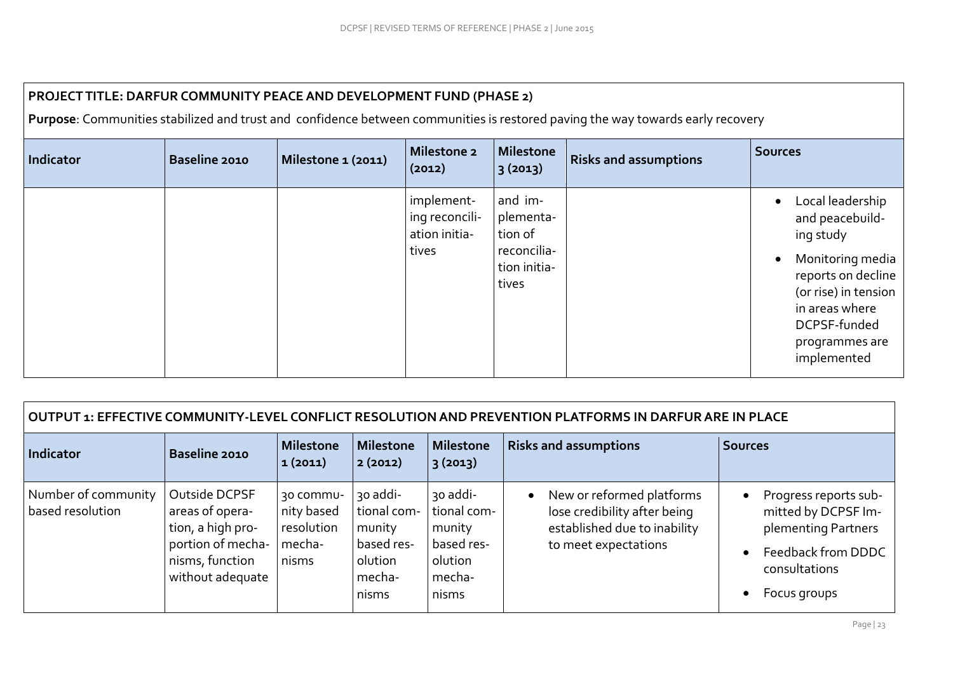| PROJECT TITLE: DARFUR COMMUNITY PEACE AND DEVELOPMENT FUND (PHASE 2)<br>Purpose: Communities stabilized and trust and confidence between communities is restored paving the way towards early recovery |                      |                    |                                                        |                                                                         |                              |                                                                                                                                                                                       |  |  |  |
|--------------------------------------------------------------------------------------------------------------------------------------------------------------------------------------------------------|----------------------|--------------------|--------------------------------------------------------|-------------------------------------------------------------------------|------------------------------|---------------------------------------------------------------------------------------------------------------------------------------------------------------------------------------|--|--|--|
| Indicator                                                                                                                                                                                              | <b>Baseline 2010</b> | Milestone 1 (2011) | Milestone 2<br>(2012)                                  | Milestone<br>3(2013)                                                    | <b>Risks and assumptions</b> | <b>Sources</b>                                                                                                                                                                        |  |  |  |
|                                                                                                                                                                                                        |                      |                    | implement-<br>ing reconcili-<br>ation initia-<br>tives | and im-<br>plementa-<br>tion of<br>reconcilia-<br>tion initia-<br>tives |                              | Local leadership<br>and peacebuild-<br>ing study<br>Monitoring media<br>reports on decline<br>(or rise) in tension<br>in areas where<br>DCPSF-funded<br>programmes are<br>implemented |  |  |  |

| OUTPUT 1: EFFECTIVE COMMUNITY-LEVEL CONFLICT RESOLUTION AND PREVENTION PLATFORMS IN DARFUR ARE IN PLACE |                                                                                                                   |                                                          |                                                                               |                                                                               |                                                                                                                                |                                                                                                                            |  |  |  |
|---------------------------------------------------------------------------------------------------------|-------------------------------------------------------------------------------------------------------------------|----------------------------------------------------------|-------------------------------------------------------------------------------|-------------------------------------------------------------------------------|--------------------------------------------------------------------------------------------------------------------------------|----------------------------------------------------------------------------------------------------------------------------|--|--|--|
| Indicator                                                                                               | <b>Baseline 2010</b>                                                                                              | <b>Milestone</b><br> 1(2011)                             | <b>Milestone</b><br>2(2012)                                                   | <b>Milestone</b><br>3(2013)                                                   | <b>Risks and assumptions</b>                                                                                                   | <b>Sources</b>                                                                                                             |  |  |  |
| Number of community<br>based resolution                                                                 | Outside DCPSF<br>areas of opera-<br>tion, a high pro-<br>portion of mecha-<br>nisms, function<br>without adequate | 30 COMMU-<br>nity based<br>resolution<br>mecha-<br>nisms | 30 addi-<br>tional com-<br>munity<br>based res-<br>olution<br>mecha-<br>nisms | 30 addi-<br>tional com-<br>munity<br>based res-<br>olution<br>mecha-<br>nisms | New or reformed platforms<br>$\bullet$<br>lose credibility after being<br>established due to inability<br>to meet expectations | Progress reports sub-<br>mitted by DCPSF Im-<br>plementing Partners<br>Feedback from DDDC<br>consultations<br>Focus groups |  |  |  |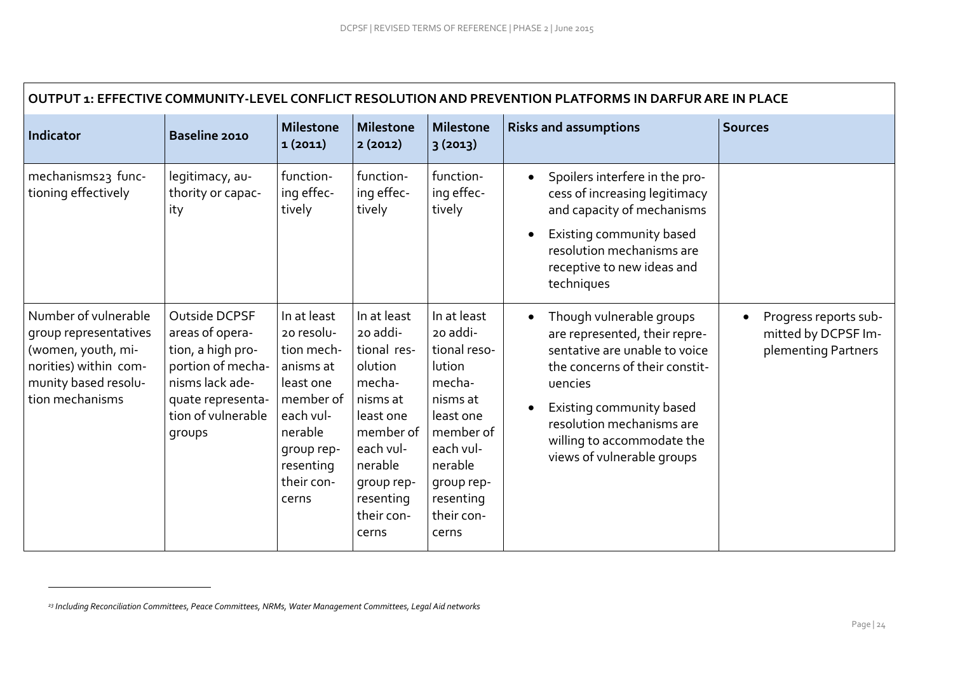| OUTPUT 1: EFFECTIVE COMMUNITY-LEVEL CONFLICT RESOLUTION AND PREVENTION PLATFORMS IN DARFUR ARE IN PLACE                                 |                                                                                                                                                    |                                                                                                                                                          |                                                                                                                                                                             |                                                                                                                                                                             |                                                                                                                                                                                                                                                              |                                                                     |  |  |  |
|-----------------------------------------------------------------------------------------------------------------------------------------|----------------------------------------------------------------------------------------------------------------------------------------------------|----------------------------------------------------------------------------------------------------------------------------------------------------------|-----------------------------------------------------------------------------------------------------------------------------------------------------------------------------|-----------------------------------------------------------------------------------------------------------------------------------------------------------------------------|--------------------------------------------------------------------------------------------------------------------------------------------------------------------------------------------------------------------------------------------------------------|---------------------------------------------------------------------|--|--|--|
| Indicator                                                                                                                               | Baseline 2010                                                                                                                                      | <b>Milestone</b><br>1(2011)                                                                                                                              | <b>Milestone</b><br>2(2012)                                                                                                                                                 | <b>Milestone</b><br>3(2013)                                                                                                                                                 | <b>Risks and assumptions</b>                                                                                                                                                                                                                                 | <b>Sources</b>                                                      |  |  |  |
| mechanisms23 func-<br>tioning effectively                                                                                               | legitimacy, au-<br>thority or capac-<br>ity                                                                                                        | function-<br>ing effec-<br>tively                                                                                                                        | function-<br>ing effec-<br>tively                                                                                                                                           | function-<br>ing effec-<br>tively                                                                                                                                           | Spoilers interfere in the pro-<br>$\bullet$<br>cess of increasing legitimacy<br>and capacity of mechanisms<br>Existing community based<br>$\bullet$<br>resolution mechanisms are<br>receptive to new ideas and<br>techniques                                 |                                                                     |  |  |  |
| Number of vulnerable<br>group representatives<br>(women, youth, mi-<br>norities) within com-<br>munity based resolu-<br>tion mechanisms | Outside DCPSF<br>areas of opera-<br>tion, a high pro-<br>portion of mecha-<br>nisms lack ade-<br>quate representa-<br>tion of vulnerable<br>groups | In at least<br>20 resolu-<br>tion mech-<br>anisms at<br>least one<br>member of<br>each vul-<br>nerable<br>qroup rep-<br>resenting<br>their con-<br>cerns | In at least<br>20 addi-<br>tional res-<br>olution<br>mecha-<br>nisms at<br>least one<br>member of<br>each vul-<br>nerable<br>group rep-<br>resenting<br>their con-<br>cerns | In at least<br>20 addi-<br>tional reso-<br>lution<br>mecha-<br>nisms at<br>least one<br>member of<br>each vul-<br>nerable<br>group rep-<br>resenting<br>their con-<br>cerns | Though vulnerable groups<br>are represented, their repre-<br>sentative are unable to voice<br>the concerns of their constit-<br>uencies<br>Existing community based<br>resolution mechanisms are<br>willing to accommodate the<br>views of vulnerable groups | Progress reports sub-<br>mitted by DCPSF Im-<br>plementing Partners |  |  |  |

 $\overline{a}$ 

*<sup>23</sup> Including Reconciliation Committees, Peace Committees, NRMs, Water Management Committees, Legal Aid networks*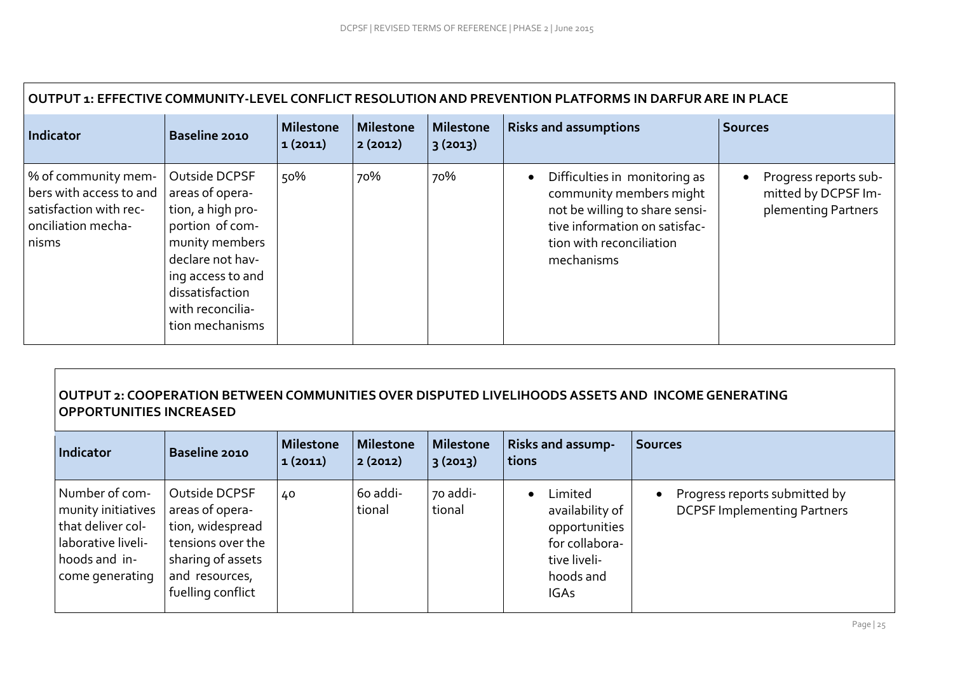| OUTPUT 1: EFFECTIVE COMMUNITY-LEVEL CONFLICT RESOLUTION AND PREVENTION PLATFORMS IN DARFUR ARE IN PLACE                 |                                                                                                                                                                            |                             |                             |                      |                                                                                                                                                                                    |                                                                     |  |  |  |
|-------------------------------------------------------------------------------------------------------------------------|----------------------------------------------------------------------------------------------------------------------------------------------------------------------------|-----------------------------|-----------------------------|----------------------|------------------------------------------------------------------------------------------------------------------------------------------------------------------------------------|---------------------------------------------------------------------|--|--|--|
| Indicator                                                                                                               | <b>Baseline 2010</b>                                                                                                                                                       | <b>Milestone</b><br>1(2011) | <b>Milestone</b><br>2(2012) | Milestone<br>3(2013) | <b>Risks and assumptions</b>                                                                                                                                                       | <b>Sources</b>                                                      |  |  |  |
| % of community mem-<br>bers with access to and areas of opera-<br>satisfaction with rec-<br>onciliation mecha-<br>nisms | Outside DCPSF<br>tion, a high pro-<br>portion of com-<br>munity members<br>declare not hav-<br>ing access to and<br>dissatisfaction<br>with reconcilia-<br>tion mechanisms | 50%                         | 70%                         | 70%                  | Difficulties in monitoring as<br>$\bullet$<br>community members might<br>not be willing to share sensi-<br>tive information on satisfac-<br>tion with reconciliation<br>mechanisms | Progress reports sub-<br>mitted by DCPSF Im-<br>plementing Partners |  |  |  |

# **OUTPUT 2: COOPERATION BETWEEN COMMUNITIES OVER DISPUTED LIVELIHOODS ASSETS AND INCOME GENERATING OPPORTUNITIES INCREASED**

| Indicator                                                                                                           | <b>Baseline 2010</b>                                                                                                                  | <b>Milestone</b><br>1(2011) | <b>Milestone</b><br>2(2012) | <b>Milestone</b><br> 3(2013) | <b>Risks and assump-</b><br>tions                                                                                      | <b>Sources</b>                                                      |
|---------------------------------------------------------------------------------------------------------------------|---------------------------------------------------------------------------------------------------------------------------------------|-----------------------------|-----------------------------|------------------------------|------------------------------------------------------------------------------------------------------------------------|---------------------------------------------------------------------|
| Number of com-<br>munity initiatives<br>that deliver col-<br>laborative liveli-<br>hoods and in-<br>come generating | Outside DCPSF<br>areas of opera-<br>tion, widespread<br>tensions over the<br>sharing of assets<br>and resources,<br>fuelling conflict | 40                          | 60 addi-<br>tional          | 70 addi-<br>tional           | -imited<br>$\bullet$<br>availability of<br>opportunities<br>for collabora-<br>tive liveli-<br>hoods and<br><b>IGAs</b> | Progress reports submitted by<br><b>DCPSF Implementing Partners</b> |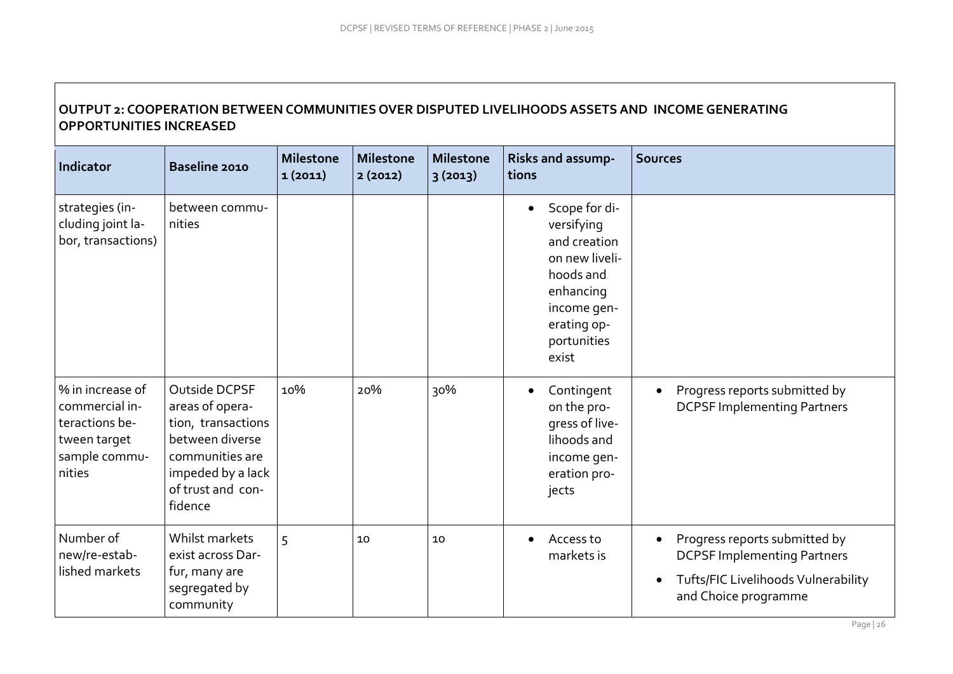# **OUTPUT 2: COOPERATION BETWEEN COMMUNITIES OVER DISPUTED LIVELIHOODS ASSETS AND INCOME GENERATING OPPORTUNITIES INCREASED**

| <b>Indicator</b>                                                                                | Baseline 2010                                                                                                                                     | <b>Milestone</b><br>1(2011) | <b>Milestone</b><br>2(2012) | <b>Milestone</b><br>3(2013) | Risks and assump-<br>tions                                                                                                                                 | <b>Sources</b>                                                                                                                     |
|-------------------------------------------------------------------------------------------------|---------------------------------------------------------------------------------------------------------------------------------------------------|-----------------------------|-----------------------------|-----------------------------|------------------------------------------------------------------------------------------------------------------------------------------------------------|------------------------------------------------------------------------------------------------------------------------------------|
| strategies (in-<br>cluding joint la-<br>bor, transactions)                                      | between commu-<br>nities                                                                                                                          |                             |                             |                             | Scope for di-<br>$\bullet$<br>versifying<br>and creation<br>on new liveli-<br>hoods and<br>enhancing<br>income gen-<br>erating op-<br>portunities<br>exist |                                                                                                                                    |
| % in increase of<br>commercial in-<br>teractions be-<br>tween target<br>sample commu-<br>nities | Outside DCPSF<br>areas of opera-<br>tion, transactions<br>between diverse<br>communities are<br>impeded by a lack<br>of trust and con-<br>fidence | 10%                         | 20%                         | 30%                         | Contingent<br>$\bullet$<br>on the pro-<br>qress of live-<br>lihoods and<br>income gen-<br>eration pro-<br>jects                                            | Progress reports submitted by<br><b>DCPSF Implementing Partners</b>                                                                |
| Number of<br>new/re-estab-<br>lished markets                                                    | Whilst markets<br>exist across Dar-<br>fur, many are<br>segregated by<br>community                                                                | 5                           | 10                          | 10                          | Access to<br>$\bullet$<br>markets is                                                                                                                       | Progress reports submitted by<br><b>DCPSF Implementing Partners</b><br>Tufts/FIC Livelihoods Vulnerability<br>and Choice programme |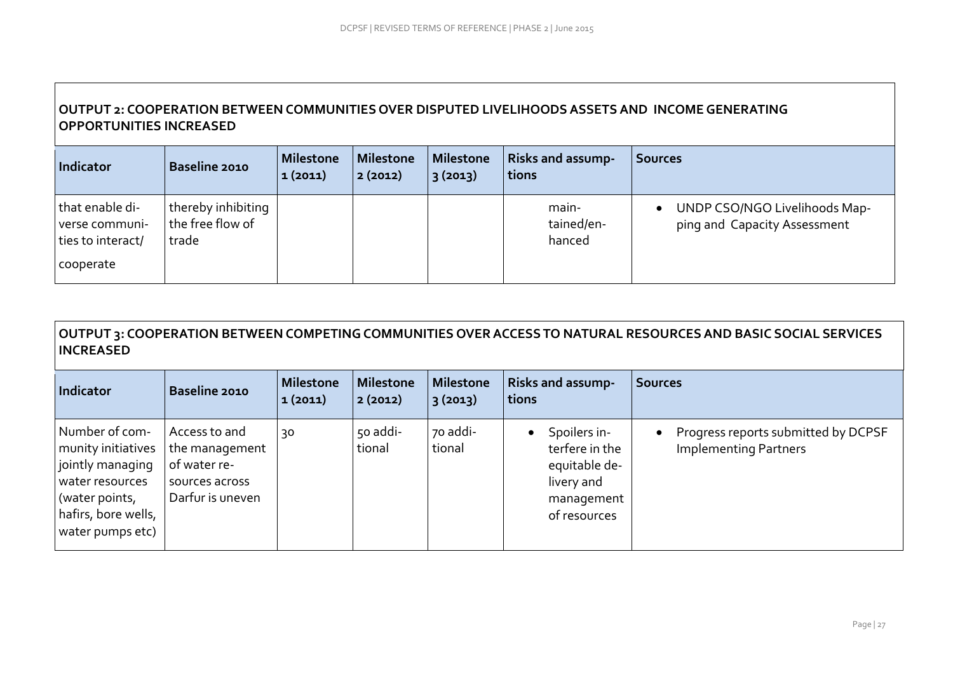# **OUTPUT 2: COOPERATION BETWEEN COMMUNITIES OVER DISPUTED LIVELIHOODS ASSETS AND INCOME GENERATING OPPORTUNITIES INCREASED**

| Indicator                                                           | <b>Baseline 2010</b>                            | Milestone<br>1 (2011) | Milestone<br> 2(2012) | <b>Milestone</b><br> 3(2013) | <b>Risks and assump-</b><br>tions | <b>Sources</b>                                                             |
|---------------------------------------------------------------------|-------------------------------------------------|-----------------------|-----------------------|------------------------------|-----------------------------------|----------------------------------------------------------------------------|
| that enable di-<br>verse communi-<br>ties to interact/<br>cooperate | thereby inhibiting<br>the free flow of<br>trade |                       |                       |                              | main-<br>tained/en-<br>hanced     | UNDP CSO/NGO Livelihoods Map-<br>$\bullet$<br>ping and Capacity Assessment |

# **OUTPUT 3: COOPERATION BETWEEN COMPETING COMMUNITIES OVER ACCESS TO NATURAL RESOURCES AND BASIC SOCIAL SERVICES INCREASED**

| Indicator                                                                                                                                | Baseline 2010                                                                         | <b>Milestone</b><br>1(2011) | <b>Milestone</b><br>2(2012) | <b>Milestone</b><br> 3(2013) | <b>Risks and assump-</b><br>tions                                                           | <b>Sources</b>                                                      |
|------------------------------------------------------------------------------------------------------------------------------------------|---------------------------------------------------------------------------------------|-----------------------------|-----------------------------|------------------------------|---------------------------------------------------------------------------------------------|---------------------------------------------------------------------|
| Number of com-<br>munity initiatives<br>jointly managing<br>water resources<br>(water points,<br>hafirs, bore wells,<br>water pumps etc) | Access to and<br>the management<br>of water re-<br>sources across<br>Darfur is uneven | 30                          | 50 addi-<br>tional          | 70 addi-<br>tional           | Spoilers in-<br>terfere in the<br>equitable de-<br>livery and<br>management<br>of resources | Progress reports submitted by DCPSF<br><b>Implementing Partners</b> |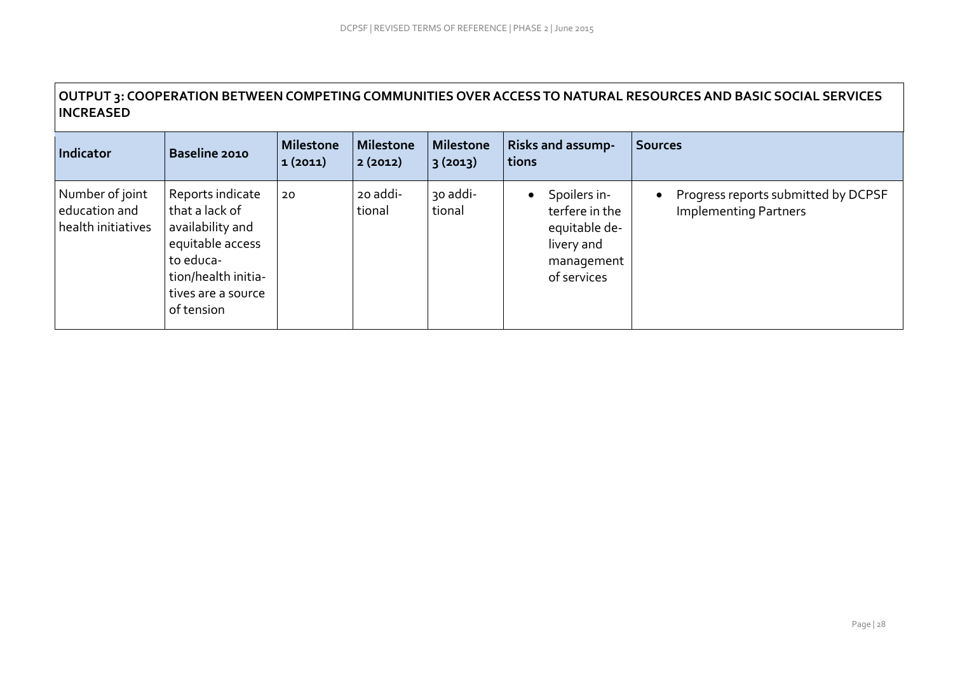# **OUTPUT 3: COOPERATION BETWEEN COMPETING COMMUNITIES OVER ACCESS TO NATURAL RESOURCES AND BASIC SOCIAL SERVICES INCREASED**

| Indicator                                              | <b>Baseline 2010</b>                                                                                                                               | <b>Milestone</b><br>1(2011) | <b>Milestone</b><br>2(2012) | <b>Milestone</b><br>3(2013) | <b>Risks and assump-</b><br>tions                                                          | Sources                                                             |
|--------------------------------------------------------|----------------------------------------------------------------------------------------------------------------------------------------------------|-----------------------------|-----------------------------|-----------------------------|--------------------------------------------------------------------------------------------|---------------------------------------------------------------------|
| Number of joint<br>education and<br>health initiatives | Reports indicate<br>that a lack of<br>availability and<br>equitable access<br>to educa-<br>tion/health initia-<br>tives are a source<br>of tension | 20                          | 20 addi-<br>tional          | 30 addi-<br>tional          | Spoilers in-<br>terfere in the<br>equitable de-<br>livery and<br>management<br>of services | Progress reports submitted by DCPSF<br><b>Implementing Partners</b> |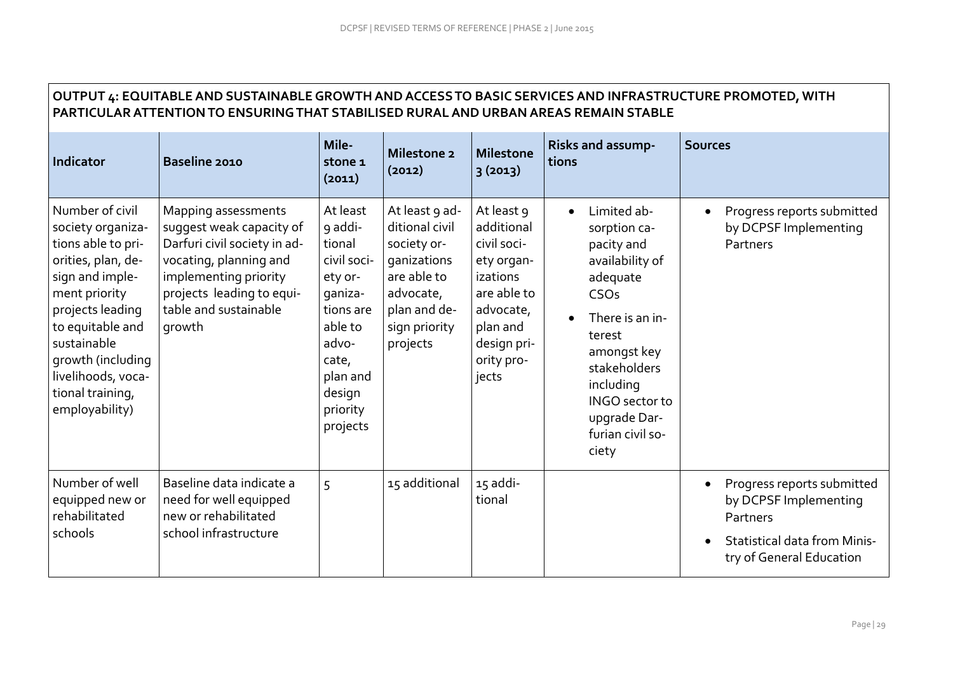$\Gamma$ 

| OUTPUT 4: EQUITABLE AND SUSTAINABLE GROWTH AND ACCESS TO BASIC SERVICES AND INFRASTRUCTURE PROMOTED, WITH<br>PARTICULAR ATTENTION TO ENSURING THAT STABILISED RURAL AND URBAN AREAS REMAIN STABLE                                                            |                                                                                                                                                                                                    |                                                                                                                                                            |                                                                                                                                         |                                                                                                                                                 |                                                                                                                                                                                                                                       |                                                                                                                                    |  |  |  |  |
|--------------------------------------------------------------------------------------------------------------------------------------------------------------------------------------------------------------------------------------------------------------|----------------------------------------------------------------------------------------------------------------------------------------------------------------------------------------------------|------------------------------------------------------------------------------------------------------------------------------------------------------------|-----------------------------------------------------------------------------------------------------------------------------------------|-------------------------------------------------------------------------------------------------------------------------------------------------|---------------------------------------------------------------------------------------------------------------------------------------------------------------------------------------------------------------------------------------|------------------------------------------------------------------------------------------------------------------------------------|--|--|--|--|
| Indicator                                                                                                                                                                                                                                                    | Baseline 2010                                                                                                                                                                                      | Mile-<br>stone 1<br>(2011)                                                                                                                                 | Milestone 2<br>(2012)                                                                                                                   | <b>Milestone</b><br>3(2013)                                                                                                                     | <b>Risks and assump-</b><br>tions                                                                                                                                                                                                     | <b>Sources</b>                                                                                                                     |  |  |  |  |
| Number of civil<br>society organiza-<br>tions able to pri-<br>orities, plan, de-<br>sign and imple-<br>ment priority<br>projects leading<br>to equitable and<br>sustainable<br>growth (including<br>livelihoods, voca-<br>tional training,<br>employability) | Mapping assessments<br>suggest weak capacity of<br>Darfuri civil society in ad-<br>vocating, planning and<br>implementing priority<br>projects leading to equi-<br>table and sustainable<br>growth | At least<br>9 addi-<br>tional<br>civil soci-<br>ety or-<br>qaniza-<br>tions are<br>able to<br>advo-<br>cate,<br>plan and<br>design<br>priority<br>projects | At least 9 ad-<br>ditional civil<br>society or-<br>ganizations<br>are able to<br>advocate,<br>plan and de-<br>sign priority<br>projects | At least 9<br>additional<br>civil soci-<br>ety organ-<br>izations<br>are able to<br>advocate,<br>plan and<br>design pri-<br>ority pro-<br>jects | Limited ab-<br>$\bullet$<br>sorption ca-<br>pacity and<br>availability of<br>adequate<br>CSOs<br>There is an in-<br>terest<br>amongst key<br>stakeholders<br>including<br>INGO sector to<br>upgrade Dar-<br>furian civil so-<br>ciety | Progress reports submitted<br>by DCPSF Implementing<br>Partners                                                                    |  |  |  |  |
| Number of well<br>equipped new or<br>rehabilitated<br>schools                                                                                                                                                                                                | Baseline data indicate a<br>need for well equipped<br>new or rehabilitated<br>school infrastructure                                                                                                | 5                                                                                                                                                          | 15 additional                                                                                                                           | 15 addi-<br>tional                                                                                                                              |                                                                                                                                                                                                                                       | Progress reports submitted<br>by DCPSF Implementing<br>Partners<br><b>Statistical data from Minis-</b><br>try of General Education |  |  |  |  |

٦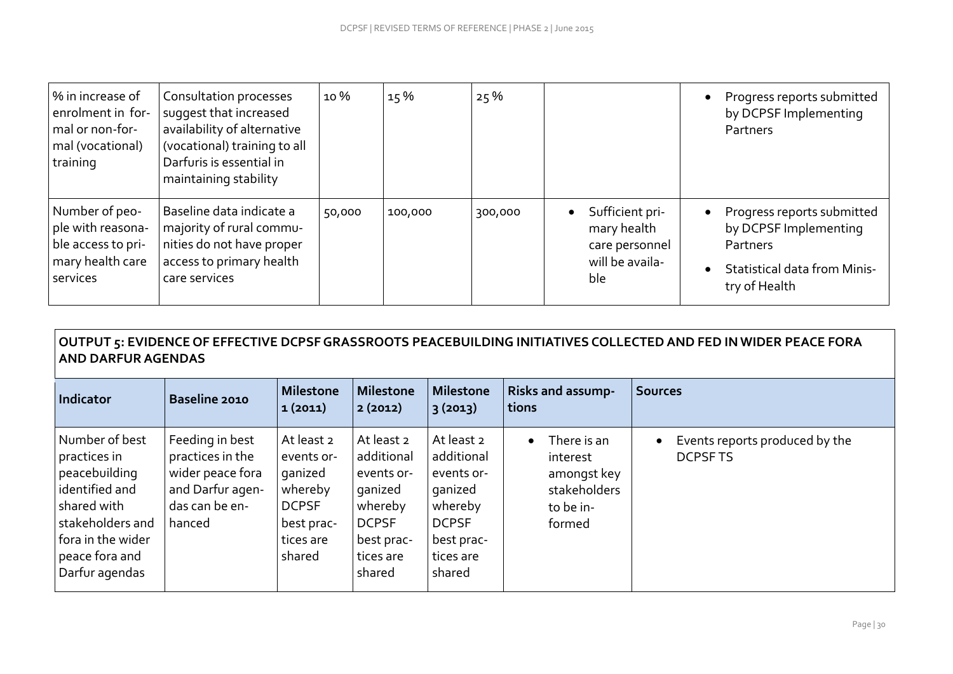| % in increase of<br>enrolment in for-<br>mal or non-for-<br>mal (vocational)<br>training  | Consultation processes<br>suggest that increased<br>availability of alternative<br>(vocational) training to all<br>Darfuris is essential in<br>maintaining stability | 10 %   | 15%     | 25%     |                                                                                         |           | Progress reports submitted<br>by DCPSF Implementing<br>Partners                                                         |
|-------------------------------------------------------------------------------------------|----------------------------------------------------------------------------------------------------------------------------------------------------------------------|--------|---------|---------|-----------------------------------------------------------------------------------------|-----------|-------------------------------------------------------------------------------------------------------------------------|
| Number of peo-<br>ple with reasona-<br>ble access to pri-<br>mary health care<br>services | Baseline data indicate a<br>majority of rural commu-<br>nities do not have proper<br>access to primary health<br>care services                                       | 50,000 | 100,000 | 300,000 | Sufficient pri-<br>$\bullet$<br>mary health<br>care personnel<br>will be availa-<br>ble | $\bullet$ | Progress reports submitted<br>by DCPSF Implementing<br>Partners<br><b>Statistical data from Minis-</b><br>try of Health |

# **OUTPUT 5: EVIDENCE OF EFFECTIVE DCPSF GRASSROOTS PEACEBUILDING INITIATIVES COLLECTED AND FED IN WIDER PEACE FORA AND DARFUR AGENDAS**

| Indicator                                                                                                                                                     | <b>Baseline 2010</b>                                                                                    | Milestone<br> 1 (2011)                                                                              | <b>Milestone</b><br>2(2012)                                                                                       | <b>Milestone</b><br>3 (2013)                                                                                      | <b>Risks and assump-</b><br>tions                                                          | <b>Sources</b>                                   |
|---------------------------------------------------------------------------------------------------------------------------------------------------------------|---------------------------------------------------------------------------------------------------------|-----------------------------------------------------------------------------------------------------|-------------------------------------------------------------------------------------------------------------------|-------------------------------------------------------------------------------------------------------------------|--------------------------------------------------------------------------------------------|--------------------------------------------------|
| Number of best<br>practices in<br>peacebuilding<br>identified and<br>shared with<br>stakeholders and<br>fora in the wider<br>peace fora and<br>Darfur agendas | Feeding in best<br>practices in the<br>wider peace fora<br>and Darfur agen-<br>das can be en-<br>hanced | At least 2<br>events or-<br>ganized<br>whereby<br><b>DCPSF</b><br>best prac-<br>tices are<br>shared | At least 2<br>additional<br>events or-<br>ganized<br>whereby<br><b>DCPSF</b><br>best prac-<br>tices are<br>shared | At least 2<br>additional<br>events or-<br>ganized<br>whereby<br><b>DCPSF</b><br>best prac-<br>tices are<br>shared | There is an<br>$\bullet$<br>interest<br>amongst key<br>stakeholders<br>to be in-<br>formed | Events reports produced by the<br><b>DCPSFTS</b> |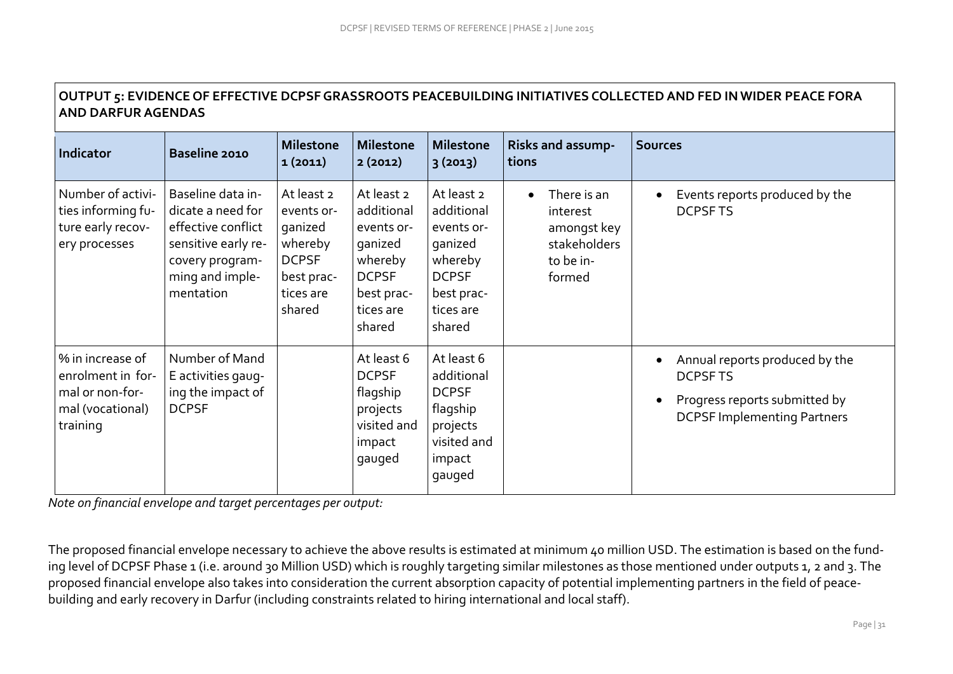| <b>AND DARFUR AGENDAS</b>                                                                |                                                                                                                                        |                                                                                                     |                                                                                                                   |                                                                                                                   |                                                                               |                                                                                                                         |  |  |  |  |
|------------------------------------------------------------------------------------------|----------------------------------------------------------------------------------------------------------------------------------------|-----------------------------------------------------------------------------------------------------|-------------------------------------------------------------------------------------------------------------------|-------------------------------------------------------------------------------------------------------------------|-------------------------------------------------------------------------------|-------------------------------------------------------------------------------------------------------------------------|--|--|--|--|
| Indicator                                                                                | Baseline 2010                                                                                                                          | <b>Milestone</b><br>1(2011)                                                                         | <b>Milestone</b><br>2(2012)                                                                                       | <b>Milestone</b><br>3(2013)                                                                                       | Risks and assump-<br>tions                                                    | <b>Sources</b>                                                                                                          |  |  |  |  |
| Number of activi-<br>ties informing fu-<br>ture early recov-<br>ery processes            | Baseline data in-<br>dicate a need for<br>effective conflict<br>sensitive early re-<br>covery program-<br>ming and imple-<br>mentation | At least 2<br>events or-<br>ganized<br>whereby<br><b>DCPSF</b><br>best prac-<br>tices are<br>shared | At least 2<br>additional<br>events or-<br>ganized<br>whereby<br><b>DCPSF</b><br>best prac-<br>tices are<br>shared | At least 2<br>additional<br>events or-<br>ganized<br>whereby<br><b>DCPSF</b><br>best prac-<br>tices are<br>shared | There is an<br>interest<br>amongst key<br>stakeholders<br>to be in-<br>formed | Events reports produced by the<br><b>DCPSFTS</b>                                                                        |  |  |  |  |
| % in increase of<br>enrolment in for-<br>mal or non-for-<br>mal (vocational)<br>training | Number of Mand<br>E activities gaug-<br>ing the impact of<br><b>DCPSF</b>                                                              |                                                                                                     | At least 6<br><b>DCPSF</b><br>flagship<br>projects<br>visited and<br>impact<br>gauged                             | At least 6<br>additional<br><b>DCPSF</b><br>flagship<br>projects<br>visited and<br>impact<br>gauged               |                                                                               | Annual reports produced by the<br><b>DCPSFTS</b><br>Progress reports submitted by<br><b>DCPSF Implementing Partners</b> |  |  |  |  |

# **OUTPUT 5: EVIDENCE OF EFFECTIVE DCPSF GRASSROOTS PEACEBUILDING INITIATIVES COLLECTED AND FED IN WIDER PEACE FORA**

*Note on financial envelope and target percentages per output:*

The proposed financial envelope necessary to achieve the above results is estimated at minimum 40 million USD. The estimation is based on the funding level of DCPSF Phase 1 (i.e. around 30 Million USD) which is roughly targeting similar milestones as those mentioned under outputs 1, 2 and 3. The proposed financial envelope also takes into consideration the current absorption capacity of potential implementing partners in the field of peacebuilding and early recovery in Darfur (including constraints related to hiring international and local staff).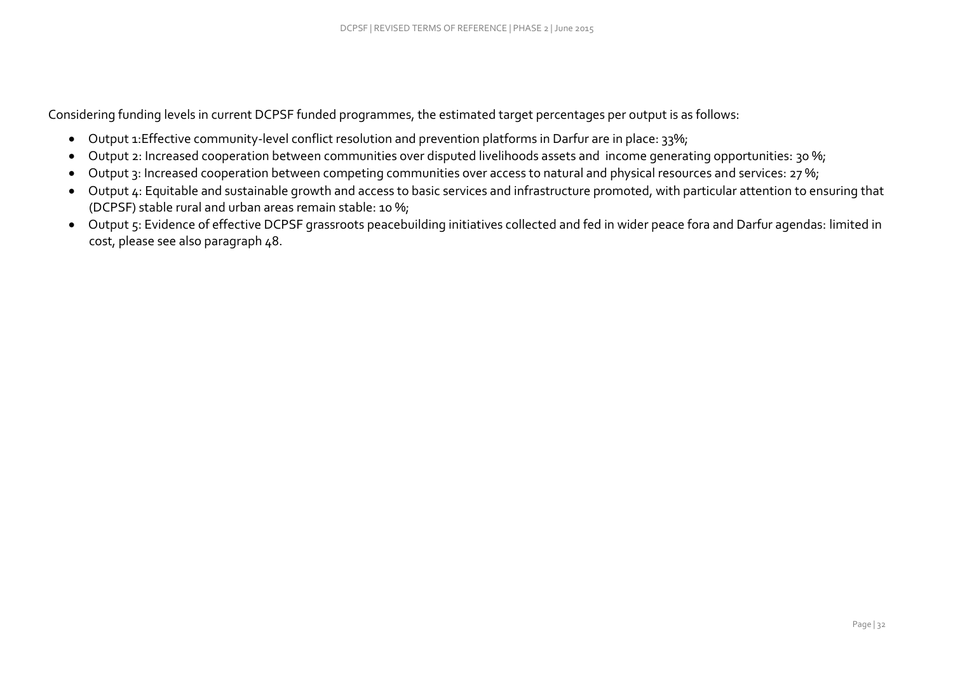Considering funding levels in current DCPSF funded programmes, the estimated target percentages per output is as follows:

- Output 1:Effective community-level conflict resolution and prevention platforms in Darfur are in place: 33%;
- Output 2: Increased cooperation between communities over disputed livelihoods assets and income generating opportunities: 30 %;
- Output 3: Increased cooperation between competing communities over access to natural and physical resources and services: 27 %;
- Output 4: Equitable and sustainable growth and access to basic services and infrastructure promoted, with particular attention to ensuring that (DCPSF) stable rural and urban areas remain stable: 10 %;
- Output 5: Evidence of effective DCPSF grassroots peacebuilding initiatives collected and fed in wider peace fora and Darfur agendas: limited in cost, please see also paragraph 48.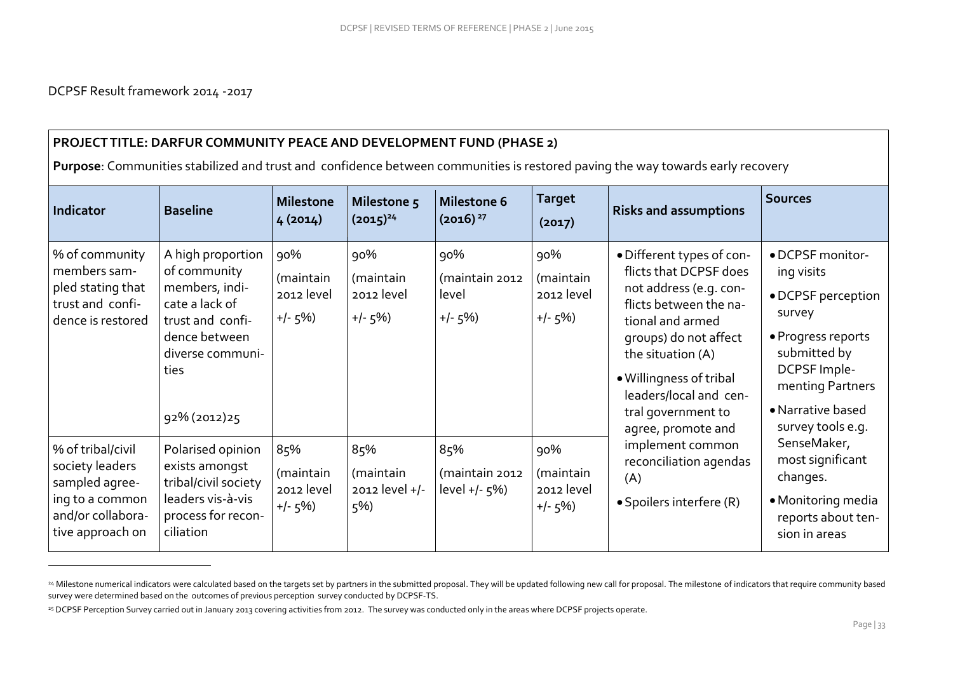$\overline{a}$ 

### **PROJECT TITLE: DARFUR COMMUNITY PEACE AND DEVELOPMENT FUND (PHASE 2)**

**Purpose**: Communities stabilized and trust and confidence between communities is restored paving the way towards early recovery

| Indicator                                                                                                          | <b>Baseline</b>                                                                                                                                         | <b>Milestone</b><br>4(2014)                 | Milestone 5<br>$(2015)^{24}$                | Milestone 6<br>$(2016)^{27}$                | <b>Target</b><br>(2017)                     | <b>Risks and assumptions</b>                                                                                                                                                                                                                                               | <b>Sources</b>                                                                                                                                                                     |
|--------------------------------------------------------------------------------------------------------------------|---------------------------------------------------------------------------------------------------------------------------------------------------------|---------------------------------------------|---------------------------------------------|---------------------------------------------|---------------------------------------------|----------------------------------------------------------------------------------------------------------------------------------------------------------------------------------------------------------------------------------------------------------------------------|------------------------------------------------------------------------------------------------------------------------------------------------------------------------------------|
| % of community<br>members sam-<br>pled stating that<br>trust and confi-<br>dence is restored                       | A high proportion<br>of community<br>members, indi-<br>cate a lack of<br>trust and confi-<br>dence between<br>diverse communi-<br>ties<br>92% (2012) 25 | 90%<br>(maintain<br>2012 level<br>$+/-$ 5%) | 90%<br>(maintain<br>2012 level<br>$+/- 5\%$ | 90%<br>(maintain 2012<br>level<br>$+/- 5\%$ | 90%<br>(maintain<br>2012 level<br>$+/- 5\%$ | • Different types of con-<br>flicts that DCPSF does<br>not address (e.g. con-<br>flicts between the na-<br>tional and armed<br>groups) do not affect<br>the situation (A)<br>. Willingness of tribal<br>leaders/local and cen-<br>tral government to<br>agree, promote and | • DCPSF monitor-<br>ing visits<br>• DCPSF perception<br>survey<br>• Progress reports<br>submitted by<br>DCPSF Imple-<br>menting Partners<br>• Narrative based<br>survey tools e.g. |
| % of tribal/civil<br>society leaders<br>sampled agree-<br>ing to a common<br>and/or collabora-<br>tive approach on | Polarised opinion<br>exists amongst<br>tribal/civil society<br>leaders vis-à-vis<br>process for recon-<br>ciliation                                     | 85%<br>(maintain<br>2012 level<br>$+/- 5\%$ | 85%<br>(maintain<br>2012 level +/-<br>5%)   | 85%<br>(maintain 2012<br>level $+/-$ 5%)    | 90%<br>(maintain<br>2012 level<br>$+/- 5\%$ | implement common<br>reconciliation agendas<br>(A)<br>• Spoilers interfere (R)                                                                                                                                                                                              | SenseMaker,<br>most significant<br>changes.<br>• Monitoring media<br>reports about ten-<br>sion in areas                                                                           |

<sup>&</sup>lt;sup>24</sup> Milestone numerical indicators were calculated based on the targets set by partners in the submitted proposal. They will be updated following new call for proposal. The milestone of indicators that require community b survey were determined based on the outcomes of previous perception survey conducted by DCPSF-TS.

<sup>&</sup>lt;sup>25</sup> DCPSF Perception Survey carried out in January 2013 covering activities from 2012. The survey was conducted only in the areas where DCPSF projects operate.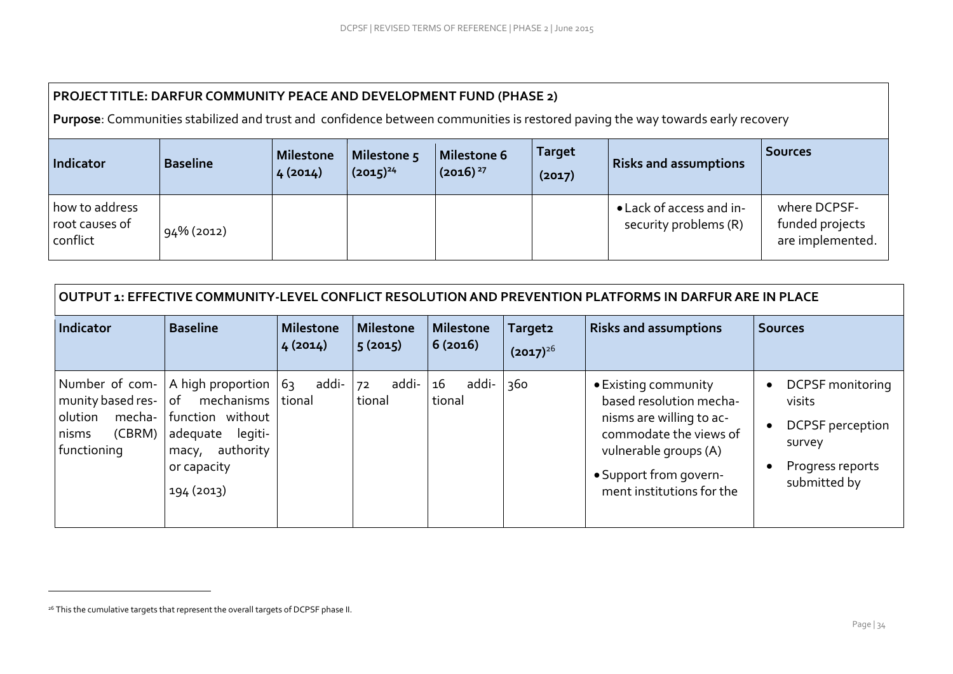## **PROJECT TITLE: DARFUR COMMUNITY PEACE AND DEVELOPMENT FUND (PHASE 2)**

**Purpose**: Communities stabilized and trust and confidence between communities is restored paving the way towards early recovery

| Indicator                                    | <b>Baseline</b> | Milestone<br>4(2014) | Milestone <sub>5</sub><br>$(2015)^{24}$ | Milestone 6<br>$(2016)^{27}$ | <b>Target</b><br>(2017) | <b>Risks and assumptions</b>                      | <b>Sources</b>                                      |
|----------------------------------------------|-----------------|----------------------|-----------------------------------------|------------------------------|-------------------------|---------------------------------------------------|-----------------------------------------------------|
| how to address<br>root causes of<br>conflict | 94% (2012)      |                      |                                         |                              |                         | • Lack of access and in-<br>security problems (R) | where DCPSF-<br>funded projects<br>are implemented. |

| OUTPUT 1: EFFECTIVE COMMUNITY-LEVEL CONFLICT RESOLUTION AND PREVENTION PLATFORMS IN DARFUR ARE IN PLACE |                                                                                                                                                |                             |                       |                       |                                      |                                                                                                                                                                                       |                                                                                                            |  |  |
|---------------------------------------------------------------------------------------------------------|------------------------------------------------------------------------------------------------------------------------------------------------|-----------------------------|-----------------------|-----------------------|--------------------------------------|---------------------------------------------------------------------------------------------------------------------------------------------------------------------------------------|------------------------------------------------------------------------------------------------------------|--|--|
| <b>Indicator</b>                                                                                        | <b>Baseline</b>                                                                                                                                | <b>Milestone</b><br>4(2014) | Milestone<br>5(2015)  | Milestone<br> 6(2016) | Target <sub>2</sub><br>$(2017)^{26}$ | <b>Risks and assumptions</b>                                                                                                                                                          | <b>Sources</b>                                                                                             |  |  |
| Number of com-<br>munity based res-<br>mecha-<br>olution<br>(CBRM)<br>nisms<br>functioning              | A high proportion<br>mechanisms   tional<br>l of<br>function without<br>adequate<br>legiti-<br>authority<br>macy,<br>or capacity<br>194 (2013) | addi-<br>63                 | addi-<br>72<br>tional | addi-<br>16<br>tional | 360                                  | • Existing community<br>based resolution mecha-<br>nisms are willing to ac-<br>commodate the views of<br>vulnerable groups (A)<br>• Support from govern-<br>ment institutions for the | <b>DCPSF</b> monitoring<br>visits<br><b>DCPSF</b> perception<br>survey<br>Progress reports<br>submitted by |  |  |

 $\overline{a}$ 

<sup>&</sup>lt;sup>26</sup> This the cumulative targets that represent the overall targets of DCPSF phase II.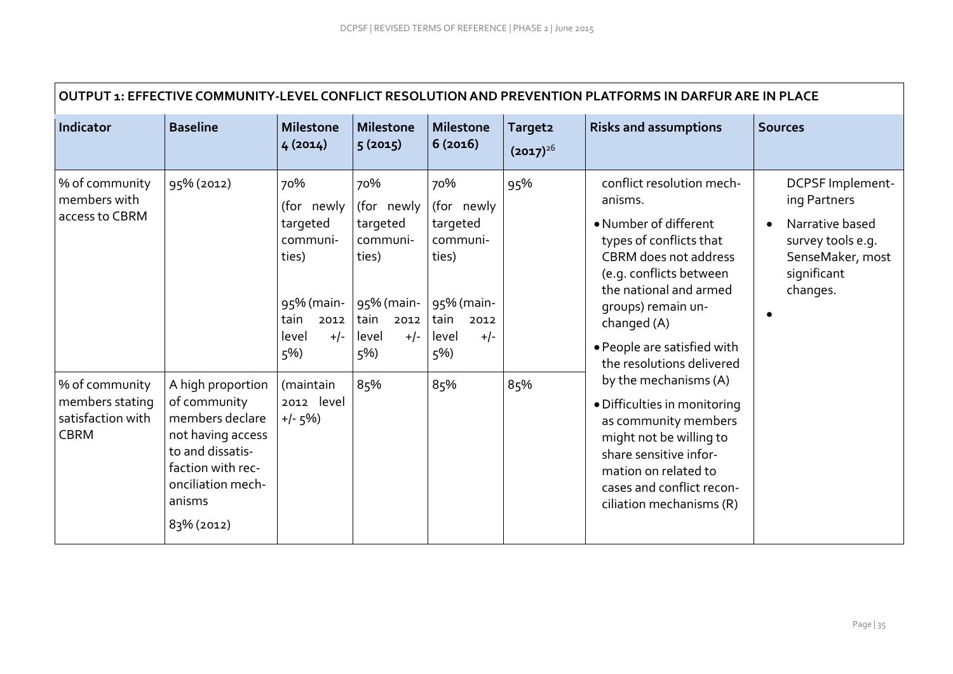| OUTPUT 1: EFFECTIVE COMMUNITY-LEVEL CONFLICT RESOLUTION AND PREVENTION PLATFORMS IN DARFUR ARE IN PLACE |                                                                                                                                            |                                                                                                                        |                                                                                                                    |                                                                                                                  |                                      |                                                                                                                                                                                                                                                                                                  |                                                                                                                         |  |  |  |
|---------------------------------------------------------------------------------------------------------|--------------------------------------------------------------------------------------------------------------------------------------------|------------------------------------------------------------------------------------------------------------------------|--------------------------------------------------------------------------------------------------------------------|------------------------------------------------------------------------------------------------------------------|--------------------------------------|--------------------------------------------------------------------------------------------------------------------------------------------------------------------------------------------------------------------------------------------------------------------------------------------------|-------------------------------------------------------------------------------------------------------------------------|--|--|--|
| Indicator                                                                                               | <b>Baseline</b>                                                                                                                            | <b>Milestone</b><br>4(2014)                                                                                            | <b>Milestone</b><br>5(2015)                                                                                        | <b>Milestone</b><br>6(2016)                                                                                      | Target <sub>2</sub><br>$(2017)^{26}$ | <b>Risks and assumptions</b>                                                                                                                                                                                                                                                                     | <b>Sources</b>                                                                                                          |  |  |  |
| % of community<br>members with<br>access to CBRM<br>% of community                                      | 95% (2012)<br>A high proportion                                                                                                            | 70%<br>(for newly<br>targeted<br>communi-<br>ties)<br>95% (main-<br>tain<br>2012<br>level<br>$+/-$<br>5%)<br>(maintain | 70%<br>(for newly<br>targeted<br>communi-<br>ties)<br>95% (main-<br>tain<br>2012<br>level<br>$+/-$<br>$5\%$<br>85% | 70%<br>(for newly<br>targeted<br>communi-<br>ties)<br>95% (main-<br>tain<br>2012<br>$+/-$<br>level<br>5%)<br>85% | 95%<br>85%                           | conflict resolution mech-<br>anisms.<br>• Number of different<br>types of conflicts that<br>CBRM does not address<br>(e.g. conflicts between<br>the national and armed<br>groups) remain un-<br>changed (A)<br>· People are satisfied with<br>the resolutions delivered<br>by the mechanisms (A) | DCPSF Implement-<br>ing Partners<br>Narrative based<br>survey tools e.g.<br>SenseMaker, most<br>significant<br>changes. |  |  |  |
| members stating<br>satisfaction with<br><b>CBRM</b>                                                     | of community<br>members declare<br>not having access<br>to and dissatis-<br>faction with rec-<br>onciliation mech-<br>anisms<br>83% (2012) | 2012 level<br>$+/- 5\%$                                                                                                |                                                                                                                    |                                                                                                                  |                                      | · Difficulties in monitoring<br>as community members<br>might not be willing to<br>share sensitive infor-<br>mation on related to<br>cases and conflict recon-<br>ciliation mechanisms (R)                                                                                                       |                                                                                                                         |  |  |  |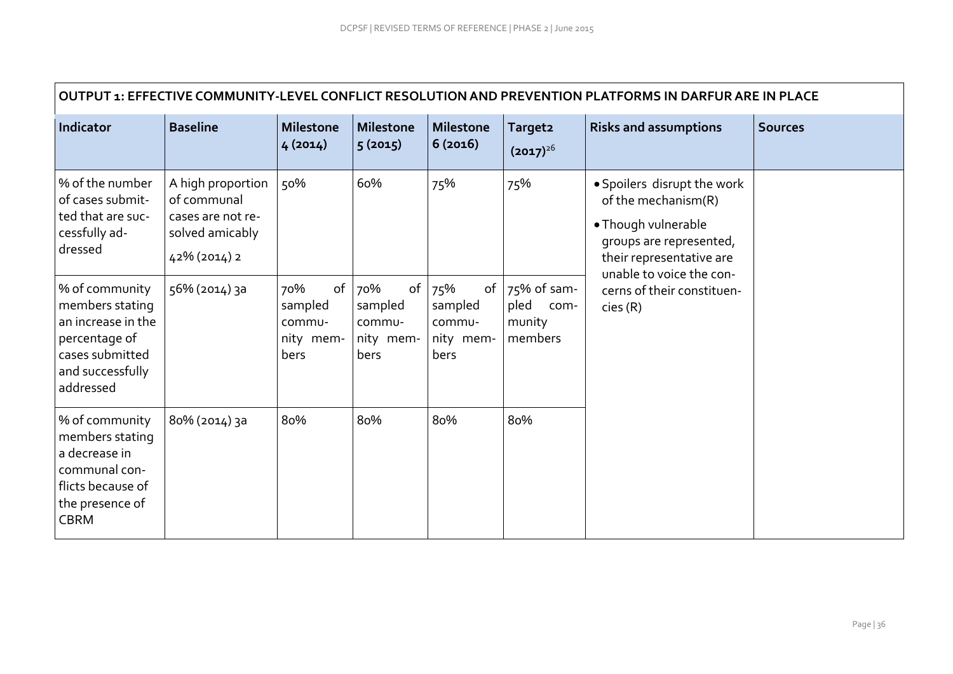| OUTPUT 1: EFFECTIVE COMMUNITY-LEVEL CONFLICT RESOLUTION AND PREVENTION PLATFORMS IN DARFUR ARE IN PLACE                      |                                                                                          |                                                     |                                               |                                                          |                                                  |                                                                                                                                                                                                       |                |  |  |  |
|------------------------------------------------------------------------------------------------------------------------------|------------------------------------------------------------------------------------------|-----------------------------------------------------|-----------------------------------------------|----------------------------------------------------------|--------------------------------------------------|-------------------------------------------------------------------------------------------------------------------------------------------------------------------------------------------------------|----------------|--|--|--|
| Indicator                                                                                                                    | Baseline                                                                                 | <b>Milestone</b><br>4(2014)                         | <b>Milestone</b><br>5(2015)                   | <b>Milestone</b><br>6(2016)                              | Target <sub>2</sub><br>$(2017)^{26}$             | <b>Risks and assumptions</b>                                                                                                                                                                          | <b>Sources</b> |  |  |  |
| % of the number<br>of cases submit-<br>ted that are suc-<br>cessfully ad-<br>dressed                                         | A high proportion<br>of communal<br>cases are not re-<br>solved amicably<br>42% (2014) 2 | 50%                                                 | 60%                                           | 75%                                                      | 75%                                              | • Spoilers disrupt the work<br>of the mechanism(R)<br>• Though vulnerable<br>groups are represented,<br>their representative are<br>unable to voice the con-<br>cerns of their constituen-<br>cies(R) |                |  |  |  |
| % of community<br>members stating<br>an increase in the<br>percentage of<br>cases submitted<br>and successfully<br>addressed | 56% (2014) 3a                                                                            | 70%<br>of<br>sampled<br>commu-<br>nity mem-<br>bers | 70%<br>sampled<br>commu-<br>nity mem-<br>bers | of $75%$<br>of<br>sampled<br>commu-<br>nity mem-<br>bers | 75% of sam-<br>pled<br>com-<br>munity<br>members |                                                                                                                                                                                                       |                |  |  |  |
| % of community<br>members stating<br>a decrease in<br>communal con-<br>flicts because of<br>the presence of<br><b>CBRM</b>   | 8о% (2014) за                                                                            | 80%                                                 | 80%                                           | 80%                                                      | 80%                                              |                                                                                                                                                                                                       |                |  |  |  |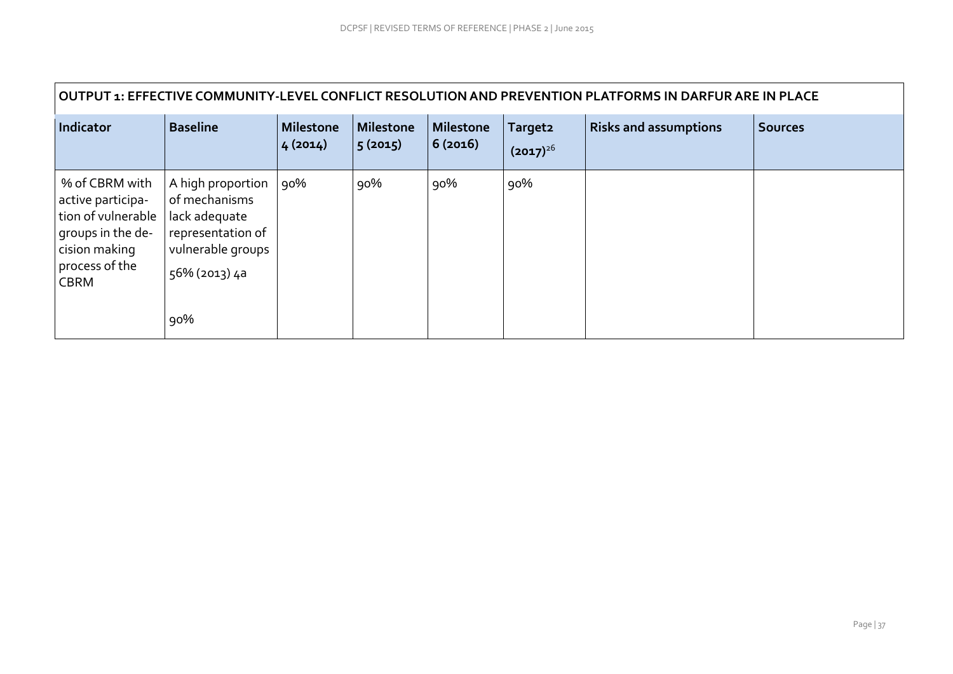| OUTPUT 1: EFFECTIVE COMMUNITY-LEVEL CONFLICT RESOLUTION AND PREVENTION PLATFORMS IN DARFUR ARE IN PLACE                          |                                                                                                                       |                             |                             |                      |                                      |                              |                |  |  |  |
|----------------------------------------------------------------------------------------------------------------------------------|-----------------------------------------------------------------------------------------------------------------------|-----------------------------|-----------------------------|----------------------|--------------------------------------|------------------------------|----------------|--|--|--|
| Indicator                                                                                                                        | <b>Baseline</b>                                                                                                       | <b>Milestone</b><br>4(2014) | <b>Milestone</b><br>5(2015) | Milestone<br>6(2016) | Target <sub>2</sub><br>$(2017)^{26}$ | <b>Risks and assumptions</b> | <b>Sources</b> |  |  |  |
| % of CBRM with<br>active participa-<br>tion of vulnerable<br>groups in the de-<br>cision making<br>process of the<br><b>CBRM</b> | A high proportion<br>of mechanisms<br>lack adequate<br>representation of<br>vulnerable groups<br>56% (2013) 4a<br>90% | $90\%$                      | 90%                         | 90%                  | 90%                                  |                              |                |  |  |  |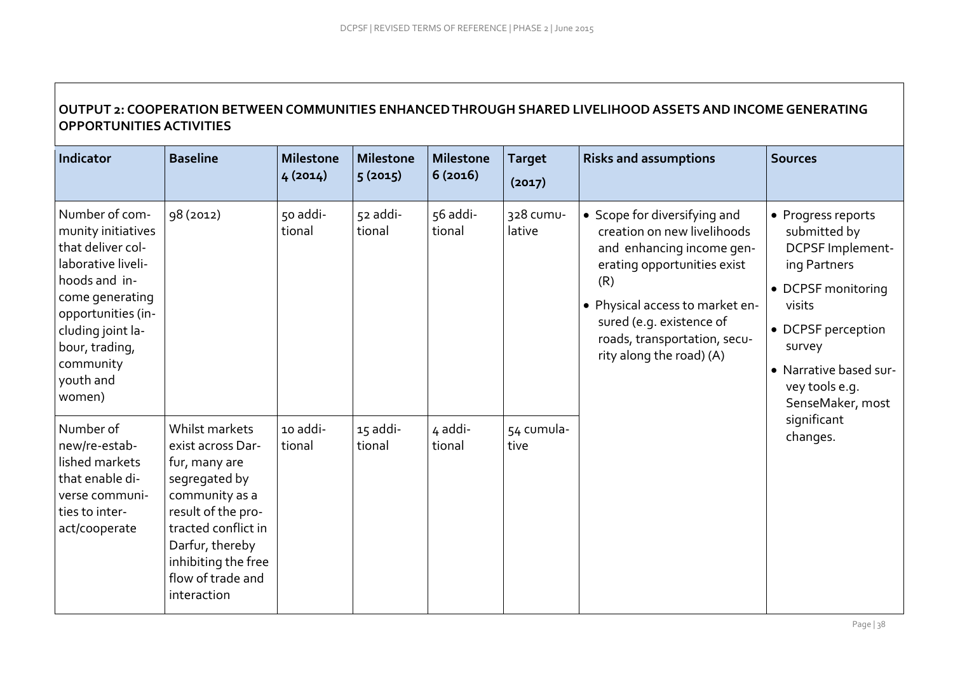# **OUTPUT 2: COOPERATION BETWEEN COMMUNITIES ENHANCED THROUGH SHARED LIVELIHOOD ASSETS AND INCOME GENERATING OPPORTUNITIES ACTIVITIES**

| Indicator                                                                                                                                                                                                            | <b>Baseline</b>                                                                                                                                                                                                    | <b>Milestone</b><br>4(2014) | <b>Milestone</b><br>5(2015) | <b>Milestone</b><br>6(2016) | <b>Target</b><br>(2017) | <b>Risks and assumptions</b>                                                                                                                                                                                                                              | <b>Sources</b>                                                                                                                                                                                         |
|----------------------------------------------------------------------------------------------------------------------------------------------------------------------------------------------------------------------|--------------------------------------------------------------------------------------------------------------------------------------------------------------------------------------------------------------------|-----------------------------|-----------------------------|-----------------------------|-------------------------|-----------------------------------------------------------------------------------------------------------------------------------------------------------------------------------------------------------------------------------------------------------|--------------------------------------------------------------------------------------------------------------------------------------------------------------------------------------------------------|
| Number of com-<br>munity initiatives<br>that deliver col-<br>laborative liveli-<br>hoods and in-<br>come generating<br>opportunities (in-<br>cluding joint la-<br>bour, trading,<br>community<br>youth and<br>women) | 98 (2012)                                                                                                                                                                                                          | 50 addi-<br>tional          | 52 addi-<br>tional          | 56 addi-<br>tional          | 328 cumu-<br>lative     | • Scope for diversifying and<br>creation on new livelihoods<br>and enhancing income gen-<br>erating opportunities exist<br>(R)<br>· Physical access to market en-<br>sured (e.g. existence of<br>roads, transportation, secu-<br>rity along the road) (A) | • Progress reports<br>submitted by<br>DCPSF Implement-<br>ing Partners<br>• DCPSF monitoring<br>visits<br>• DCPSF perception<br>survey<br>• Narrative based sur-<br>vey tools e.g.<br>SenseMaker, most |
| Number of<br>new/re-estab-<br>lished markets<br>that enable di-<br>verse communi-<br>ties to inter-<br>act/cooperate                                                                                                 | Whilst markets<br>exist across Dar-<br>fur, many are<br>segregated by<br>community as a<br>result of the pro-<br>tracted conflict in<br>Darfur, thereby<br>inhibiting the free<br>flow of trade and<br>interaction | 10 addi-<br>tional          | 15 addi-<br>tional          | 4 addi-<br>tional           | 54 cumula-<br>tive      |                                                                                                                                                                                                                                                           | significant<br>changes.                                                                                                                                                                                |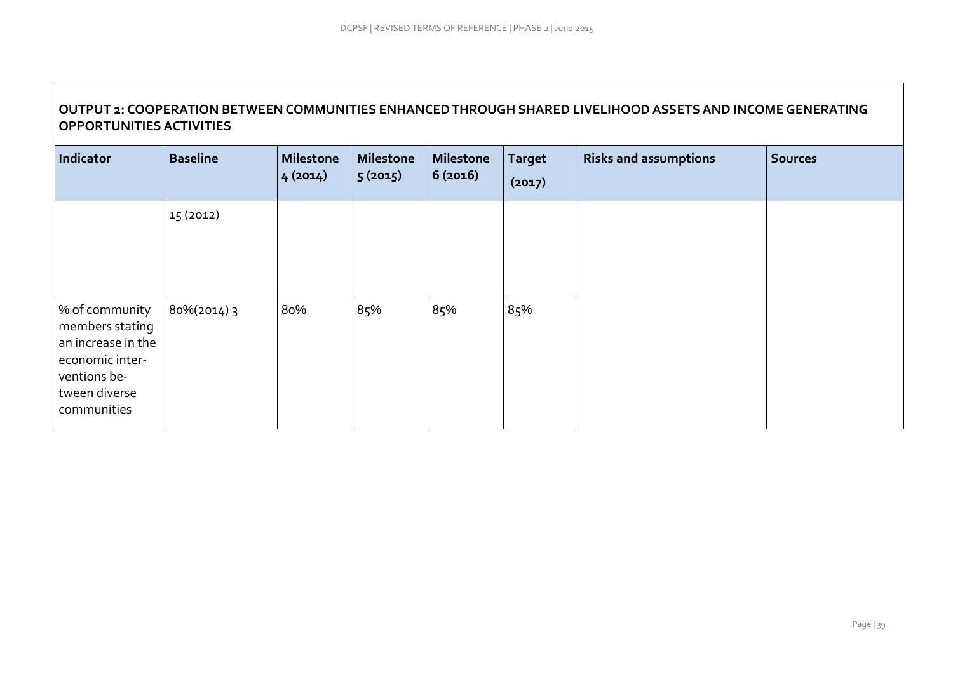# **OUTPUT 2: COOPERATION BETWEEN COMMUNITIES ENHANCED THROUGH SHARED LIVELIHOOD ASSETS AND INCOME GENERATING OPPORTUNITIES ACTIVITIES**

| Indicator                                                                                                                  | <b>Baseline</b> | Milestone<br>4(2014) | <b>Milestone</b><br>5(2015) | Milestone<br>6(2016) | <b>Target</b><br>(2017) | <b>Risks and assumptions</b> | <b>Sources</b> |
|----------------------------------------------------------------------------------------------------------------------------|-----------------|----------------------|-----------------------------|----------------------|-------------------------|------------------------------|----------------|
|                                                                                                                            | 15 (2012)       |                      |                             |                      |                         |                              |                |
| % of community<br>members stating<br>an increase in the<br>economic inter-<br>ventions be-<br>tween diverse<br>communities | 80%(2014) 3     | 80%                  | 85%                         | 85%                  | 85%                     |                              |                |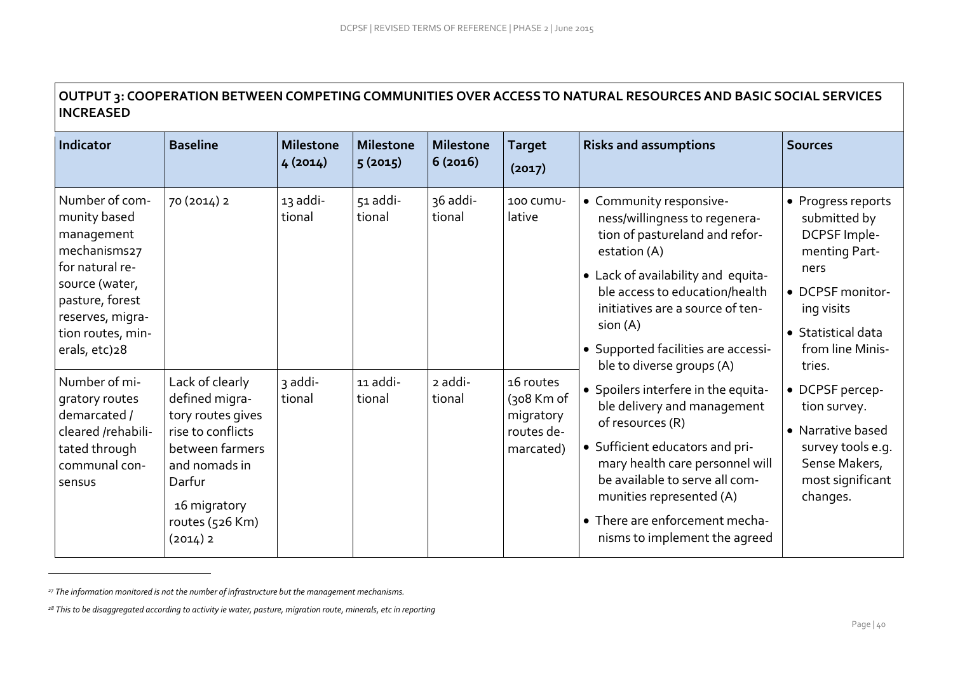| OUTPUT 3: COOPERATION BETWEEN COMPETING COMMUNITIES OVER ACCESS TO NATURAL RESOURCES AND BASIC SOCIAL SERVICES |
|----------------------------------------------------------------------------------------------------------------|
| <b>INCREASED</b>                                                                                               |

| Indicator                                                                                                                                                                      | <b>Baseline</b>                                                                                                                                                         | <b>Milestone</b><br>4(2014) | <b>Milestone</b><br>5(2015) | <b>Milestone</b><br>6(2016) | <b>Target</b><br>(2017)                                            | <b>Risks and assumptions</b>                                                                                                                                                                                                                                                                           | <b>Sources</b>                                                                                                                                                  |
|--------------------------------------------------------------------------------------------------------------------------------------------------------------------------------|-------------------------------------------------------------------------------------------------------------------------------------------------------------------------|-----------------------------|-----------------------------|-----------------------------|--------------------------------------------------------------------|--------------------------------------------------------------------------------------------------------------------------------------------------------------------------------------------------------------------------------------------------------------------------------------------------------|-----------------------------------------------------------------------------------------------------------------------------------------------------------------|
| Number of com-<br>munity based<br>management<br>mechanisms27<br>for natural re-<br>source (water,<br>pasture, forest<br>reserves, migra-<br>tion routes, min-<br>erals, etc)28 | 70 (2014) 2                                                                                                                                                             | 13 addi-<br>tional          | 51 addi-<br>tional          | 36 addi-<br>tional          | 100 CUMU-<br>lative                                                | • Community responsive-<br>ness/willingness to regenera-<br>tion of pastureland and refor-<br>estation (A)<br>• Lack of availability and equita-<br>ble access to education/health<br>initiatives are a source of ten-<br>sion (A)<br>• Supported facilities are accessi-<br>ble to diverse groups (A) | • Progress reports<br>submitted by<br>DCPSF Imple-<br>menting Part-<br>ners<br>DCPSF monitor-<br>ing visits<br>• Statistical data<br>from line Minis-<br>tries. |
| Number of mi-<br>gratory routes<br>demarcated /<br>cleared /rehabili-<br>tated through<br>communal con-<br>sensus                                                              | Lack of clearly<br>defined migra-<br>tory routes gives<br>rise to conflicts<br>between farmers<br>and nomads in<br>Darfur<br>16 migratory<br>routes (526 Km)<br>(2014)2 | 3 addi-<br>tional           | 11 addi-<br>tional          | 2 addi-<br>tional           | 16 routes<br>$(308)$ Km of<br>migratory<br>routes de-<br>marcated) | • Spoilers interfere in the equita-<br>ble delivery and management<br>of resources (R)<br>• Sufficient educators and pri-<br>mary health care personnel will<br>be available to serve all com-<br>munities represented (A)<br>• There are enforcement mecha-<br>nisms to implement the agreed          | • DCPSF percep-<br>tion survey.<br>• Narrative based<br>survey tools e.g.<br>Sense Makers,<br>most significant<br>changes.                                      |

*<sup>27</sup> The information monitored is not the number of infrastructure but the management mechanisms.* 

 $\overline{a}$ 

*<sup>28</sup> This to be disaggregated according to activity ie water, pasture, migration route, minerals, etc in reporting*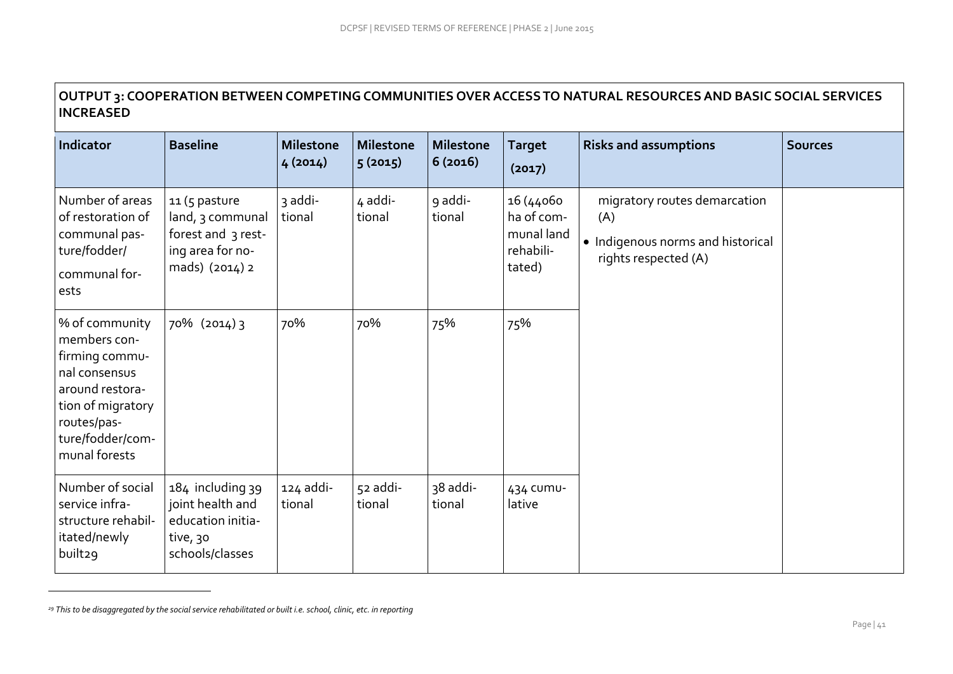# **OUTPUT 3: COOPERATION BETWEEN COMPETING COMMUNITIES OVER ACCESS TO NATURAL RESOURCES AND BASIC SOCIAL SERVICES INCREASED**

| Indicator                                                                                                                                                     | <b>Baseline</b>                                                                               | <b>Milestone</b><br>4(2014) | <b>Milestone</b><br>5(2015) | <b>Milestone</b><br>6(2016) | <b>Target</b><br>(2017)                                      | <b>Risks and assumptions</b>                                                                     | <b>Sources</b> |
|---------------------------------------------------------------------------------------------------------------------------------------------------------------|-----------------------------------------------------------------------------------------------|-----------------------------|-----------------------------|-----------------------------|--------------------------------------------------------------|--------------------------------------------------------------------------------------------------|----------------|
| Number of areas<br>of restoration of<br>communal pas-<br>ture/fodder/<br>communal for-<br>ests                                                                | 11 (5 pasture<br>land, 3 communal<br>forest and 3 rest-<br>ing area for no-<br>mads) (2014) 2 | 3 addi-<br>tional           | 4 addi-<br>tional           | 9 addi-<br>tional           | 16 (44060<br>ha of com-<br>munal land<br>rehabili-<br>tated) | migratory routes demarcation<br>(A)<br>• Indigenous norms and historical<br>rights respected (A) |                |
| % of community<br>members con-<br>firming commu-<br>nal consensus<br>around restora-<br>tion of migratory<br>routes/pas-<br>ture/fodder/com-<br>munal forests | 70% (2014) 3                                                                                  | 70%                         | 70%                         | 75%                         | 75%                                                          |                                                                                                  |                |
| Number of social<br>service infra-<br>structure rehabil-<br>itated/newly<br>built29                                                                           | 184 including 39<br>joint health and<br>education initia-<br>tive, 30<br>schools/classes      | 124 addi-<br>tional         | 52 addi-<br>tional          | 38 addi-<br>tional          | 434 CUMU-<br>lative                                          |                                                                                                  |                |

*<sup>29</sup> This to be disaggregated by the social service rehabilitated or built i.e. school, clinic, etc. in reporting*

 $\overline{a}$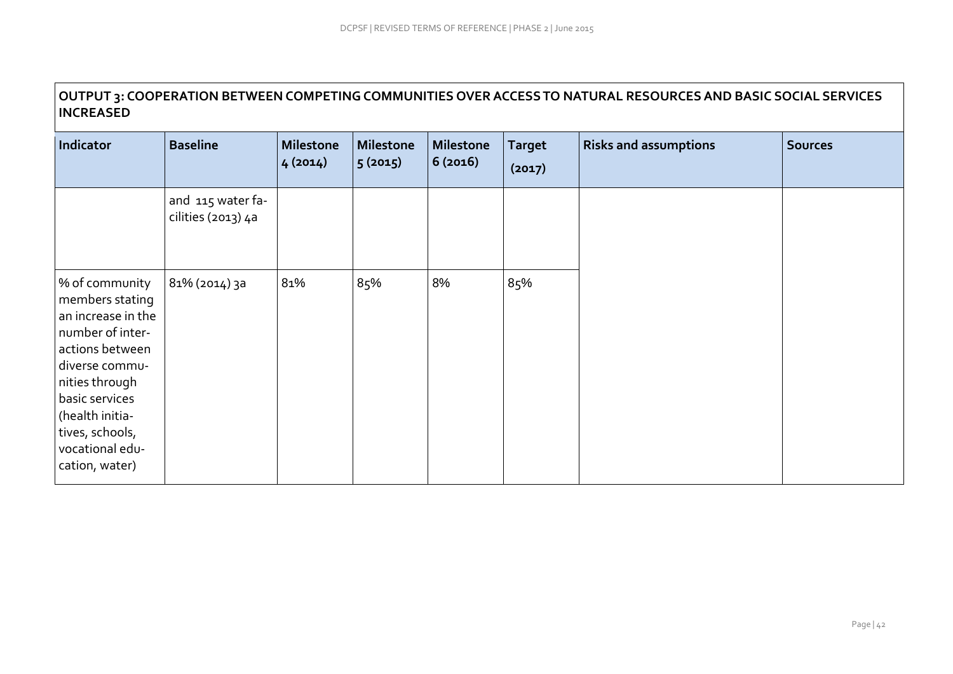# **OUTPUT 3: COOPERATION BETWEEN COMPETING COMMUNITIES OVER ACCESS TO NATURAL RESOURCES AND BASIC SOCIAL SERVICES INCREASED**

| Indicator                                                                                                                                                                                                                       | <b>Baseline</b>                         | <b>Milestone</b><br>4(2014) | <b>Milestone</b><br>5(2015) | <b>Milestone</b><br>6(2016) | <b>Target</b><br>(2017) | <b>Risks and assumptions</b> | <b>Sources</b> |
|---------------------------------------------------------------------------------------------------------------------------------------------------------------------------------------------------------------------------------|-----------------------------------------|-----------------------------|-----------------------------|-----------------------------|-------------------------|------------------------------|----------------|
|                                                                                                                                                                                                                                 | and 115 water fa-<br>cilities (2013) 4a |                             |                             |                             |                         |                              |                |
| % of community<br>members stating<br>an increase in the<br>number of inter-<br>actions between<br>diverse commu-<br>nities through<br>basic services<br>(health initia-<br>tives, schools,<br>vocational edu-<br>cation, water) | 81% (2014) 3a                           | 81%                         | 85%                         | 8%                          | 85%                     |                              |                |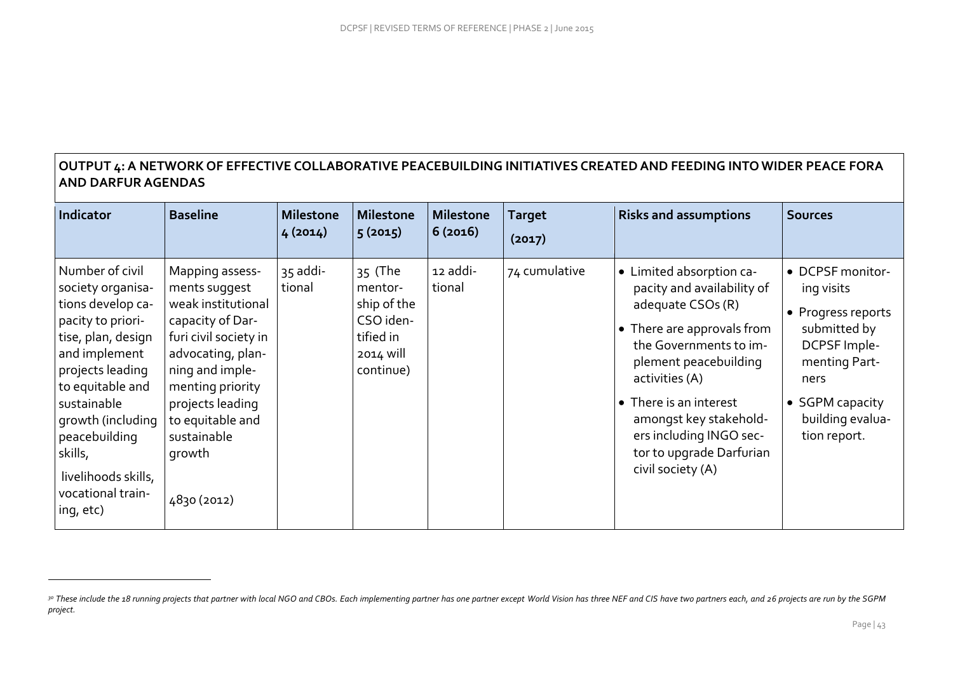# **OUTPUT 4: A NETWORK OF EFFECTIVE COLLABORATIVE PEACEBUILDING INITIATIVES CREATEDAND FEEDING INTO WIDER PEACE FORA AND DARFUR AGENDAS**

| Indicator                                                                                                                                                                                                                                                                              | <b>Baseline</b>                                                                                                                                                                                                                                 | <b>Milestone</b><br>4(2014) | <b>Milestone</b><br>5(2015)                                                           | <b>Milestone</b><br>6(2016) | <b>Target</b><br>(2017) | <b>Risks and assumptions</b>                                                                                                                                                                                                                                                                                   | <b>Sources</b>                                                                                                                                                       |
|----------------------------------------------------------------------------------------------------------------------------------------------------------------------------------------------------------------------------------------------------------------------------------------|-------------------------------------------------------------------------------------------------------------------------------------------------------------------------------------------------------------------------------------------------|-----------------------------|---------------------------------------------------------------------------------------|-----------------------------|-------------------------|----------------------------------------------------------------------------------------------------------------------------------------------------------------------------------------------------------------------------------------------------------------------------------------------------------------|----------------------------------------------------------------------------------------------------------------------------------------------------------------------|
| Number of civil<br>society organisa-<br>tions develop ca-<br>pacity to priori-<br>tise, plan, design<br>and implement<br>projects leading<br>to equitable and<br>sustainable<br>growth (including<br>peacebuilding<br>skills,<br>livelihoods skills,<br>vocational train-<br>ing, etc) | Mapping assess-<br>ments suggest<br>weak institutional<br>capacity of Dar-<br>furi civil society in<br>advocating, plan-<br>ning and imple-<br>menting priority<br>projects leading<br>to equitable and<br>sustainable<br>growth<br>4830 (2012) | 35 addi-<br>tional          | 35 (The<br>mentor-<br>ship of the<br>CSO iden-<br>tified in<br>2014 will<br>continue) | 12 addi-<br>tional          | 74 cumulative           | • Limited absorption ca-<br>pacity and availability of<br>adequate CSOs (R)<br>• There are approvals from<br>the Governments to im-<br>plement peacebuilding<br>activities (A)<br>• There is an interest<br>amongst key stakehold-<br>ers including INGO sec-<br>tor to upgrade Darfurian<br>civil society (A) | • DCPSF monitor-<br>ing visits<br>• Progress reports<br>submitted by<br>DCPSF Imple-<br>menting Part-<br>ners<br>• SGPM capacity<br>building evalua-<br>tion report. |

 $\overline{a}$ 

<sup>3</sup>º These include the 18 running projects that partner with local NGO and CBOs. Each implementing partner has one partner except World Vision has three NEF and CIS have two partners each, and 26 projects are run by the SGPM *project.*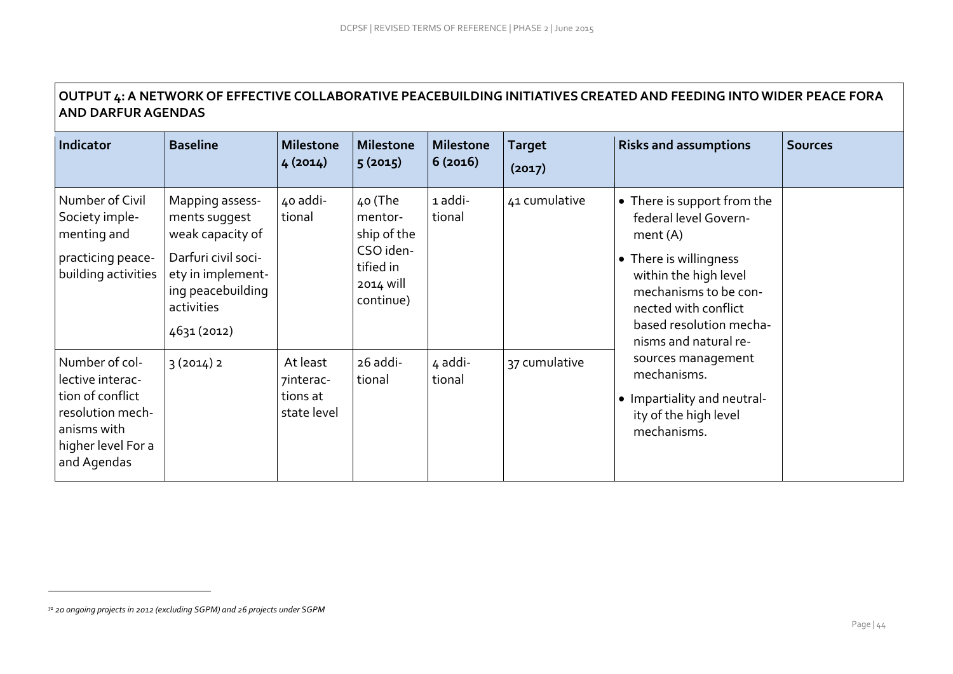# **OUTPUT 4: A NETWORK OF EFFECTIVE COLLABORATIVE PEACEBUILDING INITIATIVES CREATEDAND FEEDING INTO WIDER PEACE FORA AND DARFUR AGENDAS**

| <b>Indicator</b>                                                                                                               | <b>Baseline</b>                                                                                                                                    | <b>Milestone</b><br>4(2014)                      | <b>Milestone</b><br>5(2015)                                                           | <b>Milestone</b><br>6(2016) | <b>Target</b><br>(2017) | <b>Risks and assumptions</b>                                                                                                                                                                                            | <b>Sources</b> |
|--------------------------------------------------------------------------------------------------------------------------------|----------------------------------------------------------------------------------------------------------------------------------------------------|--------------------------------------------------|---------------------------------------------------------------------------------------|-----------------------------|-------------------------|-------------------------------------------------------------------------------------------------------------------------------------------------------------------------------------------------------------------------|----------------|
| Number of Civil<br>Society imple-<br>menting and<br>practicing peace-<br>building activities                                   | Mapping assess-<br>ments suggest<br>weak capacity of<br>Darfuri civil soci-<br>ety in implement-<br>ing peacebuilding<br>activities<br>4631 (2012) | 40 addi-<br>tional                               | 40 (The<br>mentor-<br>ship of the<br>CSO iden-<br>tified in<br>2014 will<br>continue) | 1 addi-<br>tional           | 41 cumulative           | • There is support from the<br>federal level Govern-<br>ment(A)<br>• There is willingness<br>within the high level<br>mechanisms to be con-<br>nected with conflict<br>based resolution mecha-<br>nisms and natural re- |                |
| Number of col-<br>lective interac-<br>tion of conflict<br>resolution mech-<br>anisms with<br>higher level For a<br>and Agendas | 3(2014)2                                                                                                                                           | At least<br>7interac-<br>tions at<br>state level | 26 addi-<br>tional                                                                    | 4 addi-<br>tional           | 37 cumulative           | sources management<br>mechanisms.<br>• Impartiality and neutral-<br>ity of the high level<br>mechanisms.                                                                                                                |                |

 $\overline{a}$ 

*<sup>31</sup> 20 ongoing projects in 2012 (excluding SGPM) and 26 projects under SGPM*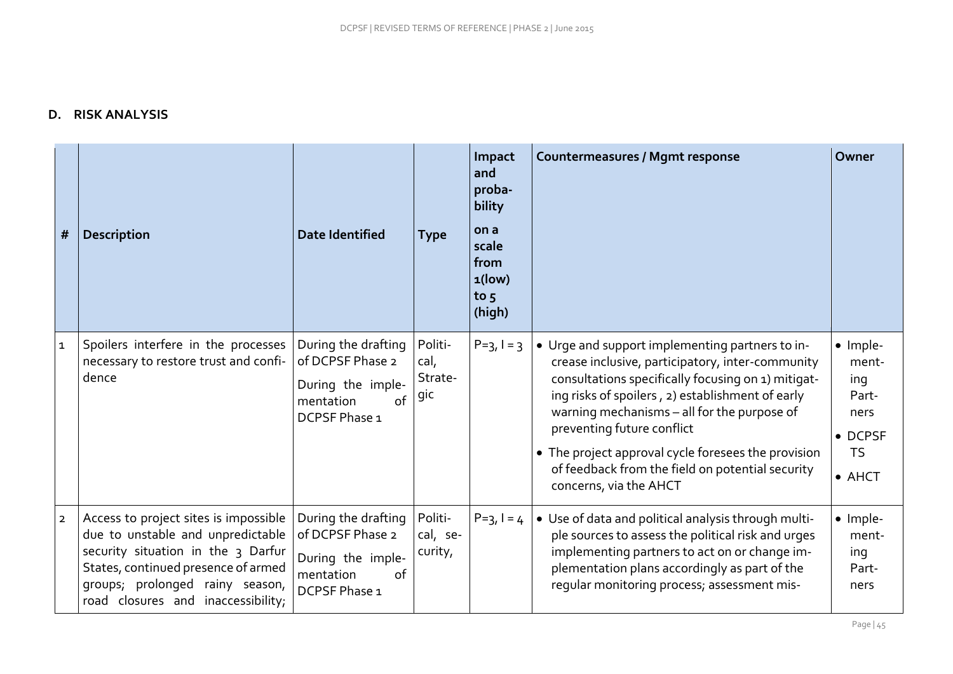## **D. RISK ANALYSIS**

| #              | <b>Description</b>                                                                                                                                                                                                               | <b>Date Identified</b>                                                                           | Type                              | Impact<br>and<br>proba-<br>bility<br>on a<br>scale<br>from<br>$1$ (low)<br>to $5$<br>(high) | <b>Countermeasures / Mgmt response</b>                                                                                                                                                                                                                                                                                                                                                                                          | Owner                                                                                       |
|----------------|----------------------------------------------------------------------------------------------------------------------------------------------------------------------------------------------------------------------------------|--------------------------------------------------------------------------------------------------|-----------------------------------|---------------------------------------------------------------------------------------------|---------------------------------------------------------------------------------------------------------------------------------------------------------------------------------------------------------------------------------------------------------------------------------------------------------------------------------------------------------------------------------------------------------------------------------|---------------------------------------------------------------------------------------------|
| $\mathbf{1}$   | Spoilers interfere in the processes<br>necessary to restore trust and confi-<br>dence                                                                                                                                            | During the drafting<br>of DCPSF Phase 2<br>During the imple-<br>mentation<br>of<br>DCPSF Phase 1 | Politi-<br>cal,<br>Strate-<br>gic | $P=3, l=3$                                                                                  | • Urge and support implementing partners to in-<br>crease inclusive, participatory, inter-community<br>consultations specifically focusing on 1) mitigat-<br>ing risks of spoilers, 2) establishment of early<br>warning mechanisms - all for the purpose of<br>preventing future conflict<br>• The project approval cycle foresees the provision<br>of feedback from the field on potential security<br>concerns, via the AHCT | · Imple-<br>ment-<br>ing<br>Part-<br>ners<br>$\bullet$ DCPSF<br><b>TS</b><br>$\bullet$ AHCT |
| $\overline{2}$ | Access to project sites is impossible<br>due to unstable and unpredictable<br>security situation in the 3 Darfur<br>States, continued presence of armed<br>groups; prolonged rainy season,<br>road closures and inaccessibility; | During the drafting<br>of DCPSF Phase 2<br>During the imple-<br>of<br>mentation<br>DCPSF Phase 1 | Politi-<br>cal, se-<br>curity,    | $P=3, l = 4$                                                                                | • Use of data and political analysis through multi-<br>ple sources to assess the political risk and urges<br>implementing partners to act on or change im-<br>plementation plans accordingly as part of the<br>regular monitoring process; assessment mis-                                                                                                                                                                      | · Imple-<br>ment-<br>ing<br>Part-<br>ners                                                   |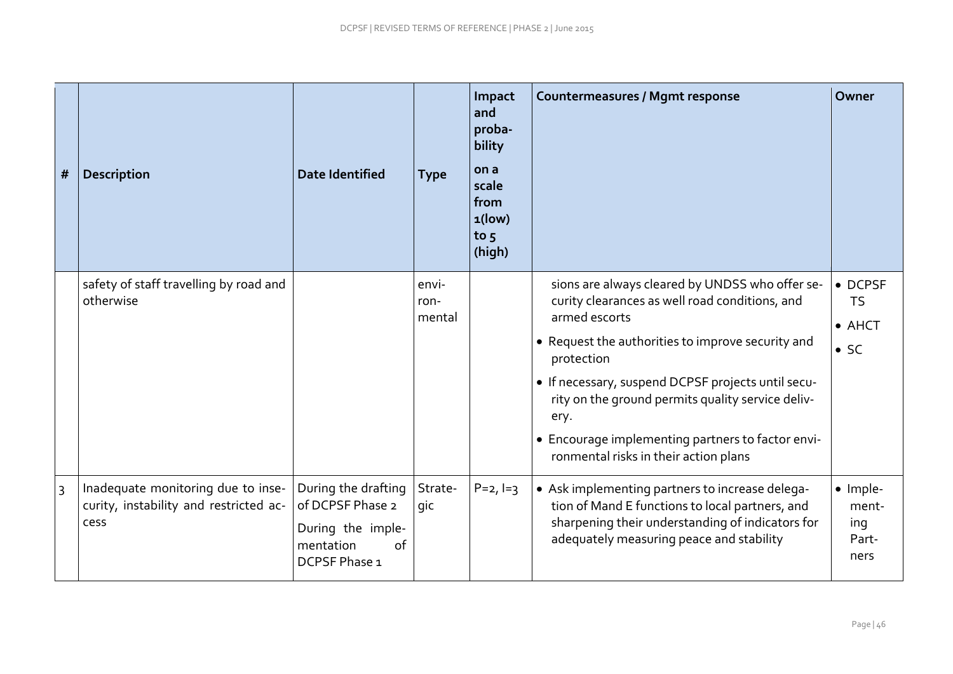| #              | <b>Description</b>                                                                   | <b>Date Identified</b>                                                                           | <b>Type</b>             | Impact<br>and<br>proba-<br>bility<br>on a<br>scale<br>from<br>$1$ (low)<br>to $5$<br>(high) | <b>Countermeasures / Mgmt response</b>                                                                                                                                                                                                                                                                                                                                                                 | Owner                                                  |
|----------------|--------------------------------------------------------------------------------------|--------------------------------------------------------------------------------------------------|-------------------------|---------------------------------------------------------------------------------------------|--------------------------------------------------------------------------------------------------------------------------------------------------------------------------------------------------------------------------------------------------------------------------------------------------------------------------------------------------------------------------------------------------------|--------------------------------------------------------|
|                | safety of staff travelling by road and<br>otherwise                                  |                                                                                                  | envi-<br>ron-<br>mental |                                                                                             | sions are always cleared by UNDSS who offer se-<br>curity clearances as well road conditions, and<br>armed escorts<br>• Request the authorities to improve security and<br>protection<br>• If necessary, suspend DCPSF projects until secu-<br>rity on the ground permits quality service deliv-<br>ery.<br>• Encourage implementing partners to factor envi-<br>ronmental risks in their action plans | • DCPSF<br><b>TS</b><br>$\bullet$ AHCT<br>$\bullet$ SC |
| $\overline{3}$ | Inadequate monitoring due to inse-<br>curity, instability and restricted ac-<br>cess | During the drafting<br>of DCPSF Phase 2<br>During the imple-<br>mentation<br>of<br>DCPSF Phase 1 | Strate-<br>gic          | $P = 2, I = 3$                                                                              | • Ask implementing partners to increase delega-<br>tion of Mand E functions to local partners, and<br>sharpening their understanding of indicators for<br>adequately measuring peace and stability                                                                                                                                                                                                     | · Imple-<br>ment-<br>ing<br>Part-<br>ners              |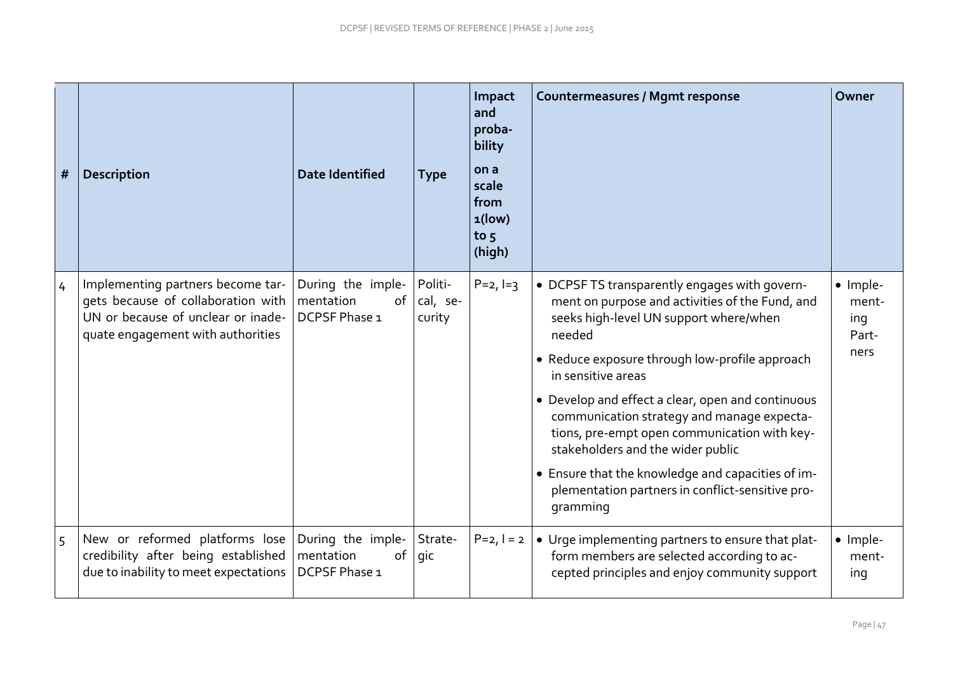| #              | <b>Description</b>                                                                                                                                 | <b>Date Identified</b>                                | <b>Type</b>                   | Impact<br>and<br>proba-<br>bility<br>on a<br>scale<br>from<br>$1$ (low)<br>to $5$<br>(high) | <b>Countermeasures / Mgmt response</b>                                                                                                                                                                                                                                                                                                                                                                                                                                                                                                    | Owner                                     |
|----------------|----------------------------------------------------------------------------------------------------------------------------------------------------|-------------------------------------------------------|-------------------------------|---------------------------------------------------------------------------------------------|-------------------------------------------------------------------------------------------------------------------------------------------------------------------------------------------------------------------------------------------------------------------------------------------------------------------------------------------------------------------------------------------------------------------------------------------------------------------------------------------------------------------------------------------|-------------------------------------------|
| $\overline{4}$ | Implementing partners become tar-<br>gets because of collaboration with<br>UN or because of unclear or inade-<br>quate engagement with authorities | During the imple-<br>mentation<br>of<br>DCPSF Phase 1 | Politi-<br>cal, se-<br>curity | $P = 2, I = 3$                                                                              | • DCPSF TS transparently engages with govern-<br>ment on purpose and activities of the Fund, and<br>seeks high-level UN support where/when<br>needed<br>• Reduce exposure through low-profile approach<br>in sensitive areas<br>• Develop and effect a clear, open and continuous<br>communication strategy and manage expecta-<br>tions, pre-empt open communication with key-<br>stakeholders and the wider public<br>• Ensure that the knowledge and capacities of im-<br>plementation partners in conflict-sensitive pro-<br>gramming | · Imple-<br>ment-<br>ing<br>Part-<br>ners |
| $\overline{5}$ | New or reformed platforms lose<br>credibility after being established<br>due to inability to meet expectations                                     | During the imple-<br>mentation<br>of<br>DCPSF Phase 1 | Strate-<br>gic                | $P = 2, l = 2$                                                                              | • Urge implementing partners to ensure that plat-<br>form members are selected according to ac-<br>cepted principles and enjoy community support                                                                                                                                                                                                                                                                                                                                                                                          | · Imple-<br>ment-<br>ing                  |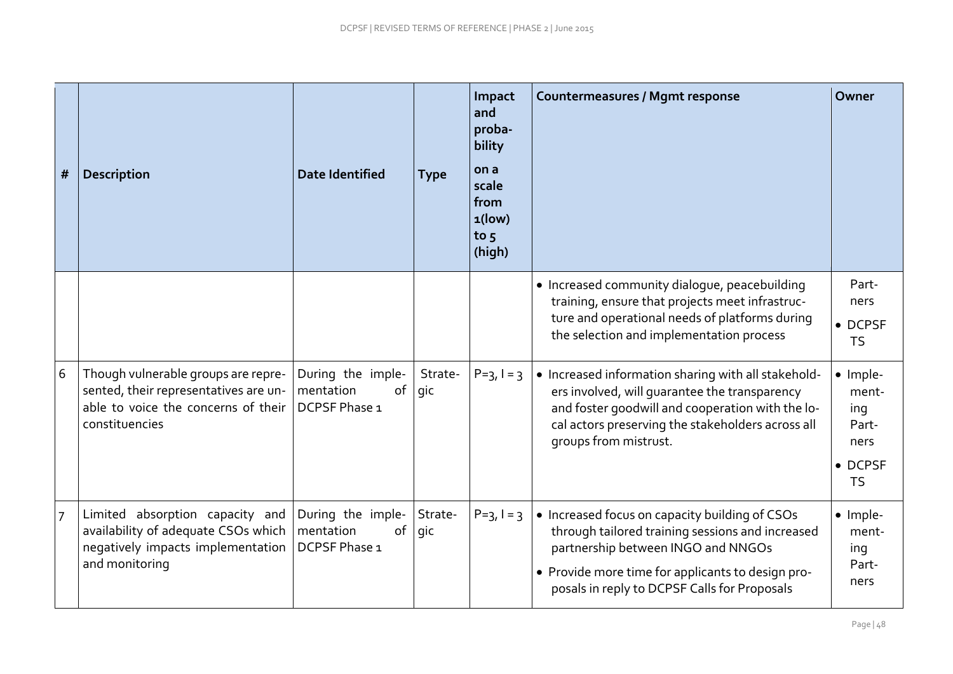| #              | <b>Description</b>                                                                                                                    | <b>Date Identified</b>                                | <b>Type</b>    | Impact<br>and<br>proba-<br>bility<br>on a<br>scale<br>from<br>$1$ (low)<br>to $5$<br>(high) | <b>Countermeasures / Mgmt response</b>                                                                                                                                                                                                        | Owner                                                             |
|----------------|---------------------------------------------------------------------------------------------------------------------------------------|-------------------------------------------------------|----------------|---------------------------------------------------------------------------------------------|-----------------------------------------------------------------------------------------------------------------------------------------------------------------------------------------------------------------------------------------------|-------------------------------------------------------------------|
|                |                                                                                                                                       |                                                       |                |                                                                                             | • Increased community dialogue, peacebuilding<br>training, ensure that projects meet infrastruc-<br>ture and operational needs of platforms during<br>the selection and implementation process                                                | Part-<br>ners<br>• DCPSF<br><b>TS</b>                             |
| $6\,$          | Though vulnerable groups are repre-<br>sented, their representatives are un-<br>able to voice the concerns of their<br>constituencies | During the imple-<br>mentation<br>of<br>DCPSF Phase 1 | Strate-<br>gic | $P=3, I=3$                                                                                  | • Increased information sharing with all stakehold-<br>ers involved, will guarantee the transparency<br>and foster goodwill and cooperation with the lo-<br>cal actors preserving the stakeholders across all<br>groups from mistrust.        | · Imple-<br>ment-<br>ing<br>Part-<br>ners<br>• DCPSF<br><b>TS</b> |
| $\overline{7}$ | Limited absorption capacity and<br>availability of adequate CSOs which<br>negatively impacts implementation<br>and monitoring         | During the imple-<br>mentation<br>of<br>DCPSF Phase 1 | Strate-<br>gic | $P=3, l=3$                                                                                  | • Increased focus on capacity building of CSOs<br>through tailored training sessions and increased<br>partnership between INGO and NNGOs<br>• Provide more time for applicants to design pro-<br>posals in reply to DCPSF Calls for Proposals | · Imple-<br>ment-<br>ing<br>Part-<br>ners                         |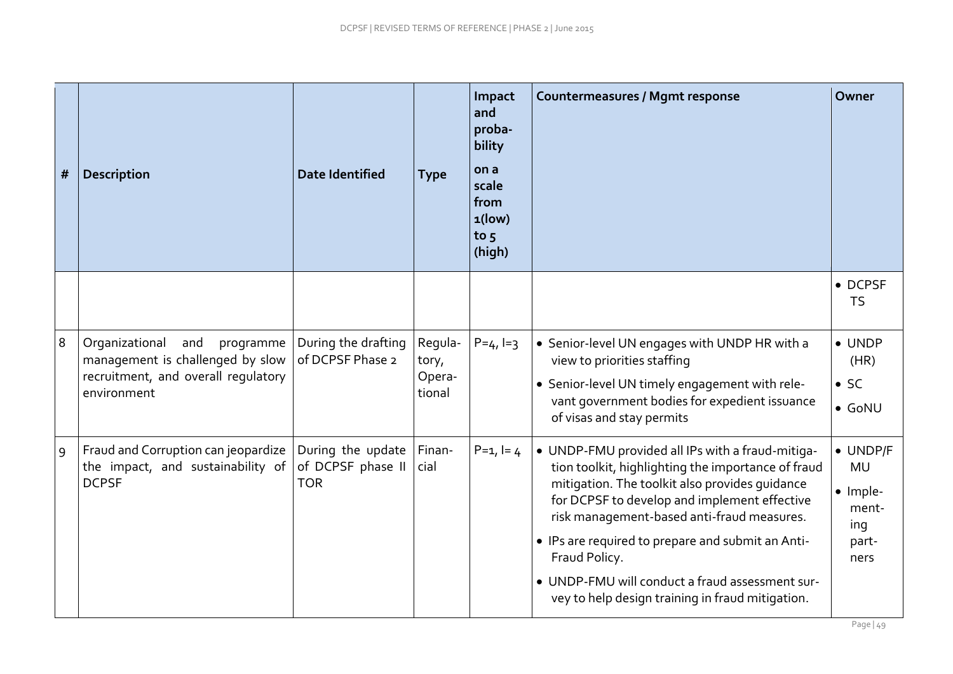| # | <b>Description</b>                                                                                                           | <b>Date Identified</b>                               | <b>Type</b>                          | Impact<br>and<br>proba-<br>bility<br>on a<br>scale<br>from<br>$1$ (low)<br>to $5$<br>(high) | <b>Countermeasures / Mgmt response</b>                                                                                                                                                                                                                                                                                                                                                                                              | Owner                                                              |
|---|------------------------------------------------------------------------------------------------------------------------------|------------------------------------------------------|--------------------------------------|---------------------------------------------------------------------------------------------|-------------------------------------------------------------------------------------------------------------------------------------------------------------------------------------------------------------------------------------------------------------------------------------------------------------------------------------------------------------------------------------------------------------------------------------|--------------------------------------------------------------------|
|   |                                                                                                                              |                                                      |                                      |                                                                                             |                                                                                                                                                                                                                                                                                                                                                                                                                                     | • DCPSF<br><b>TS</b>                                               |
| 8 | Organizational<br>and<br>programme<br>management is challenged by slow<br>recruitment, and overall requlatory<br>environment | During the drafting<br>of DCPSF Phase 2              | Regula-<br>tory,<br>Opera-<br>tional | $P = 4, I = 3$                                                                              | • Senior-level UN engages with UNDP HR with a<br>view to priorities staffing<br>• Senior-level UN timely engagement with rele-<br>vant government bodies for expedient issuance<br>of visas and stay permits                                                                                                                                                                                                                        | $\bullet$ UNDP<br>(HR)<br>$\bullet$ SC<br>$\bullet$ GoNU           |
| 9 | Fraud and Corruption can jeopardize<br>the impact, and sustainability of<br><b>DCPSF</b>                                     | During the update<br>of DCPSF phase II<br><b>TOR</b> | Finan-<br>cial                       | $P=1, I=4$                                                                                  | • UNDP-FMU provided all IPs with a fraud-mitiga-<br>tion toolkit, highlighting the importance of fraud<br>mitigation. The toolkit also provides guidance<br>for DCPSF to develop and implement effective<br>risk management-based anti-fraud measures.<br>• IPs are required to prepare and submit an Anti-<br>Fraud Policy.<br>• UNDP-FMU will conduct a fraud assessment sur-<br>vey to help design training in fraud mitigation. | • UNDP/F<br><b>MU</b><br>· Imple-<br>ment-<br>ing<br>part-<br>ners |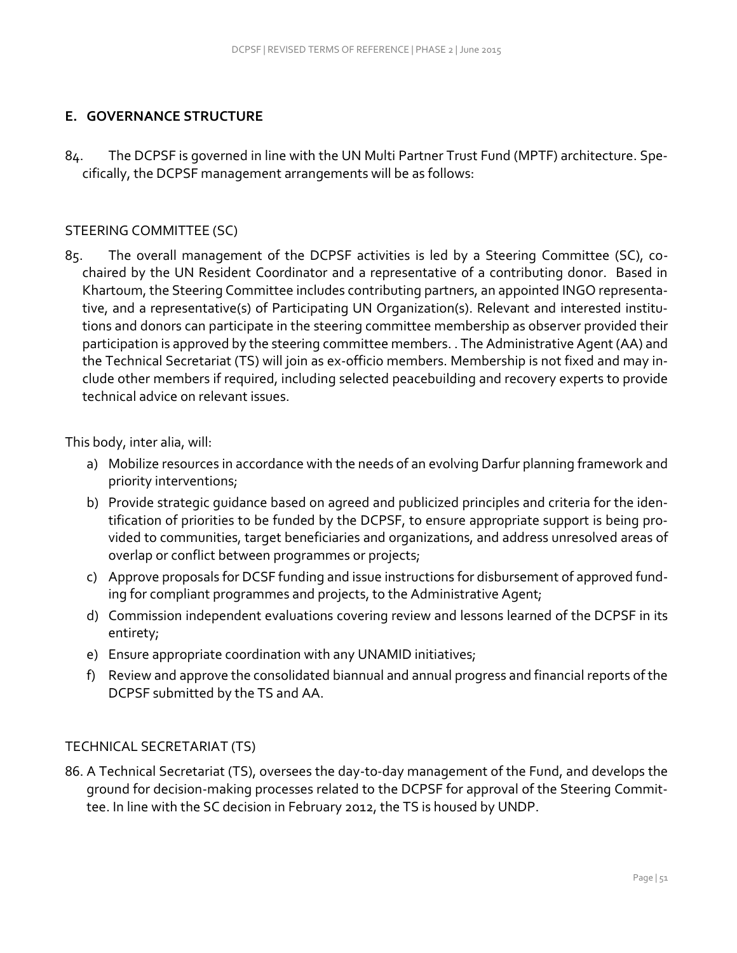### **E. GOVERNANCE STRUCTURE**

84. The DCPSF is governed in line with the UN Multi Partner Trust Fund (MPTF) architecture. Specifically, the DCPSF management arrangements will be as follows:

### STEERING COMMITTEE (SC)

85. The overall management of the DCPSF activities is led by a Steering Committee (SC), cochaired by the UN Resident Coordinator and a representative of a contributing donor. Based in Khartoum, the Steering Committee includes contributing partners, an appointed INGO representative, and a representative(s) of Participating UN Organization(s). Relevant and interested institutions and donors can participate in the steering committee membership as observer provided their participation is approved by the steering committee members. . The Administrative Agent (AA) and the Technical Secretariat (TS) will join as ex-officio members. Membership is not fixed and may include other members if required, including selected peacebuilding and recovery experts to provide technical advice on relevant issues.

This body, inter alia, will:

- a) Mobilize resources in accordance with the needs of an evolving Darfur planning framework and priority interventions;
- b) Provide strategic guidance based on agreed and publicized principles and criteria for the identification of priorities to be funded by the DCPSF, to ensure appropriate support is being provided to communities, target beneficiaries and organizations, and address unresolved areas of overlap or conflict between programmes or projects;
- c) Approve proposals for DCSF funding and issue instructions for disbursement of approved funding for compliant programmes and projects, to the Administrative Agent;
- d) Commission independent evaluations covering review and lessons learned of the DCPSF in its entirety;
- e) Ensure appropriate coordination with any UNAMID initiatives;
- f) Review and approve the consolidated biannual and annual progress and financial reports of the DCPSF submitted by the TS and AA.

#### TECHNICAL SECRETARIAT (TS)

86. A Technical Secretariat (TS), oversees the day-to-day management of the Fund, and develops the ground for decision-making processes related to the DCPSF for approval of the Steering Committee. In line with the SC decision in February 2012, the TS is housed by UNDP.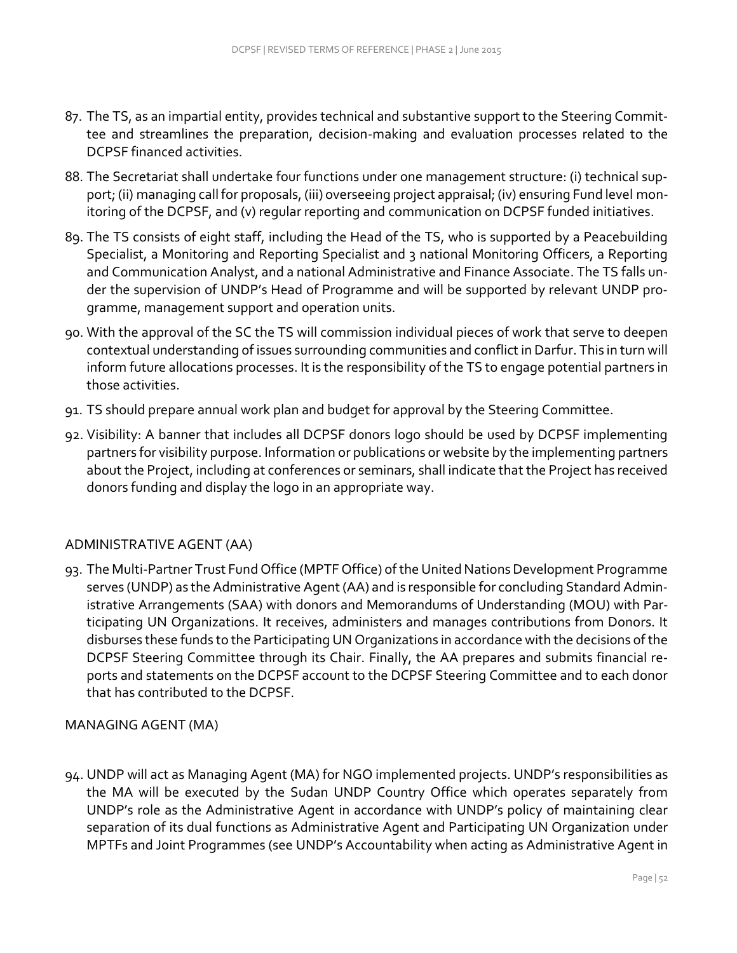- 87. The TS, as an impartial entity, provides technical and substantive support to the Steering Committee and streamlines the preparation, decision-making and evaluation processes related to the DCPSF financed activities.
- 88. The Secretariat shall undertake four functions under one management structure: (i) technical support; (ii) managing call for proposals, (iii) overseeing project appraisal; (iv) ensuring Fund level monitoring of the DCPSF, and (v) regular reporting and communication on DCPSF funded initiatives.
- 89. The TS consists of eight staff, including the Head of the TS, who is supported by a Peacebuilding Specialist, a Monitoring and Reporting Specialist and 3 national Monitoring Officers, a Reporting and Communication Analyst, and a national Administrative and Finance Associate. The TS falls under the supervision of UNDP's Head of Programme and will be supported by relevant UNDP pro‐ gramme, management support and operation units.
- 90. With the approval of the SC the TS will commission individual pieces of work that serve to deepen contextual understanding of issues surrounding communities and conflict in Darfur. This in turn will inform future allocations processes. It is the responsibility of the TS to engage potential partners in those activities.
- 91. TS should prepare annual work plan and budget for approval by the Steering Committee.
- 92. Visibility: A banner that includes all DCPSF donors logo should be used by DCPSF implementing partners for visibility purpose. Information or publications or website by the implementing partners about the Project, including at conferences or seminars, shall indicate that the Project has received donors funding and display the logo in an appropriate way.

## ADMINISTRATIVE AGENT (AA)

93. The Multi-Partner Trust Fund Office (MPTF Office) of the United Nations Development Programme serves (UNDP) as the Administrative Agent (AA) and is responsible for concluding Standard Administrative Arrangements (SAA) with donors and Memorandums of Understanding (MOU) with Participating UN Organizations. It receives, administers and manages contributions from Donors. It disburses these funds to the Participating UN Organizations in accordance with the decisions of the DCPSF Steering Committee through its Chair. Finally, the AA prepares and submits financial reports and statements on the DCPSF account to the DCPSF Steering Committee and to each donor that has contributed to the DCPSF.

#### MANAGING AGENT (MA)

94. UNDP will act as Managing Agent (MA) for NGO implemented projects. UNDP's responsibilities as the MA will be executed by the Sudan UNDP Country Office which operates separately from UNDP's role as the Administrative Agent in accordance with UNDP's policy of maintaining clear separation of its dual functions as Administrative Agent and Participating UN Organization under MPTFs and Joint Programmes (see [UNDP's Accountability when acting as Administrative Agent in](http://mdtf.undp.org/document/download/4552)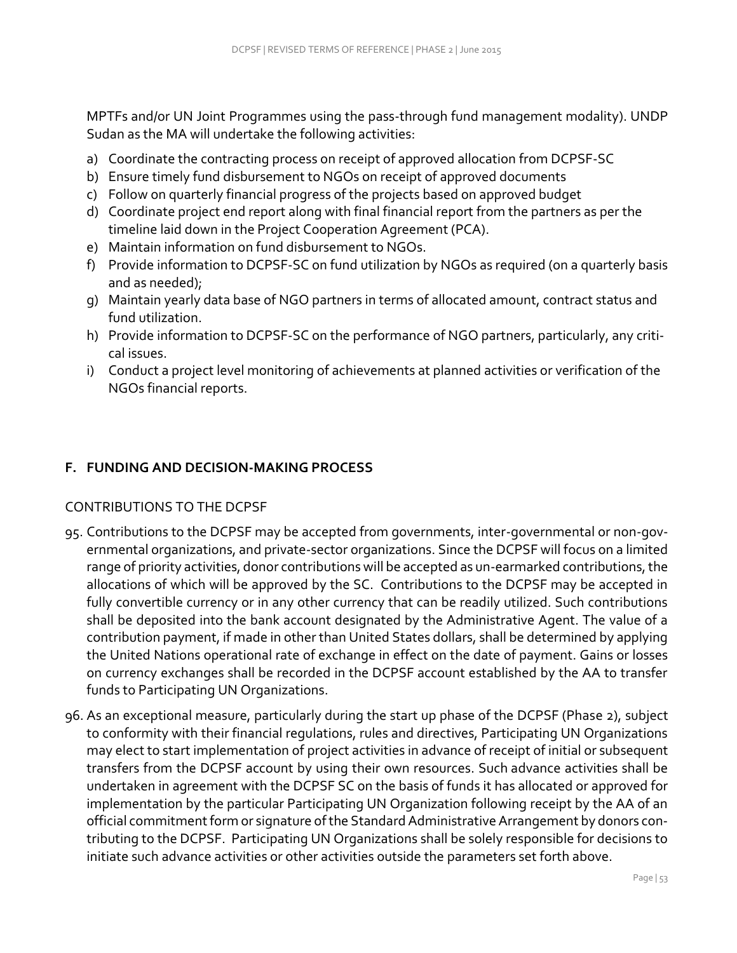[MPTFs and/or UN Joint Programmes using the pass-through fund management modality\)](http://mdtf.undp.org/document/download/4552). UNDP Sudan as the MA will undertake the following activities:

- a) Coordinate the contracting process on receipt of approved allocation from DCPSF-SC
- b) Ensure timely fund disbursement to NGOs on receipt of approved documents
- c) Follow on quarterly financial progress of the projects based on approved budget
- d) Coordinate project end report along with final financial report from the partners as per the timeline laid down in the Project Cooperation Agreement (PCA).
- e) Maintain information on fund disbursement to NGOs.
- f) Provide information to DCPSF-SC on fund utilization by NGOs as required (on a quarterly basis and as needed);
- g) Maintain yearly data base of NGO partners in terms of allocated amount, contract status and fund utilization.
- h) Provide information to DCPSF-SC on the performance of NGO partners, particularly, any critical issues.
- i) Conduct a project level monitoring of achievements at planned activities or verification of the NGOs financial reports.

## **F. FUNDING AND DECISION-MAKING PROCESS**

## CONTRIBUTIONS TO THE DCPSF

- 95. Contributions to the DCPSF may be accepted from governments, inter-governmental or non-governmental organizations, and private-sector organizations. Since the DCPSF will focus on a limited range of priority activities, donor contributions will be accepted as un-earmarked contributions, the allocations of which will be approved by the SC. Contributions to the DCPSF may be accepted in fully convertible currency or in any other currency that can be readily utilized. Such contributions shall be deposited into the bank account designated by the Administrative Agent. The value of a contribution payment, if made in other than United States dollars, shall be determined by applying the United Nations operational rate of exchange in effect on the date of payment. Gains or losses on currency exchanges shall be recorded in the DCPSF account established by the AA to transfer funds to Participating UN Organizations.
- 96. As an exceptional measure, particularly during the start up phase of the DCPSF (Phase 2), subject to conformity with their financial regulations, rules and directives, Participating UN Organizations may elect to start implementation of project activities in advance of receipt of initial or subsequent transfers from the DCPSF account by using their own resources. Such advance activities shall be undertaken in agreement with the DCPSF SC on the basis of funds it has allocated or approved for implementation by the particular Participating UN Organization following receipt by the AA of an official commitment form or signature of the Standard Administrative Arrangement by donors contributing to the DCPSF. Participating UN Organizations shall be solely responsible for decisions to initiate such advance activities or other activities outside the parameters set forth above.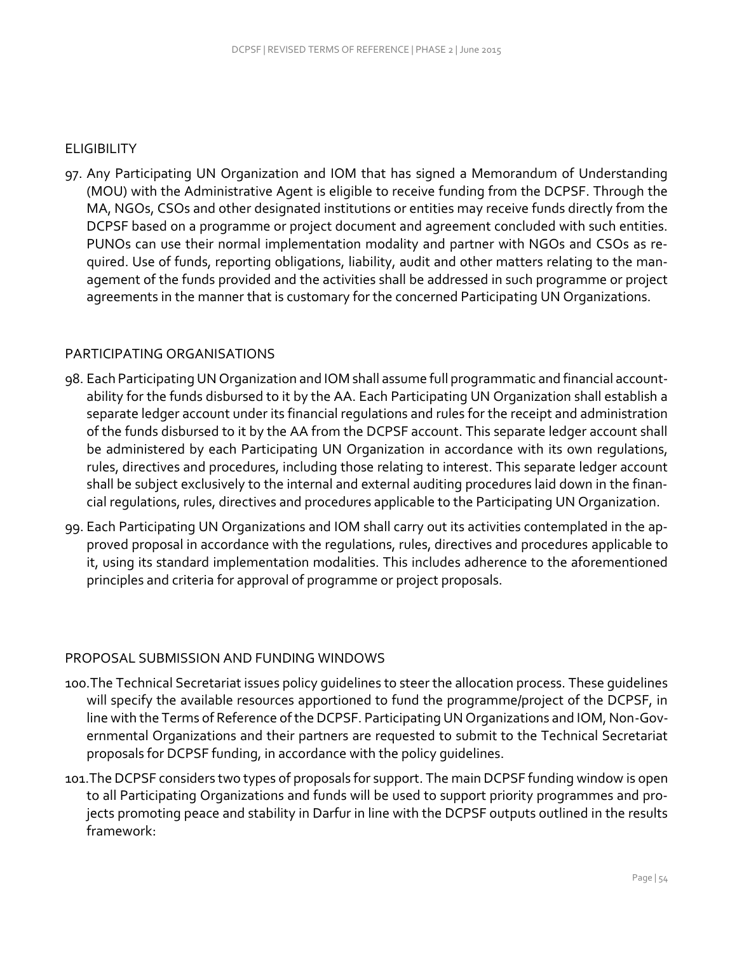#### **ELIGIBILITY**

97. Any Participating UN Organization and IOM that has signed a Memorandum of Understanding (MOU) with the Administrative Agent is eligible to receive funding from the DCPSF. Through the MA, NGOs, CSOs and other designated institutions or entities may receive funds directly from the DCPSF based on a programme or project document and agreement concluded with such entities. PUNOs can use their normal implementation modality and partner with NGOs and CSOs as required. Use of funds, reporting obligations, liability, audit and other matters relating to the management of the funds provided and the activities shall be addressed in such programme or project agreements in the manner that is customary for the concerned Participating UN Organizations.

## PARTICIPATING ORGANISATIONS

- 98. Each Participating UN Organization and IOM shall assume full programmatic and financial accountability for the funds disbursed to it by the AA. Each Participating UN Organization shall establish a separate ledger account under its financial regulations and rules for the receipt and administration of the funds disbursed to it by the AA from the DCPSF account. This separate ledger account shall be administered by each Participating UN Organization in accordance with its own regulations, rules, directives and procedures, including those relating to interest. This separate ledger account shall be subject exclusively to the internal and external auditing procedures laid down in the financial regulations, rules, directives and procedures applicable to the Participating UN Organization.
- 99. Each Participating UN Organizations and IOM shall carry out its activities contemplated in the approved proposal in accordance with the regulations, rules, directives and procedures applicable to it, using its standard implementation modalities. This includes adherence to the aforementioned principles and criteria for approval of programme or project proposals.

## PROPOSAL SUBMISSION AND FUNDING WINDOWS

- 100.The Technical Secretariat issues policy guidelines to steer the allocation process. These guidelines will specify the available resources apportioned to fund the programme/project of the DCPSF, in line with the Terms of Reference of the DCPSF. Participating UN Organizations and IOM, Non-Governmental Organizations and their partners are requested to submit to the Technical Secretariat proposals for DCPSF funding, in accordance with the policy guidelines.
- 101.The DCPSF considers two types of proposals for support. The main DCPSF funding window is open to all Participating Organizations and funds will be used to support priority programmes and projects promoting peace and stability in Darfur in line with the DCPSF outputs outlined in the results framework: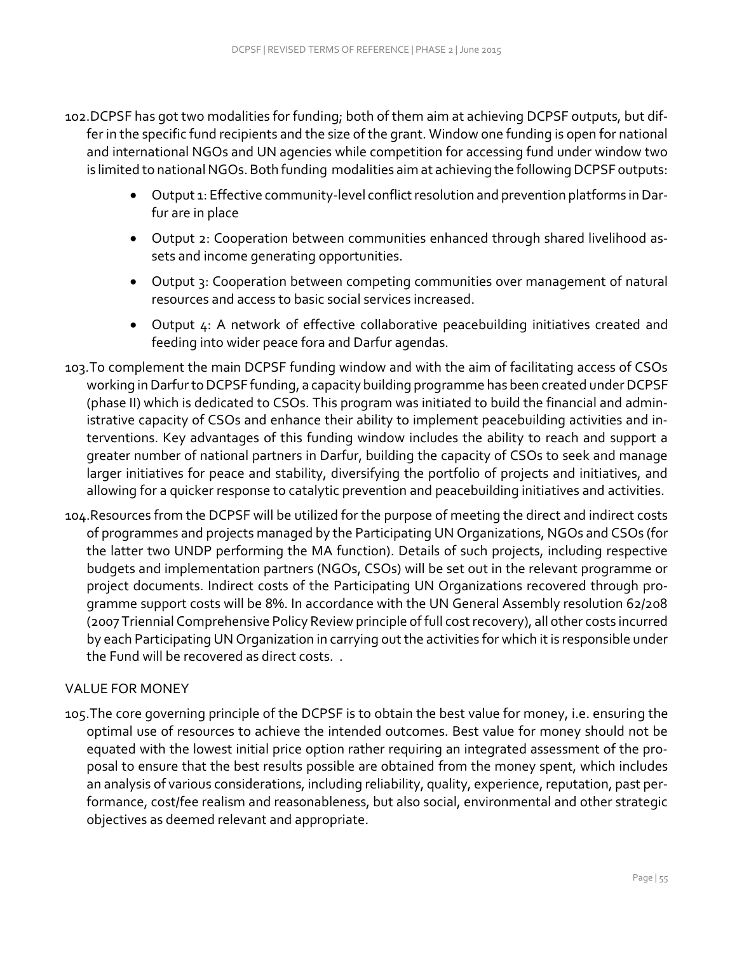- 102.DCPSF has got two modalities for funding; both of them aim at achieving DCPSF outputs, but differ in the specific fund recipients and the size of the grant. Window one funding is open for national and international NGOs and UN agencies while competition for accessing fund under window two is limited to national NGOs. Both funding modalities aim at achieving the following DCPSF outputs:
	- Output 1: Effective community-level conflict resolution and prevention platforms in Darfur are in place
	- Output 2: Cooperation between communities enhanced through shared livelihood assets and income generating opportunities.
	- Output 3: Cooperation between competing communities over management of natural resources and access to basic social services increased.
	- Output 4: A network of effective collaborative peacebuilding initiatives created and feeding into wider peace fora and Darfur agendas.
- 103.To complement the main DCPSF funding window and with the aim of facilitating access of CSOs working in Darfur to DCPSF funding, a capacity building programme has been created under DCPSF (phase II) which is dedicated to CSOs. This program was initiated to build the financial and administrative capacity of CSOs and enhance their ability to implement peacebuilding activities and interventions. Key advantages of this funding window includes the ability to reach and support a greater number of national partners in Darfur, building the capacity of CSOs to seek and manage larger initiatives for peace and stability, diversifying the portfolio of projects and initiatives, and allowing for a quicker response to catalytic prevention and peacebuilding initiatives and activities.
- 104.Resources from the DCPSF will be utilized for the purpose of meeting the direct and indirect costs of programmes and projects managed by the Participating UN Organizations, NGOs and CSOs (for the latter two UNDP performing the MA function). Details of such projects, including respective budgets and implementation partners (NGOs, CSOs) will be set out in the relevant programme or project documents. Indirect costs of the Participating UN Organizations recovered through programme support costs will be 8%. In accordance with the UN General Assembly resolution 62/208 (2007 Triennial Comprehensive Policy Review principle of full cost recovery), all other costs incurred by each Participating UN Organization in carrying out the activities for which it is responsible under the Fund will be recovered as direct costs. .

## VALUE FOR MONEY

105.The core governing principle of the DCPSF is to obtain the best value for money, i.e. ensuring the optimal use of resources to achieve the intended outcomes. Best value for money should not be equated with the lowest initial price option rather requiring an integrated assessment of the proposal to ensure that the best results possible are obtained from the money spent, which includes an analysis of various considerations, including reliability, quality, experience, reputation, past performance, cost/fee realism and reasonableness, but also social, environmental and other strategic objectives as deemed relevant and appropriate.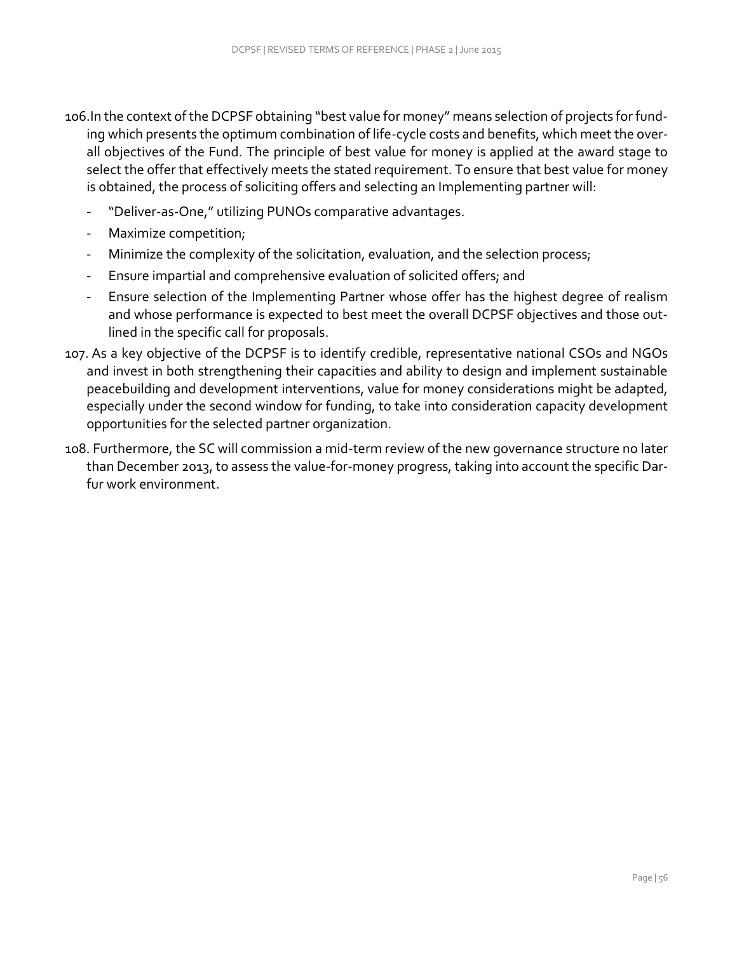106.In the context of the DCPSF obtaining "best value for money" means selection of projects for fund‐ ing which presents the optimum combination of life-cycle costs and benefits, which meet the overall objectives of the Fund. The principle of best value for money is applied at the award stage to select the offer that effectively meets the stated requirement. To ensure that best value for money is obtained, the process of soliciting offers and selecting an Implementing partner will:

- "Deliver-as-One," utilizing PUNOs comparative advantages.
- Maximize competition;
- Minimize the complexity of the solicitation, evaluation, and the selection process;
- Ensure impartial and comprehensive evaluation of solicited offers; and
- Ensure selection of the Implementing Partner whose offer has the highest degree of realism and whose performance is expected to best meet the overall DCPSF objectives and those outlined in the specific call for proposals.
- 107. As a key objective of the DCPSF is to identify credible, representative national CSOs and NGOs and invest in both strengthening their capacities and ability to design and implement sustainable peacebuilding and development interventions, value for money considerations might be adapted, especially under the second window for funding, to take into consideration capacity development opportunities for the selected partner organization.
- 108. Furthermore, the SC will commission a mid-term review of the new governance structure no later than December 2013, to assess the value-for-money progress, taking into account the specific Darfur work environment.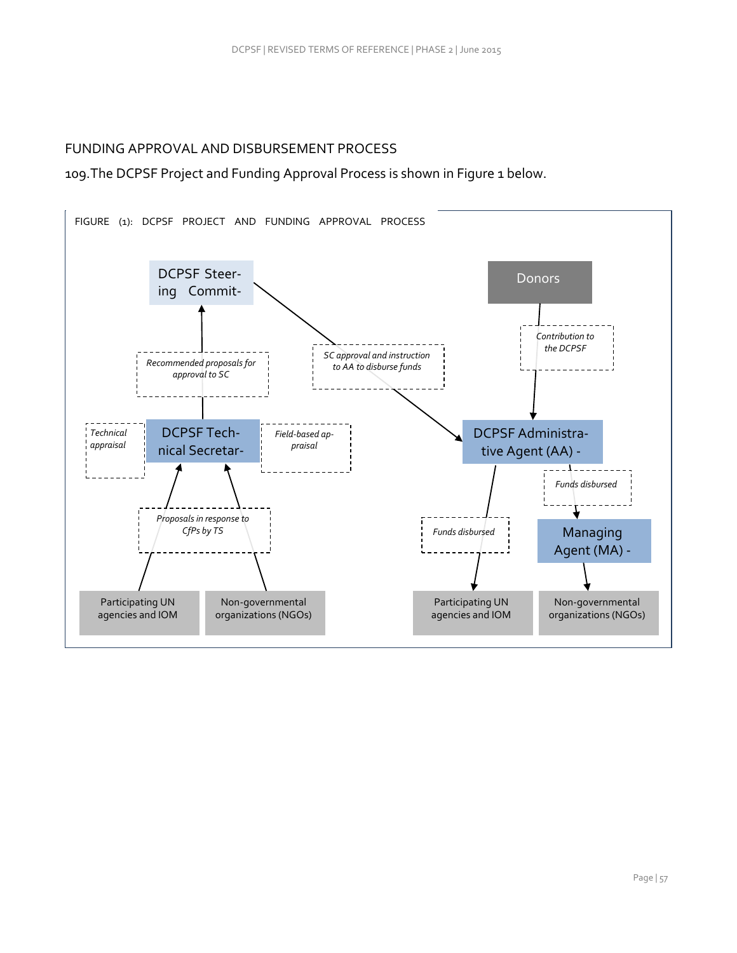## FUNDING APPROVAL AND DISBURSEMENT PROCESS

109.The DCPSF Project and Funding Approval Process is shown in Figure 1 below.

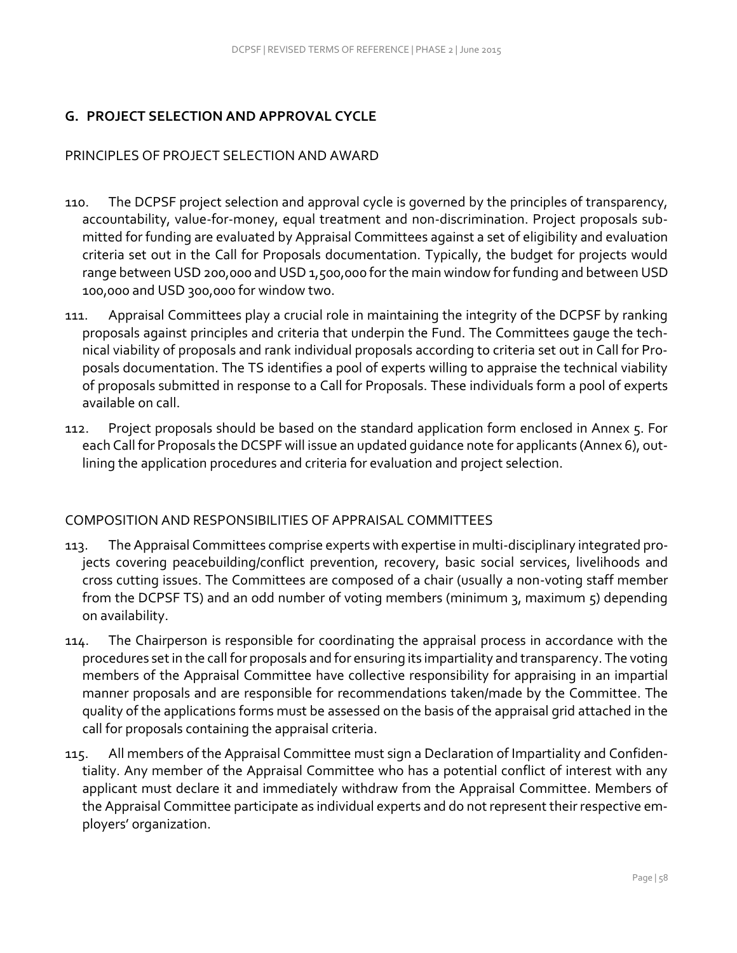# **G. PROJECT SELECTION AND APPROVAL CYCLE**

## PRINCIPLES OF PROJECT SELECTION AND AWARD

- 110. The DCPSF project selection and approval cycle is governed by the principles of transparency, accountability, value-for-money, equal treatment and non-discrimination. Project proposals submitted for funding are evaluated by Appraisal Committees against a set of eligibility and evaluation criteria set out in the Call for Proposals documentation. Typically, the budget for projects would range between USD 200,000 and USD 1,500,000 for the main window for funding and between USD 100,000 and USD 300,000 for window two.
- 111. Appraisal Committees play a crucial role in maintaining the integrity of the DCPSF by ranking proposals against principles and criteria that underpin the Fund. The Committees gauge the technical viability of proposals and rank individual proposals according to criteria set out in Call for Proposals documentation. The TS identifies a pool of experts willing to appraise the technical viability of proposals submitted in response to a Call for Proposals. These individuals form a pool of experts available on call.
- 112. Project proposals should be based on the standard application form enclosed in Annex 5. For each Call for Proposals the DCSPF will issue an updated guidance note for applicants (Annex 6), outlining the application procedures and criteria for evaluation and project selection.

## COMPOSITION AND RESPONSIBILITIES OF APPRAISAL COMMITTEES

- 113. The Appraisal Committees comprise experts with expertise in multi-disciplinary integrated projects covering peacebuilding/conflict prevention, recovery, basic social services, livelihoods and cross cutting issues. The Committees are composed of a chair (usually a non-voting staff member from the DCPSF TS) and an odd number of voting members (minimum 3, maximum 5) depending on availability.
- 114. The Chairperson is responsible for coordinating the appraisal process in accordance with the procedures set in the call for proposals and for ensuring its impartiality and transparency. The voting members of the Appraisal Committee have collective responsibility for appraising in an impartial manner proposals and are responsible for recommendations taken/made by the Committee. The quality of the applications forms must be assessed on the basis of the appraisal grid attached in the call for proposals containing the appraisal criteria.
- 115. All members of the Appraisal Committee must sign a Declaration of Impartiality and Confidentiality. Any member of the Appraisal Committee who has a potential conflict of interest with any applicant must declare it and immediately withdraw from the Appraisal Committee. Members of the Appraisal Committee participate as individual experts and do not represent their respective employers' organization.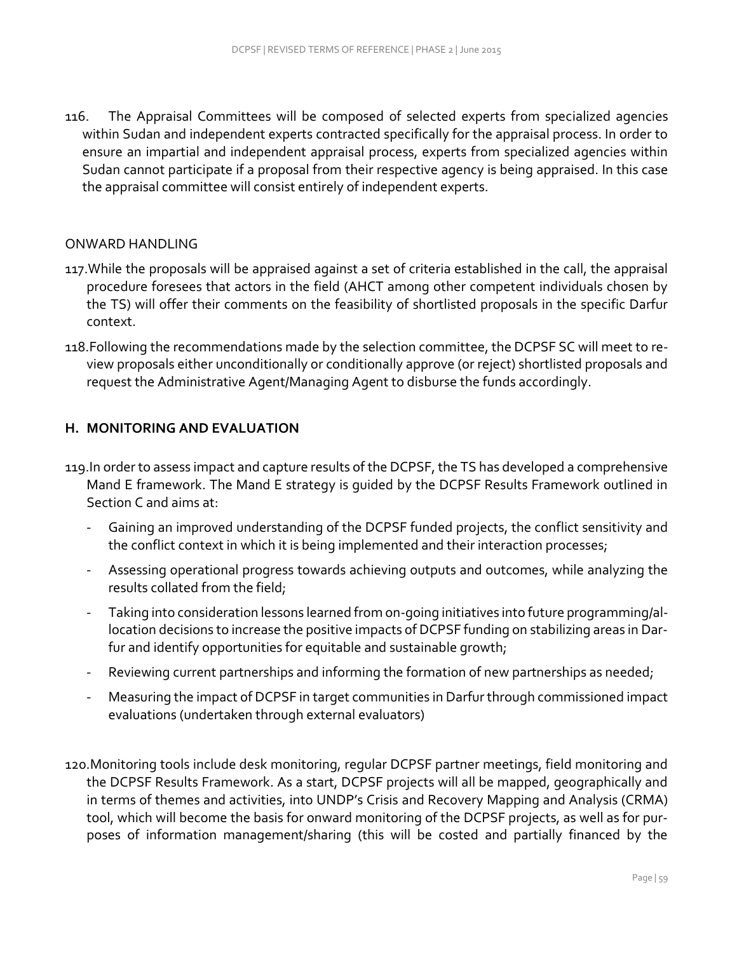116. The Appraisal Committees will be composed of selected experts from specialized agencies within Sudan and independent experts contracted specifically for the appraisal process. In order to ensure an impartial and independent appraisal process, experts from specialized agencies within Sudan cannot participate if a proposal from their respective agency is being appraised. In this case the appraisal committee will consist entirely of independent experts.

#### ONWARD HANDLING

- 117. While the proposals will be appraised against a set of criteria established in the call, the appraisal procedure foresees that actors in the field (AHCT among other competent individuals chosen by the TS) will offer their comments on the feasibility of shortlisted proposals in the specific Darfur context.
- 118.Following the recommendations made by the selection committee, the DCPSF SC will meet to review proposals either unconditionally or conditionally approve (or reject) shortlisted proposals and request the Administrative Agent/Managing Agent to disburse the funds accordingly.

### **H. MONITORING AND EVALUATION**

- 119.In order to assess impact and capture results of the DCPSF, the TS has developed a comprehensive Mand E framework. The Mand E strategy is guided by the DCPSF Results Framework outlined in Section C and aims at:
	- Gaining an improved understanding of the DCPSF funded projects, the conflict sensitivity and the conflict context in which it is being implemented and their interaction processes;
	- Assessing operational progress towards achieving outputs and outcomes, while analyzing the results collated from the field;
	- Taking into consideration lessons learned from on-going initiatives into future programming/allocation decisions to increase the positive impacts of DCPSF funding on stabilizing areas in Darfur and identify opportunities for equitable and sustainable growth;
	- Reviewing current partnerships and informing the formation of new partnerships as needed;
	- Measuring the impact of DCPSF in target communities in Darfur through commissioned impact evaluations (undertaken through external evaluators)
- 120.Monitoring tools include desk monitoring, regular DCPSF partner meetings, field monitoring and the DCPSF Results Framework. As a start, DCPSF projects will all be mapped, geographically and in terms of themes and activities, into UNDP's Crisis and Recovery Mapping and Analysis (CRMA) tool, which will become the basis for onward monitoring of the DCPSF projects, as well as for purposes of information management/sharing (this will be costed and partially financed by the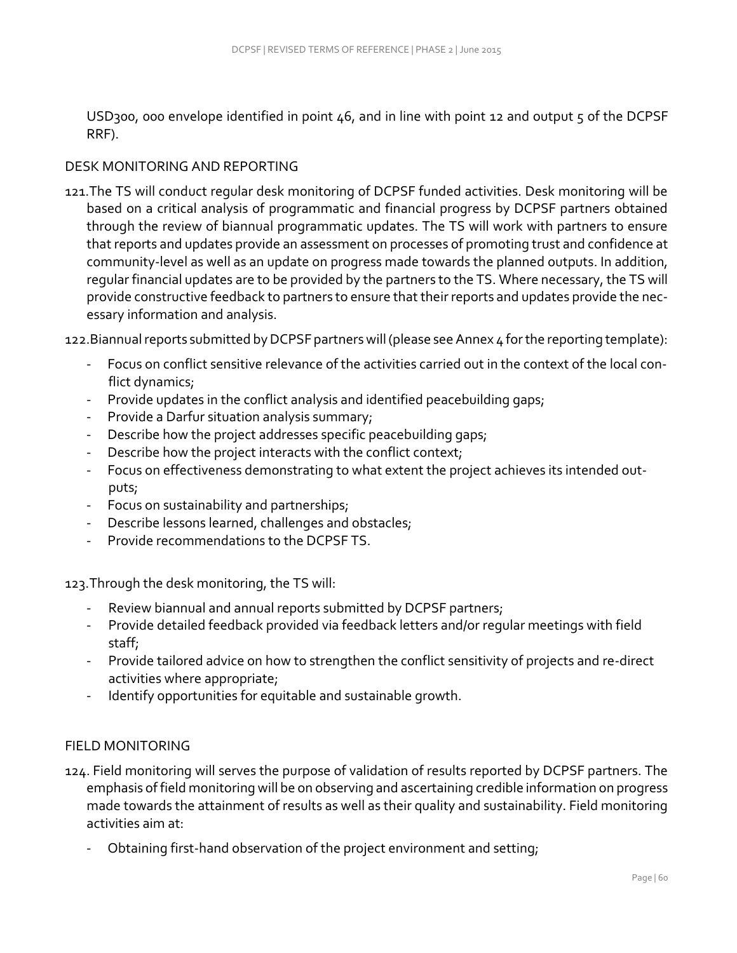USD300, 000 envelope identified in point  $46$ , and in line with point 12 and output 5 of the DCPSF RRF).

#### DESK MONITORING AND REPORTING

121.The TS will conduct regular desk monitoring of DCPSF funded activities. Desk monitoring will be based on a critical analysis of programmatic and financial progress by DCPSF partners obtained through the review of biannual programmatic updates. The TS will work with partners to ensure that reports and updates provide an assessment on processes of promoting trust and confidence at community-level as well as an update on progress made towards the planned outputs. In addition, regular financial updates are to be provided by the partners to the TS. Where necessary, the TS will provide constructive feedback to partners to ensure that their reports and updates provide the necessary information and analysis.

122.Biannual reports submitted by DCPSF partners will (please see Annex 4 for the reporting template):

- Focus on conflict sensitive relevance of the activities carried out in the context of the local conflict dynamics;
- Provide updates in the conflict analysis and identified peacebuilding gaps;
- Provide a Darfur situation analysis summary;
- Describe how the project addresses specific peacebuilding gaps;
- Describe how the project interacts with the conflict context;
- Focus on effectiveness demonstrating to what extent the project achieves its intended outputs;
- Focus on sustainability and partnerships;
- Describe lessons learned, challenges and obstacles;
- Provide recommendations to the DCPSF TS.

123.Through the desk monitoring, the TS will:

- Review biannual and annual reports submitted by DCPSF partners;
- Provide detailed feedback provided via feedback letters and/or regular meetings with field staff;
- Provide tailored advice on how to strengthen the conflict sensitivity of projects and re-direct activities where appropriate;
- Identify opportunities for equitable and sustainable growth.

## FIELD MONITORING

- 124. Field monitoring will serves the purpose of validation of results reported by DCPSF partners. The emphasis of field monitoring will be on observing and ascertaining credible information on progress made towards the attainment of results as well as their quality and sustainability. Field monitoring activities aim at:
	- Obtaining first-hand observation of the project environment and setting;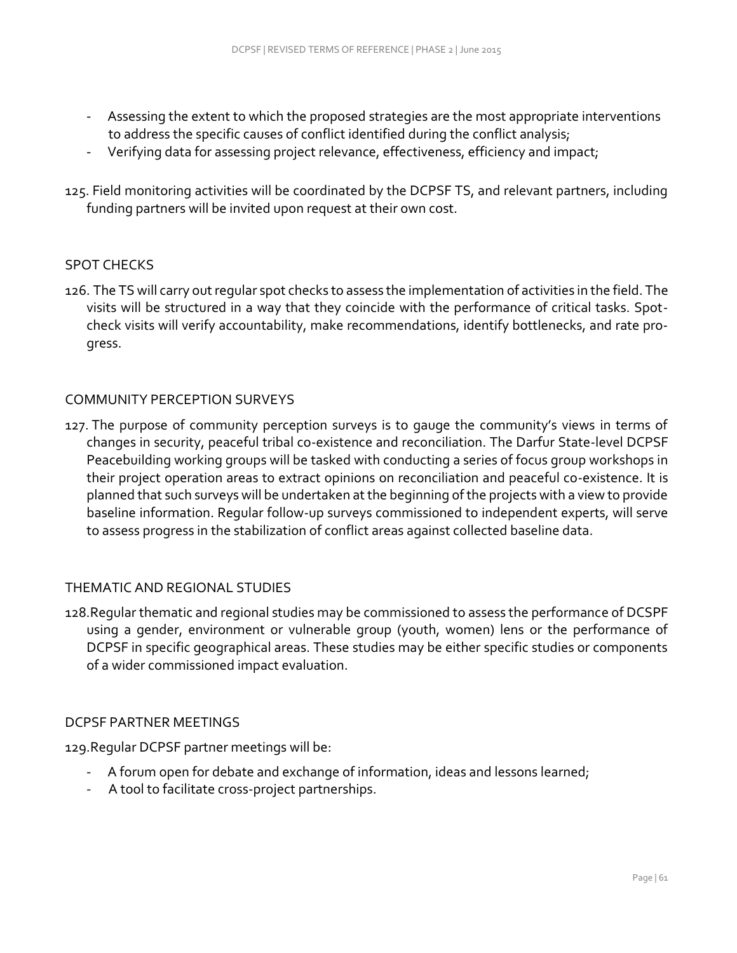- Assessing the extent to which the proposed strategies are the most appropriate interventions to address the specific causes of conflict identified during the conflict analysis;
- Verifying data for assessing project relevance, effectiveness, efficiency and impact;
- 125. Field monitoring activities will be coordinated by the DCPSF TS, and relevant partners, including funding partners will be invited upon request at their own cost.

### SPOT CHECKS

126. The TS will carry out regular spot checks to assess the implementation of activities in the field. The visits will be structured in a way that they coincide with the performance of critical tasks. Spotcheck visits will verify accountability, make recommendations, identify bottlenecks, and rate progress.

#### COMMUNITY PERCEPTION SURVEYS

127. The purpose of community perception surveys is to gauge the community's views in terms of changes in security, peaceful tribal co-existence and reconciliation. The Darfur State-level DCPSF Peacebuilding working groups will be tasked with conducting a series of focus group workshops in their project operation areas to extract opinions on reconciliation and peaceful co-existence. It is planned that such surveys will be undertaken at the beginning of the projects with a view to provide baseline information. Regular follow-up surveys commissioned to independent experts, will serve to assess progress in the stabilization of conflict areas against collected baseline data.

#### THEMATIC AND REGIONAL STUDIES

128.Regular thematic and regional studies may be commissioned to assess the performance of DCSPF using a gender, environment or vulnerable group (youth, women) lens or the performance of DCPSF in specific geographical areas. These studies may be either specific studies or components of a wider commissioned impact evaluation.

#### DCPSF PARTNER MEETINGS

129.Regular DCPSF partner meetings will be:

- A forum open for debate and exchange of information, ideas and lessons learned;
- A tool to facilitate cross-project partnerships.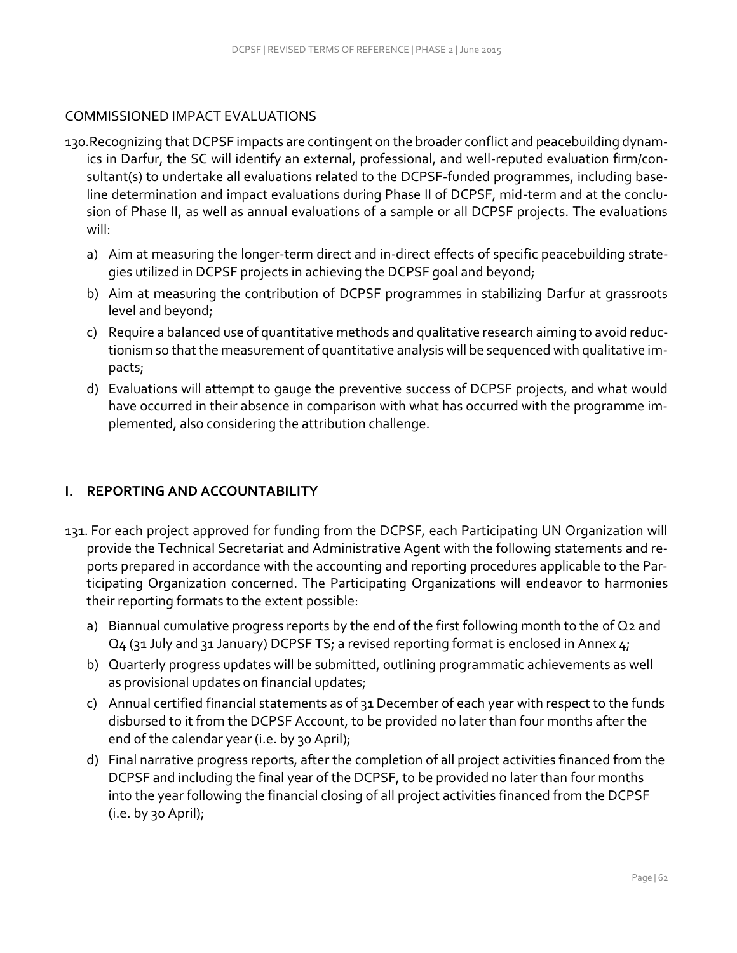### COMMISSIONED IMPACT EVALUATIONS

- 130.Recognizing that DCPSF impacts are contingent on the broader conflict and peacebuilding dynamics in Darfur, the SC will identify an external, professional, and well-reputed evaluation firm/consultant(s) to undertake all evaluations related to the DCPSF-funded programmes, including baseline determination and impact evaluations during Phase II of DCPSF, mid-term and at the conclusion of Phase II, as well as annual evaluations of a sample or all DCPSF projects. The evaluations will:
	- a) Aim at measuring the longer-term direct and in-direct effects of specific peacebuilding strategies utilized in DCPSF projects in achieving the DCPSF goal and beyond;
	- b) Aim at measuring the contribution of DCPSF programmes in stabilizing Darfur at grassroots level and beyond;
	- c) Require a balanced use of quantitative methods and qualitative research aiming to avoid reductionism so that the measurement of quantitative analysis will be sequenced with qualitative impacts;
	- d) Evaluations will attempt to gauge the preventive success of DCPSF projects, and what would have occurred in their absence in comparison with what has occurred with the programme implemented, also considering the attribution challenge.

## **I. REPORTING AND ACCOUNTABILITY**

- 131. For each project approved for funding from the DCPSF, each Participating UN Organization will provide the Technical Secretariat and Administrative Agent with the following statements and reports prepared in accordance with the accounting and reporting procedures applicable to the Participating Organization concerned. The Participating Organizations will endeavor to harmonies their reporting formats to the extent possible:
	- a) Biannual cumulative progress reports by the end of the first following month to the of Q2 and Q4 (31 July and 31 January) DCPSF TS; a revised reporting format is enclosed in Annex 4;
	- b) Quarterly progress updates will be submitted, outlining programmatic achievements as well as provisional updates on financial updates;
	- c) Annual certified financial statements as of 31 December of each year with respect to the funds disbursed to it from the DCPSF Account, to be provided no later than four months after the end of the calendar year (i.e. by 30 April);
	- d) Final narrative progress reports, after the completion of all project activities financed from the DCPSF and including the final year of the DCPSF, to be provided no later than four months into the year following the financial closing of all project activities financed from the DCPSF  $(i.e. by go April);$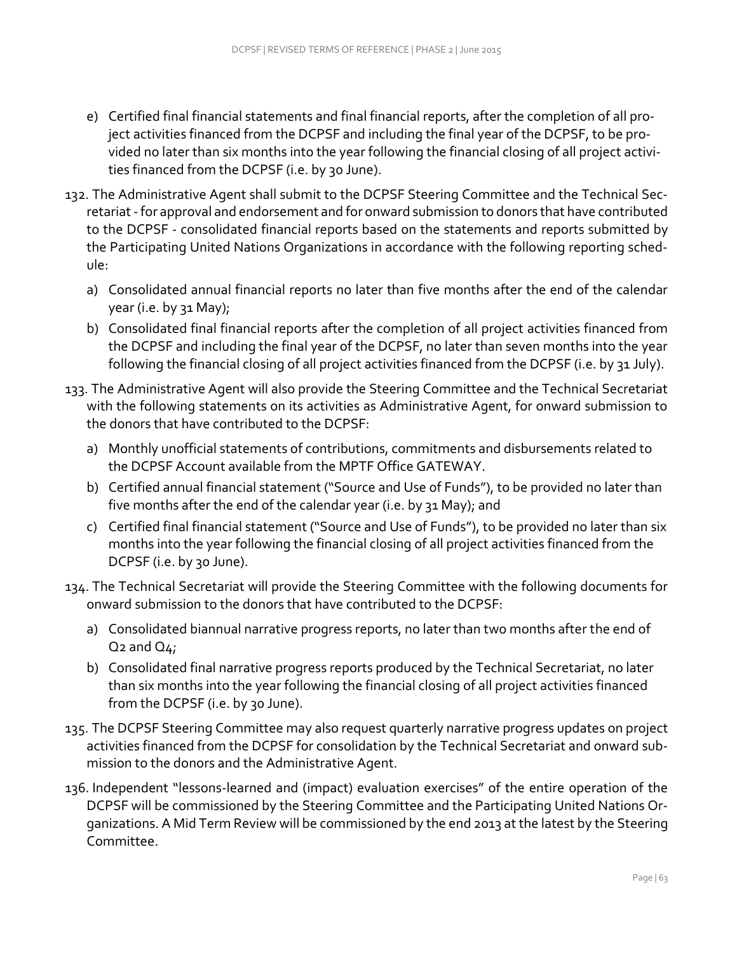- e) Certified final financial statements and final financial reports, after the completion of all project activities financed from the DCPSF and including the final year of the DCPSF, to be provided no later than six months into the year following the financial closing of all project activities financed from the DCPSF (i.e. by 30 June).
- 132. The Administrative Agent shall submit to the DCPSF Steering Committee and the Technical Secretariat -for approval and endorsement and for onward submission to donors that have contributed to the DCPSF - consolidated financial reports based on the statements and reports submitted by the Participating United Nations Organizations in accordance with the following reporting schedule:
	- a) Consolidated annual financial reports no later than five months after the end of the calendar year (i.e. by 31 May);
	- b) Consolidated final financial reports after the completion of all project activities financed from the DCPSF and including the final year of the DCPSF, no later than seven months into the year following the financial closing of all project activities financed from the DCPSF (i.e. by 31 July).
- 133. The Administrative Agent will also provide the Steering Committee and the Technical Secretariat with the following statements on its activities as Administrative Agent, for onward submission to the donors that have contributed to the DCPSF:
	- a) Monthly unofficial statements of contributions, commitments and disbursements related to the DCPSF Account available from the MPTF Office GATEWAY.
	- b) Certified annual financial statement ("Source and Use of Funds"), to be provided no later than five months after the end of the calendar year (i.e. by 31 May); and
	- c) Certified final financial statement ("Source and Use of Funds"), to be provided no later than six months into the year following the financial closing of all project activities financed from the DCPSF (i.e. by 30 June).
- 134. The Technical Secretariat will provide the Steering Committee with the following documents for onward submission to the donors that have contributed to the DCPSF:
	- a) Consolidated biannual narrative progress reports, no later than two months after the end of  $Q_2$  and  $Q_4$ ;
	- b) Consolidated final narrative progress reports produced by the Technical Secretariat, no later than six months into the year following the financial closing of all project activities financed from the DCPSF (i.e. by 30 June).
- 135. The DCPSF Steering Committee may also request quarterly narrative progress updates on project activities financed from the DCPSF for consolidation by the Technical Secretariat and onward submission to the donors and the Administrative Agent.
- 136. Independent "lessons-learned and (impact) evaluation exercises" of the entire operation of the DCPSF will be commissioned by the Steering Committee and the Participating United Nations Organizations. A Mid Term Review will be commissioned by the end 2013 at the latest by the Steering Committee.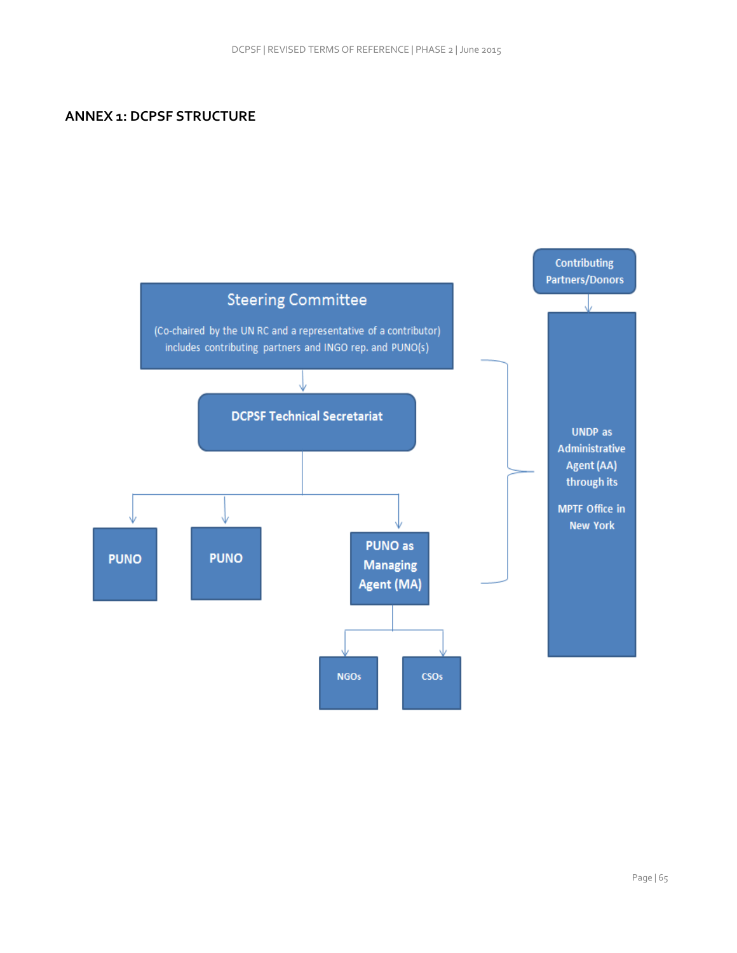### **ANNEX 1: DCPSF STRUCTURE**

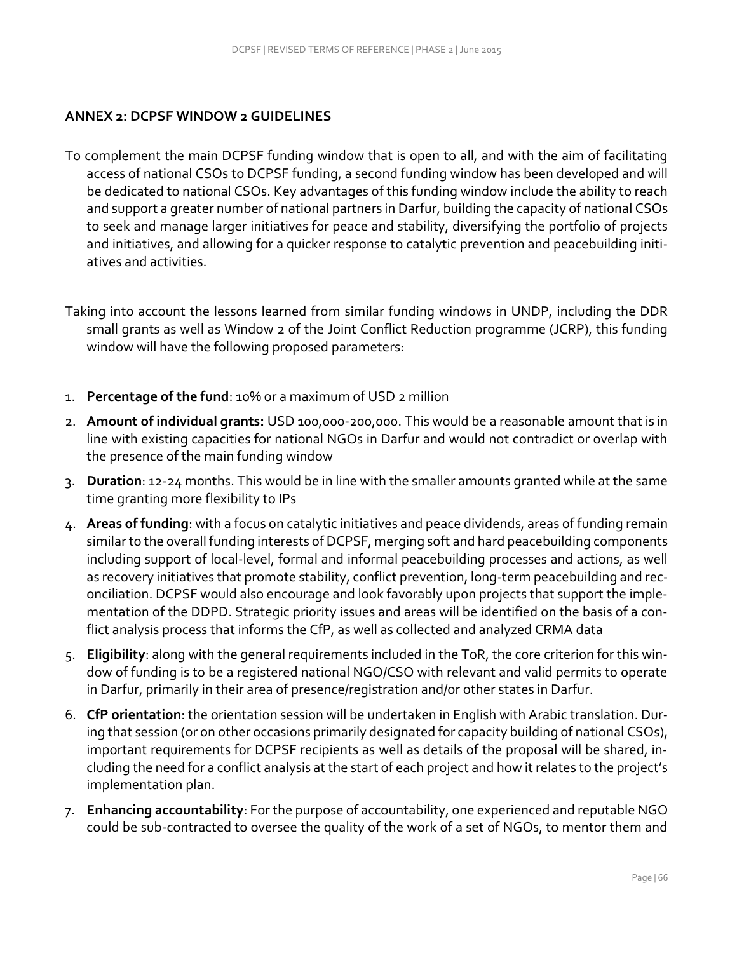## **ANNEX 2: DCPSF WINDOW 2 GUIDELINES**

- To complement the main DCPSF funding window that is open to all, and with the aim of facilitating access of national CSOs to DCPSF funding, a second funding window has been developed and will be dedicated to national CSOs. Key advantages of this funding window include the ability to reach and support a greater number of national partners in Darfur, building the capacity of national CSOs to seek and manage larger initiatives for peace and stability, diversifying the portfolio of projects and initiatives, and allowing for a quicker response to catalytic prevention and peacebuilding initiatives and activities.
- Taking into account the lessons learned from similar funding windows in UNDP, including the DDR small grants as well as Window 2 of the Joint Conflict Reduction programme (JCRP), this funding window will have the following proposed parameters:
- 1. **Percentage of the fund**: 10% or a maximum of USD 2 million
- 2. **Amount of individual grants:** USD 100,000-200,000. This would be a reasonable amount that is in line with existing capacities for national NGOs in Darfur and would not contradict or overlap with the presence of the main funding window
- 3. **Duration**: 12-24 months. This would be in line with the smaller amounts granted while at the same time granting more flexibility to IPs
- 4. **Areas of funding**: with a focus on catalytic initiatives and peace dividends, areas of funding remain similar to the overall funding interests of DCPSF, merging soft and hard peacebuilding components including support of local-level, formal and informal peacebuilding processes and actions, as well as recovery initiatives that promote stability, conflict prevention, long-term peacebuilding and reconciliation. DCPSF would also encourage and look favorably upon projects that support the implementation of the DDPD. Strategic priority issues and areas will be identified on the basis of a conflict analysis process that informs the CfP, as well as collected and analyzed CRMA data
- 5. **Eligibility**: along with the general requirements included in the ToR, the core criterion for this window of funding is to be a registered national NGO/CSO with relevant and valid permits to operate in Darfur, primarily in their area of presence/registration and/or other states in Darfur.
- 6. **CfP orientation**: the orientation session will be undertaken in English with Arabic translation. During that session (or on other occasions primarily designated for capacity building of national CSOs), important requirements for DCPSF recipients as well as details of the proposal will be shared, including the need for a conflict analysis at the start of each project and how it relates to the project's implementation plan.
- 7. **Enhancing accountability**: For the purpose of accountability, one experienced and reputable NGO could be sub-contracted to oversee the quality of the work of a set of NGOs, to mentor them and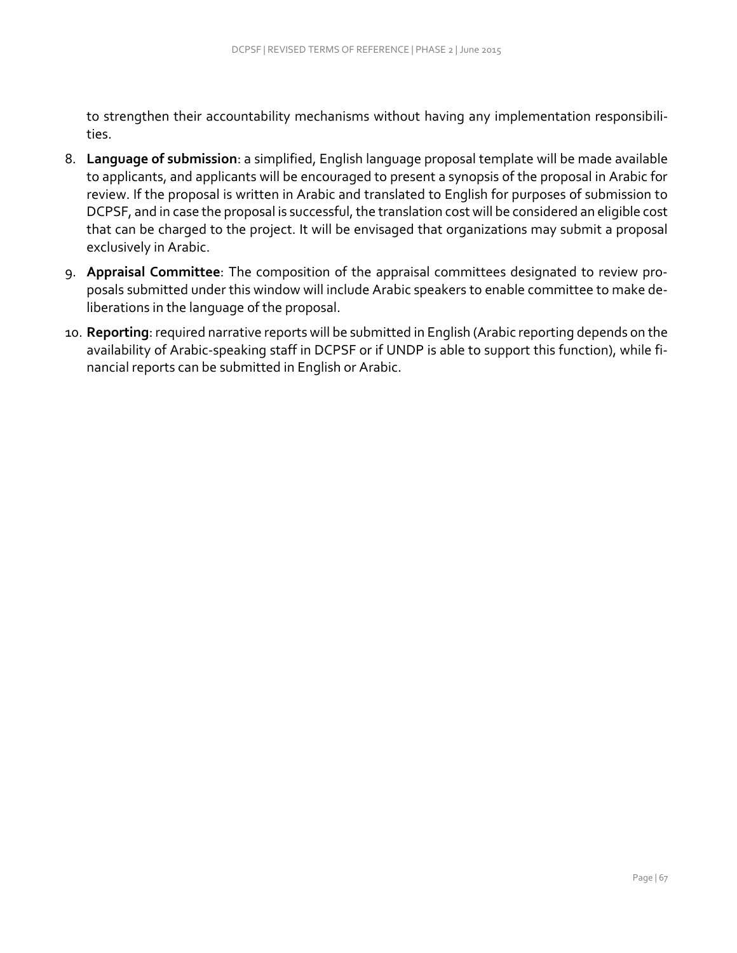to strengthen their accountability mechanisms without having any implementation responsibilities.

- 8. **Language of submission**: a simplified, English language proposal template will be made available to applicants, and applicants will be encouraged to present a synopsis of the proposal in Arabic for review. If the proposal is written in Arabic and translated to English for purposes of submission to DCPSF, and in case the proposal is successful, the translation cost will be considered an eligible cost that can be charged to the project. It will be envisaged that organizations may submit a proposal exclusively in Arabic.
- 9. **Appraisal Committee**: The composition of the appraisal committees designated to review proposals submitted under this window will include Arabic speakers to enable committee to make deliberations in the language of the proposal.
- 10. **Reporting**: required narrative reports will be submitted in English (Arabic reporting depends on the availability of Arabic-speaking staff in DCPSF or if UNDP is able to support this function), while financial reports can be submitted in English or Arabic.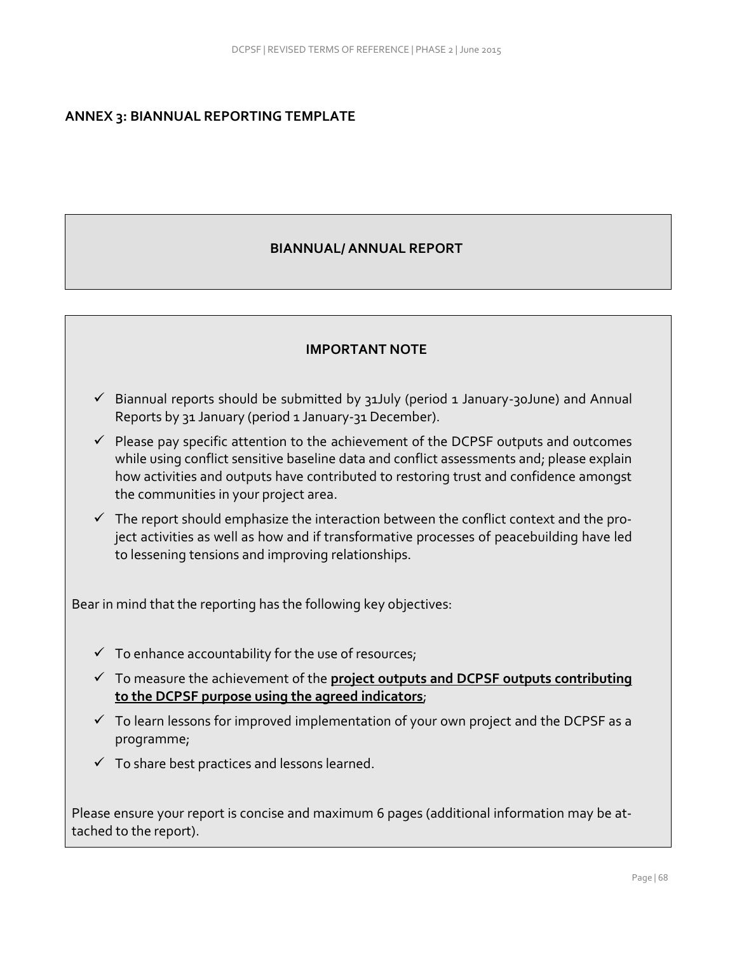#### **ANNEX 3: BIANNUAL REPORTING TEMPLATE**

#### **BIANNUAL/ ANNUAL REPORT**

#### **IMPORTANT NOTE**

- $\checkmark$  Biannual reports should be submitted by 31July (period 1 January-30June) and Annual Reports by 31 January (period 1 January-31 December).
- $\checkmark$  Please pay specific attention to the achievement of the DCPSF outputs and outcomes while using conflict sensitive baseline data and conflict assessments and; please explain how activities and outputs have contributed to restoring trust and confidence amongst the communities in your project area.
- $\checkmark$  The report should emphasize the interaction between the conflict context and the project activities as well as how and if transformative processes of peacebuilding have led to lessening tensions and improving relationships.

Bear in mind that the reporting has the following key objectives:

- $\checkmark$  To enhance accountability for the use of resources;
- To measure the achievement of the **project outputs and DCPSF outputs contributing to the DCPSF purpose using the agreed indicators**;
- $\checkmark$  To learn lessons for improved implementation of your own project and the DCPSF as a programme;
- $\checkmark$  To share best practices and lessons learned.

Please ensure your report is concise and maximum 6 pages (additional information may be attached to the report).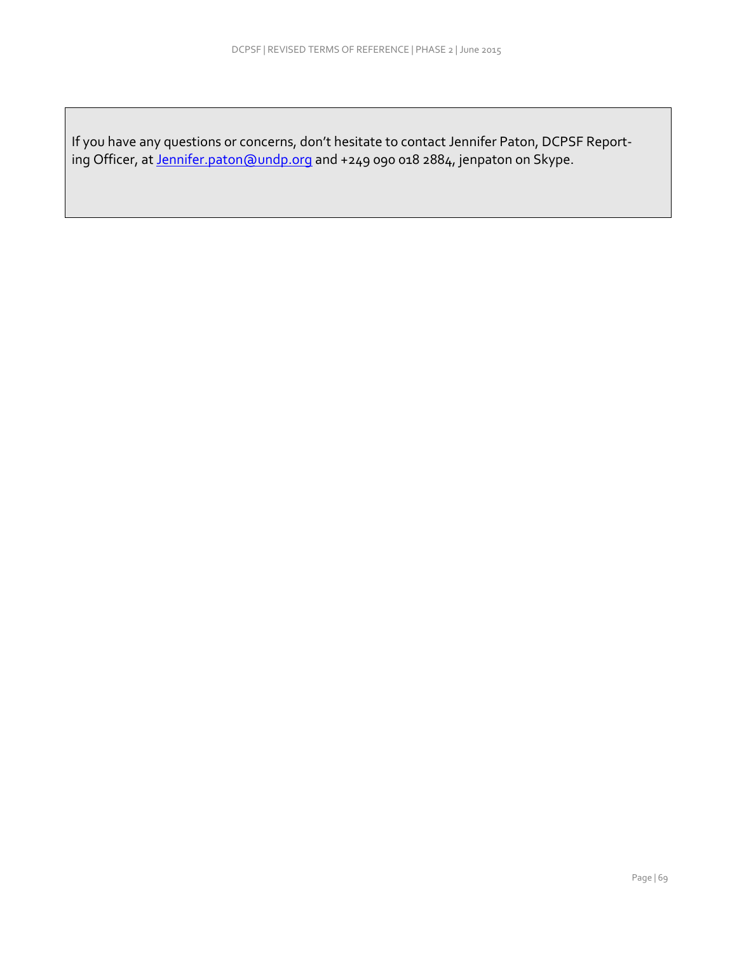If you have any questions or concerns, don't hesitate to contact Jennifer Paton, DCPSF Report‐ ing Officer, at <u>Jennifer.paton@undp.org</u> and +249 090 018 2884, jenpaton on Skype.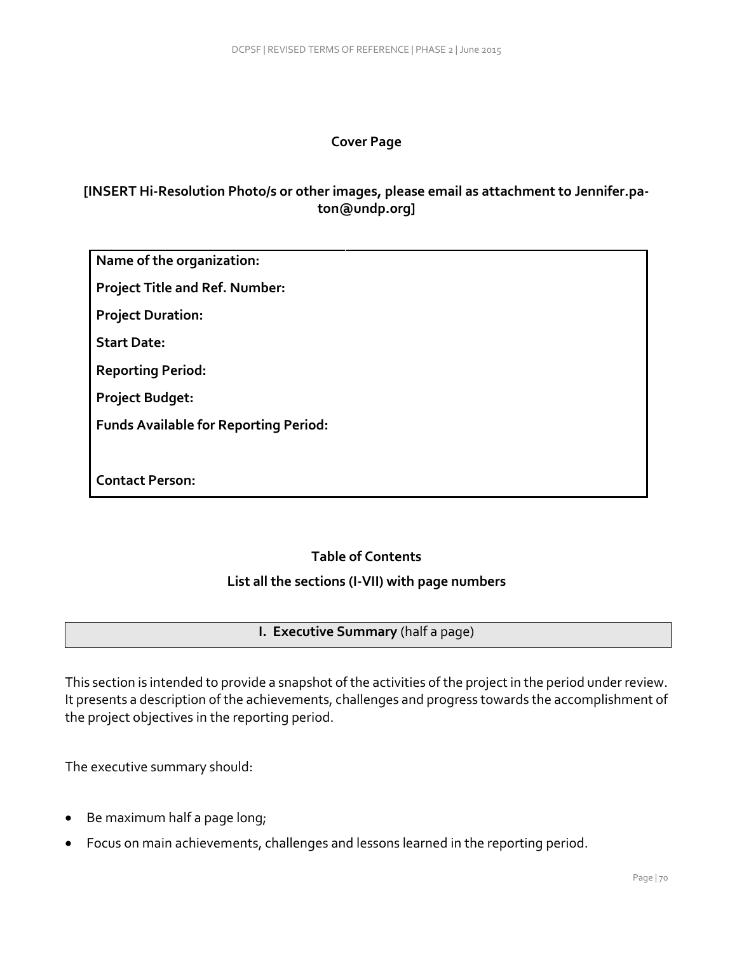## **Cover Page**

# **[INSERT Hi-Resolution Photo/s or other images, please email as attachment to Jennifer.paton@undp.org]**

**Name of the organization:**

**Project Title and Ref. Number:**

**Project Duration:**

**Start Date:**

**Reporting Period:** 

**Project Budget:**

**Funds Available for Reporting Period:** 

**Contact Person:**

## **Table of Contents**

#### **List all the sections (I-VII) with page numbers**

#### **I. Executive Summary** (half a page)

This section is intended to provide a snapshot of the activities of the project in the period under review. It presents a description of the achievements, challenges and progress towards the accomplishment of the project objectives in the reporting period.

The executive summary should:

- Be maximum half a page long;
- Focus on main achievements, challenges and lessons learned in the reporting period.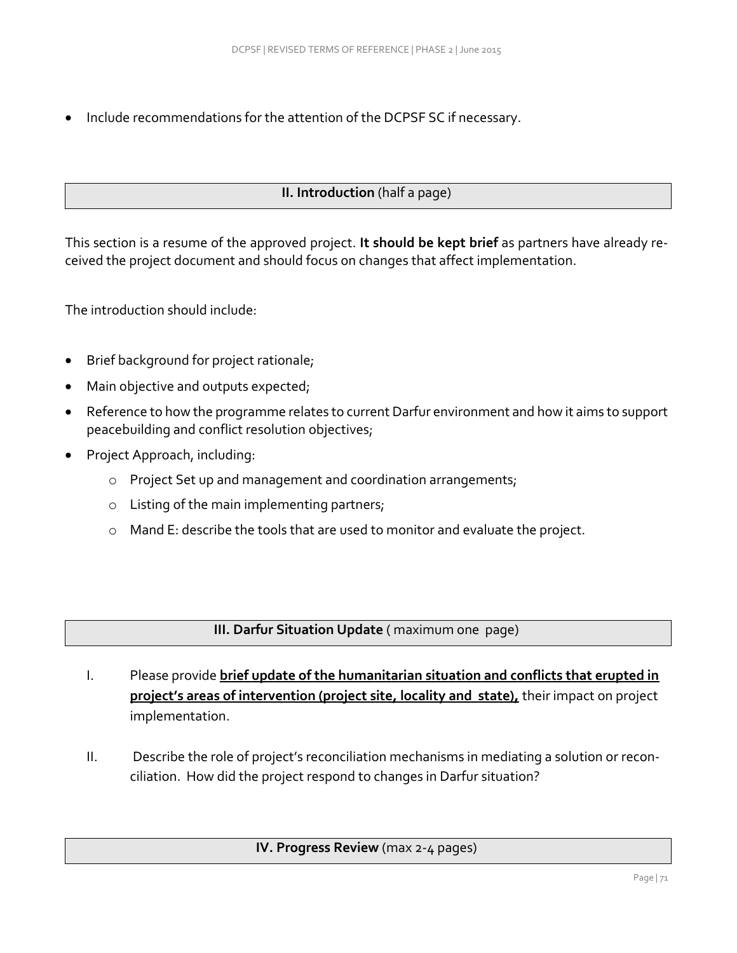Include recommendations for the attention of the DCPSF SC if necessary.

## **II. Introduction** (half a page)

This section is a resume of the approved project. **It should be kept brief** as partners have already received the project document and should focus on changes that affect implementation.

The introduction should include:

- Brief background for project rationale;
- Main objective and outputs expected;
- Reference to how the programme relates to current Darfur environment and how it aims to support peacebuilding and conflict resolution objectives;
- Project Approach, including:
	- o Project Set up and management and coordination arrangements;
	- o Listing of the main implementing partners;
	- o Mand E: describe the tools that are used to monitor and evaluate the project.

**III. Darfur Situation Update** ( maximum one page)

- I. Please provide **brief update of the humanitarian situation and conflicts that erupted in project's areas of intervention (project site, locality and state),** their impact on project implementation.
- II. Describe the role of project's reconciliation mechanisms in mediating a solution or recon‐ ciliation. How did the project respond to changes in Darfur situation?

## **IV. Progress Review** (max 2-4 pages)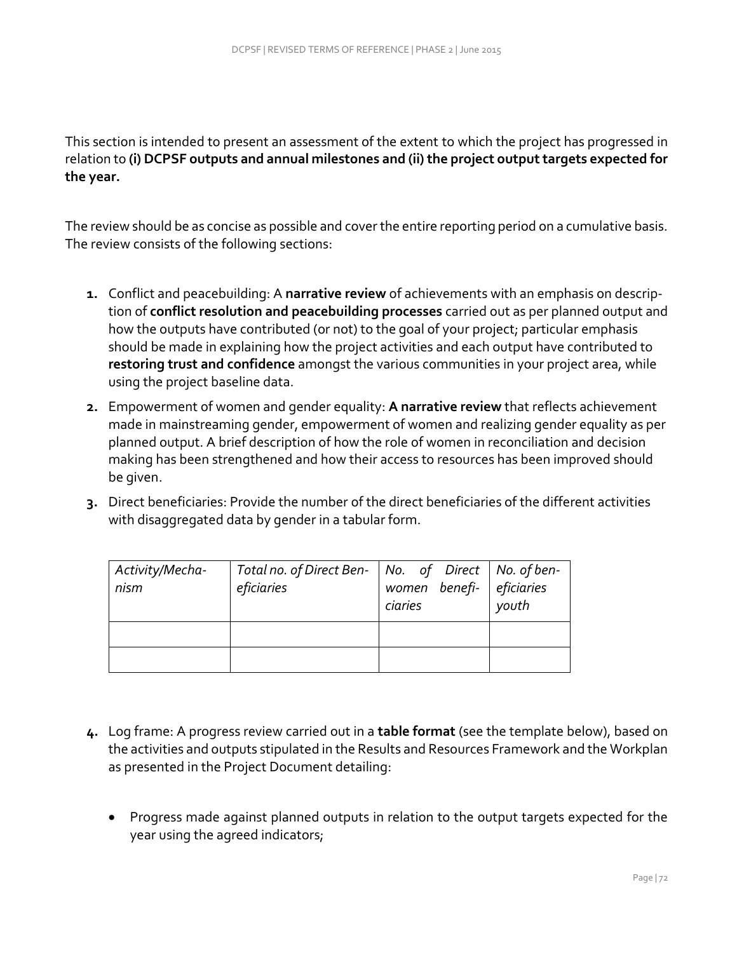This section is intended to present an assessment of the extent to which the project has progressed in relation to **(i) DCPSF outputs and annual milestones and (ii) the project output targets expected for the year.** 

The review should be as concise as possible and cover the entire reporting period on a cumulative basis. The review consists of the following sections:

- **1.** Conflict and peacebuilding: A **narrative review** of achievements with an emphasis on description of **conflict resolution and peacebuilding processes** carried out as per planned output and how the outputs have contributed (or not) to the goal of your project; particular emphasis should be made in explaining how the project activities and each output have contributed to **restoring trust and confidence** amongst the various communities in your project area, while using the project baseline data.
- **2.** Empowerment of women and gender equality: **A narrative review** that reflects achievement made in mainstreaming gender, empowerment of women and realizing gender equality as per planned output. A brief description of how the role of women in reconciliation and decision making has been strengthened and how their access to resources has been improved should be given.
- **3.** Direct beneficiaries: Provide the number of the direct beneficiaries of the different activities with disaggregated data by gender in a tabular form.

| Activity/Mecha-<br>nism | Total no. of Direct Ben-   No. of Direct   No. of ben-<br>eficiaries | women benefi- eficiaries<br>ciaries | youth |
|-------------------------|----------------------------------------------------------------------|-------------------------------------|-------|
|                         |                                                                      |                                     |       |
|                         |                                                                      |                                     |       |

- **4.** Log frame: A progress review carried out in a **table format** (see the template below), based on the activities and outputs stipulated in the Results and Resources Framework and the Workplan as presented in the Project Document detailing:
	- Progress made against planned outputs in relation to the output targets expected for the year using the agreed indicators;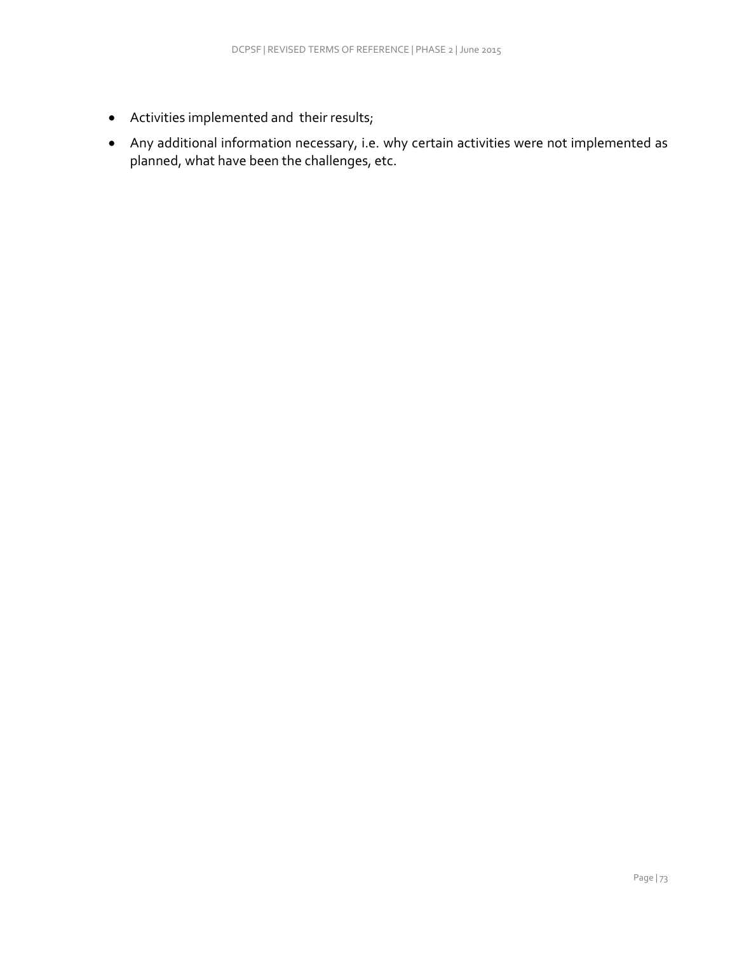- Activities implemented and their results;
- Any additional information necessary, i.e. why certain activities were not implemented as planned, what have been the challenges, etc.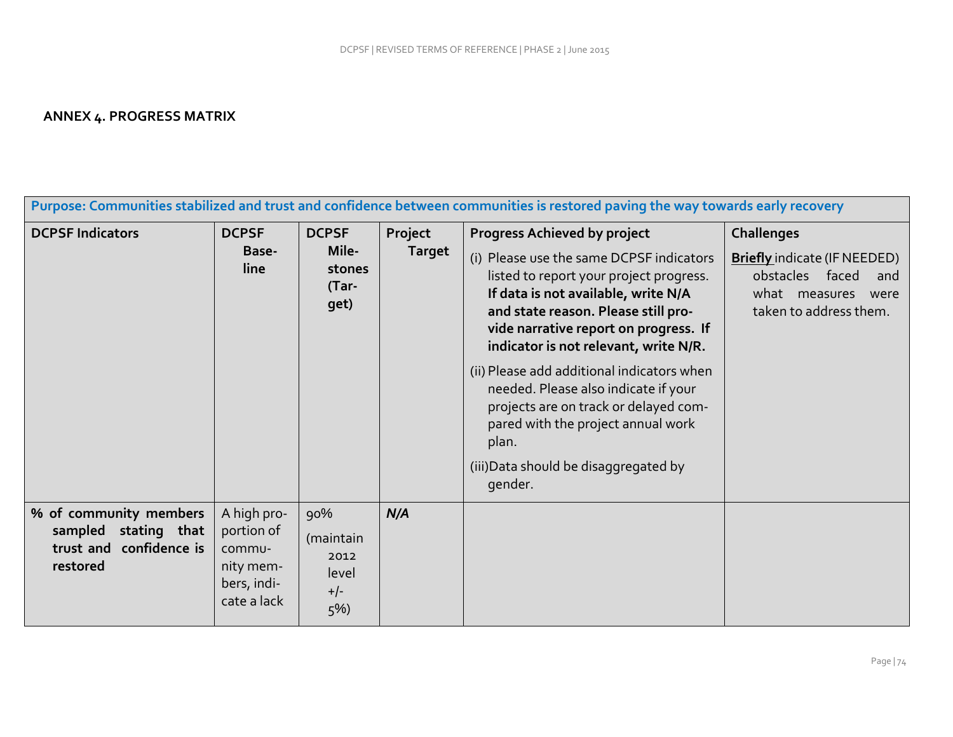## **ANNEX 4. PROGRESS MATRIX**

|                                                                                       | Purpose: Communities stabilized and trust and confidence between communities is restored paving the way towards early recovery |                                                     |                          |                                                                                                                                                                                                                                                                                            |                                                                                                                                       |  |  |  |  |  |  |
|---------------------------------------------------------------------------------------|--------------------------------------------------------------------------------------------------------------------------------|-----------------------------------------------------|--------------------------|--------------------------------------------------------------------------------------------------------------------------------------------------------------------------------------------------------------------------------------------------------------------------------------------|---------------------------------------------------------------------------------------------------------------------------------------|--|--|--|--|--|--|
| <b>DCPSF Indicators</b>                                                               | <b>DCPSF</b><br>Base-<br>line                                                                                                  | <b>DCPSF</b><br>Mile-<br>stones<br>$(Tar -$<br>get) | Project<br><b>Target</b> | <b>Progress Achieved by project</b><br>(i) Please use the same DCPSF indicators<br>listed to report your project progress.<br>If data is not available, write N/A<br>and state reason. Please still pro-<br>vide narrative report on progress. If<br>indicator is not relevant, write N/R. | <b>Challenges</b><br><b>Briefly</b> indicate (IF NEEDED)<br>obstacles faced<br>and<br>what measures<br>were<br>taken to address them. |  |  |  |  |  |  |
|                                                                                       |                                                                                                                                |                                                     |                          | (ii) Please add additional indicators when<br>needed. Please also indicate if your<br>projects are on track or delayed com-<br>pared with the project annual work<br>plan.<br>(iii) Data should be disaggregated by<br>gender.                                                             |                                                                                                                                       |  |  |  |  |  |  |
| % of community members<br>sampled stating that<br>trust and confidence is<br>restored | A high pro-<br>portion of<br>commu-<br>nity mem-<br>bers, indi-<br>cate a lack                                                 | 90%<br>(maintain<br>2012<br>level<br>$+/-$<br>$5\%$ | N/A                      |                                                                                                                                                                                                                                                                                            |                                                                                                                                       |  |  |  |  |  |  |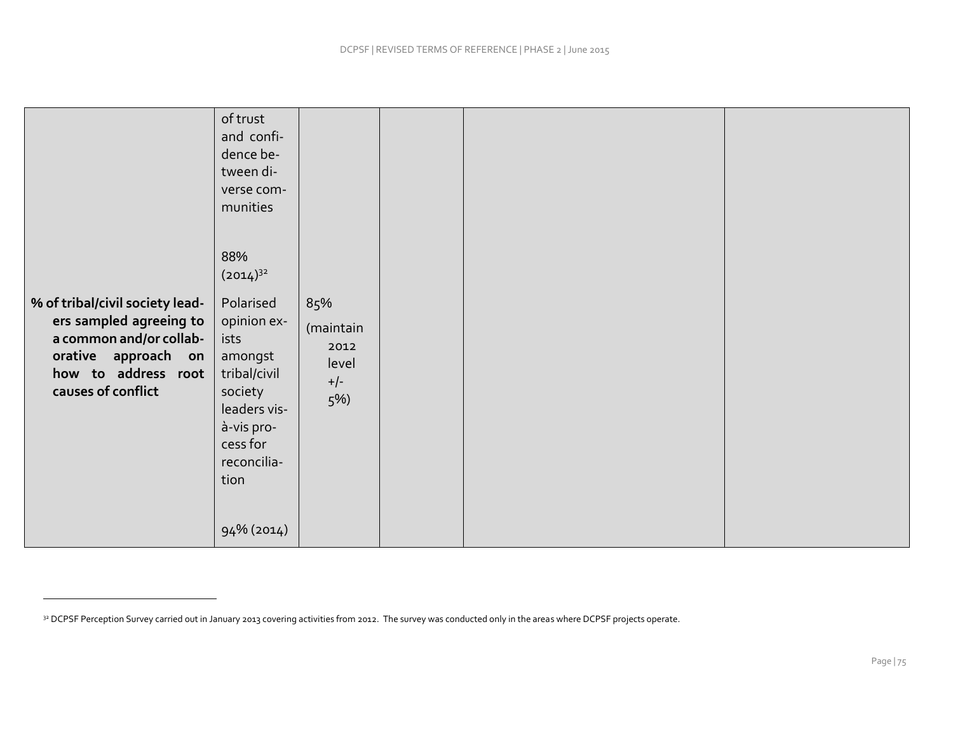|                                                                                                                                                           | of trust<br>and confi-<br>dence be-<br>tween di-<br>verse com-<br>munities<br>88%<br>$(2014)^{32}$                                                       |                                                     |  |  |
|-----------------------------------------------------------------------------------------------------------------------------------------------------------|----------------------------------------------------------------------------------------------------------------------------------------------------------|-----------------------------------------------------|--|--|
| % of tribal/civil society lead-<br>ers sampled agreeing to<br>a common and/or collab-<br>orative approach on<br>how to address root<br>causes of conflict | Polarised<br>opinion ex-<br>ists<br>amongst<br>tribal/civil<br>society<br>leaders vis-<br>à-vis pro-<br>cess for<br>reconcilia-<br>tion<br>$94\%$ (2014) | 85%<br>(maintain<br>2012<br>level<br>$+/-$<br>$5\%$ |  |  |

<sup>&</sup>lt;sup>32</sup> DCPSF Perception Survey carried out in January 2013 covering activities from 2012. The survey was conducted only in the areas where DCPSF projects operate.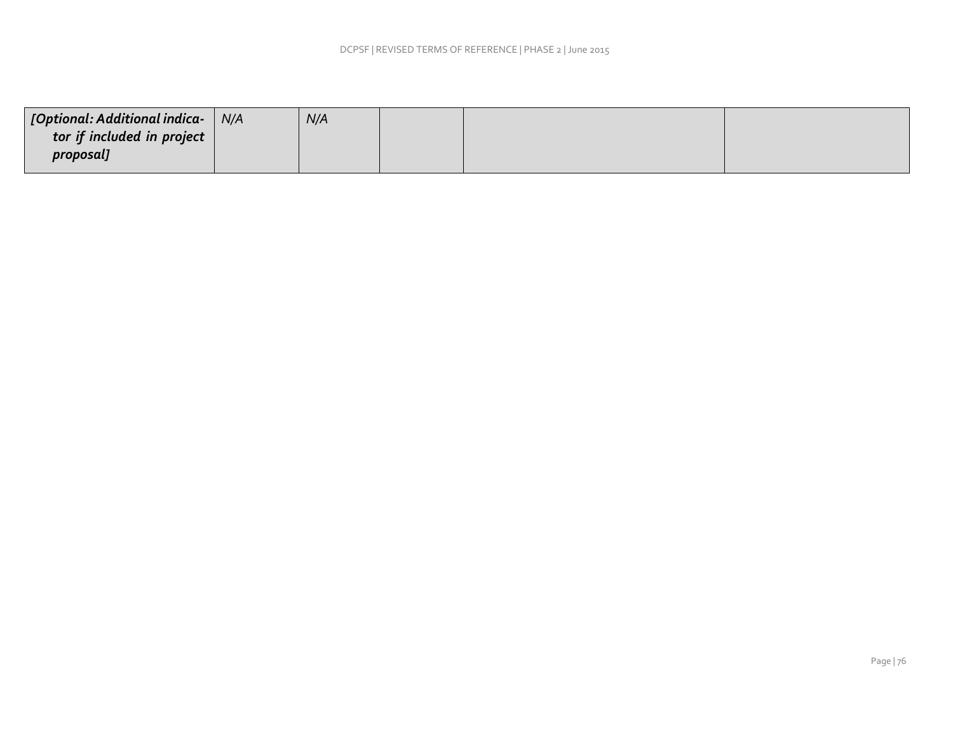|                            | N/A |  |  |
|----------------------------|-----|--|--|
| tor if included in project |     |  |  |
| proposal]                  |     |  |  |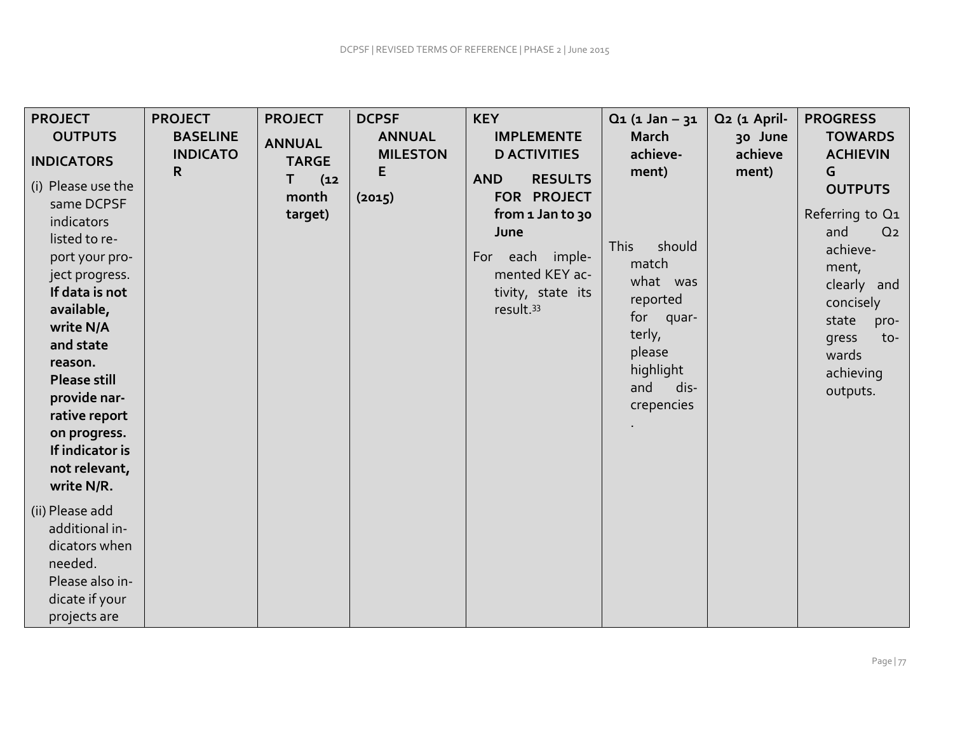| <b>PROJECT</b>                                                                                                                                                                                                                                         | <b>PROJECT</b>                          | <b>PROJECT</b>                                                 | <b>DCPSF</b>                                    | <b>KEY</b>                                                                                                                                                                                             | $Q_1$ (1 Jan - 31                                                                                                                                           | Q <sub>2</sub> (1 April-    | <b>PROGRESS</b>                                                                                                                                                                                                          |
|--------------------------------------------------------------------------------------------------------------------------------------------------------------------------------------------------------------------------------------------------------|-----------------------------------------|----------------------------------------------------------------|-------------------------------------------------|--------------------------------------------------------------------------------------------------------------------------------------------------------------------------------------------------------|-------------------------------------------------------------------------------------------------------------------------------------------------------------|-----------------------------|--------------------------------------------------------------------------------------------------------------------------------------------------------------------------------------------------------------------------|
| <b>OUTPUTS</b><br><b>INDICATORS</b><br>(i) Please use the<br>same DCPSF<br>indicators<br>listed to re-<br>port your pro-<br>ject progress.<br>If data is not<br>available,<br>write N/A<br>and state<br>reason.<br><b>Please still</b><br>provide nar- | <b>BASELINE</b><br><b>INDICATO</b><br>R | <b>ANNUAL</b><br><b>TARGE</b><br>Τ<br>(12)<br>month<br>target) | <b>ANNUAL</b><br><b>MILESTON</b><br>E<br>(2015) | <b>IMPLEMENTE</b><br><b>D ACTIVITIES</b><br><b>RESULTS</b><br><b>AND</b><br>FOR PROJECT<br>from 1 Jan to 30<br>June<br>For each imple-<br>mented KEY ac-<br>tivity, state its<br>result. <sup>33</sup> | <b>March</b><br>achieve-<br>ment)<br><b>This</b><br>should<br>match<br>what was<br>reported<br>for<br>quar-<br>terly,<br>please<br>highlight<br>dis-<br>and | 30 June<br>achieve<br>ment) | <b>TOWARDS</b><br><b>ACHIEVIN</b><br>G<br><b>OUTPUTS</b><br>Referring to Q1<br>and<br>Q <sub>2</sub><br>achieve-<br>ment,<br>clearly and<br>concisely<br>state<br>pro-<br>gress<br>to-<br>wards<br>achieving<br>outputs. |
| rative report<br>on progress.<br>If indicator is<br>not relevant,<br>write N/R.<br>(ii) Please add<br>additional in-<br>dicators when<br>needed.<br>Please also in-<br>dicate if your<br>projects are                                                  |                                         |                                                                |                                                 |                                                                                                                                                                                                        | crepencies                                                                                                                                                  |                             |                                                                                                                                                                                                                          |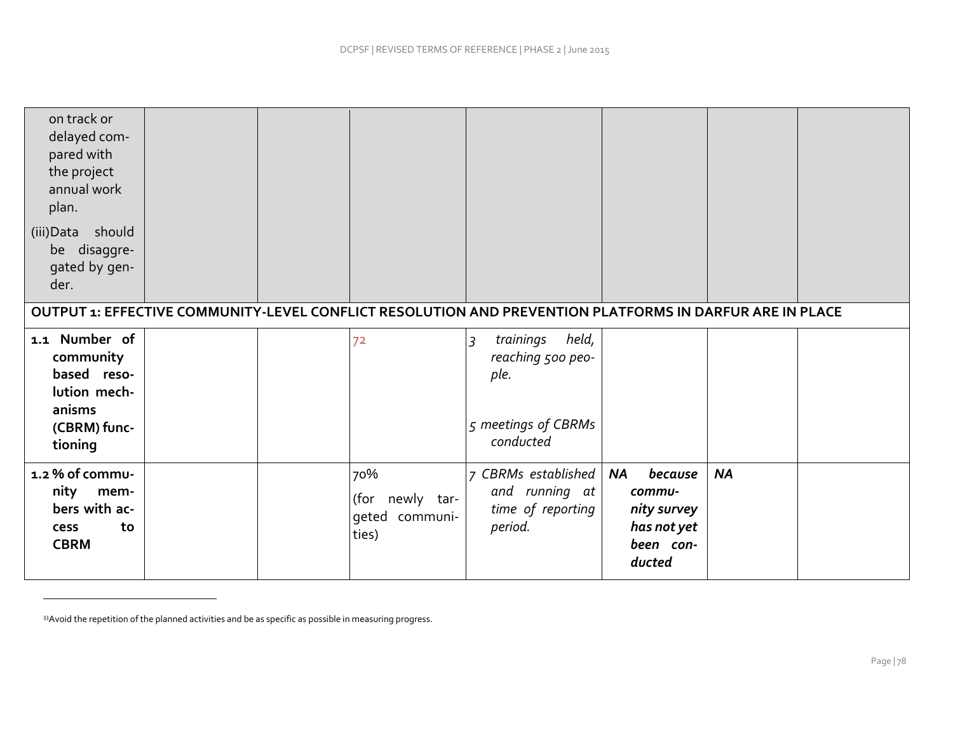| on track or<br>delayed com-<br>pared with<br>the project<br>annual work<br>plan.<br>should<br>(iii) Data<br>be disaggre-<br>gated by gen-<br>der. |  |                                                      |                                                                                                         |                                                                                     |           |  |
|---------------------------------------------------------------------------------------------------------------------------------------------------|--|------------------------------------------------------|---------------------------------------------------------------------------------------------------------|-------------------------------------------------------------------------------------|-----------|--|
|                                                                                                                                                   |  |                                                      | OUTPUT 1: EFFECTIVE COMMUNITY-LEVEL CONFLICT RESOLUTION AND PREVENTION PLATFORMS IN DARFUR ARE IN PLACE |                                                                                     |           |  |
|                                                                                                                                                   |  |                                                      |                                                                                                         |                                                                                     |           |  |
| 1.1 Number of<br>community<br>based reso-<br>lution mech-<br>anisms<br>(CBRM) func-<br>tioning                                                    |  | 72                                                   | held,<br>trainings<br>$\overline{3}$<br>reaching 500 peo-<br>ple.<br>5 meetings of CBRMs<br>conducted   |                                                                                     |           |  |
| 1.2 % of commu-<br>nity<br>mem-<br>bers with ac-<br>to<br><b>cess</b><br><b>CBRM</b>                                                              |  | 70%<br>newly tar-<br>(for<br>geted communi-<br>ties) | CBRMs established<br>$\overline{7}$<br>and running at<br>time of reporting<br>period.                   | <b>NA</b><br>because<br>commu-<br>nity survey<br>has not yet<br>been con-<br>ducted | <b>NA</b> |  |

33 Avoid the repetition of the planned activities and be as specific as possible in measuring progress.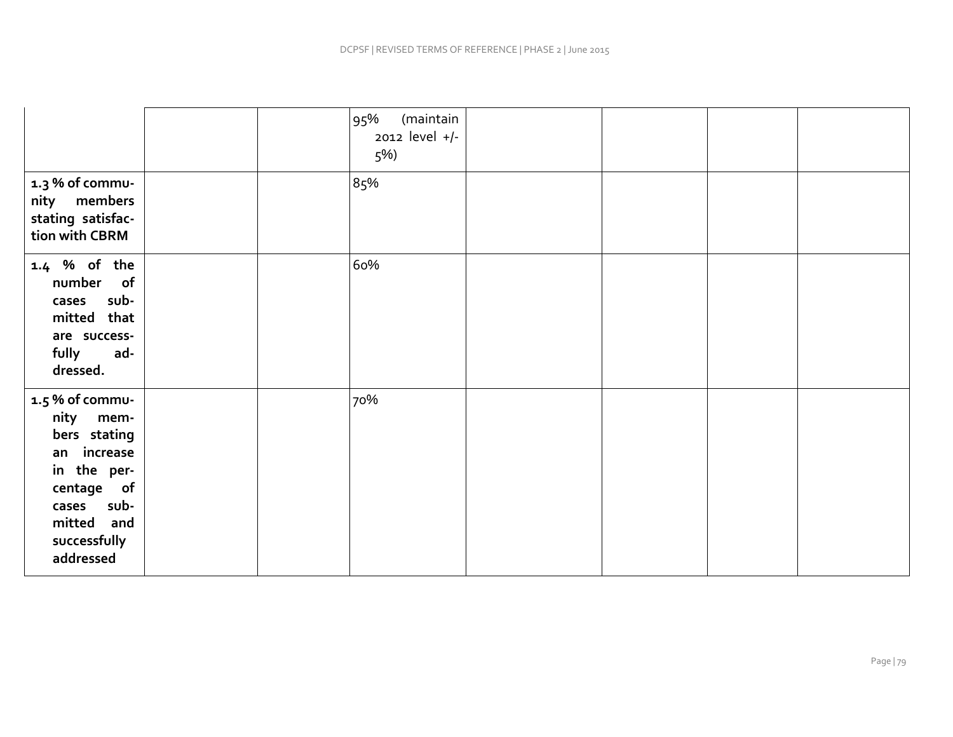|                                                                                                                                                   |  | (maintain<br>95%<br>2012 level +/-<br>5%) |  |  |
|---------------------------------------------------------------------------------------------------------------------------------------------------|--|-------------------------------------------|--|--|
| 1.3 % of commu-<br>nity members<br>stating satisfac-<br>tion with CBRM                                                                            |  | 85%                                       |  |  |
| 1.4 % of the<br>number of<br>cases sub-<br>mitted that<br>are success-<br>fully<br>ad-<br>dressed.                                                |  | 60%                                       |  |  |
| 1.5 % of commu-<br>nity mem-<br>bers stating<br>an increase<br>in the per-<br>centage of<br>cases sub-<br>mitted and<br>successfully<br>addressed |  | 70%                                       |  |  |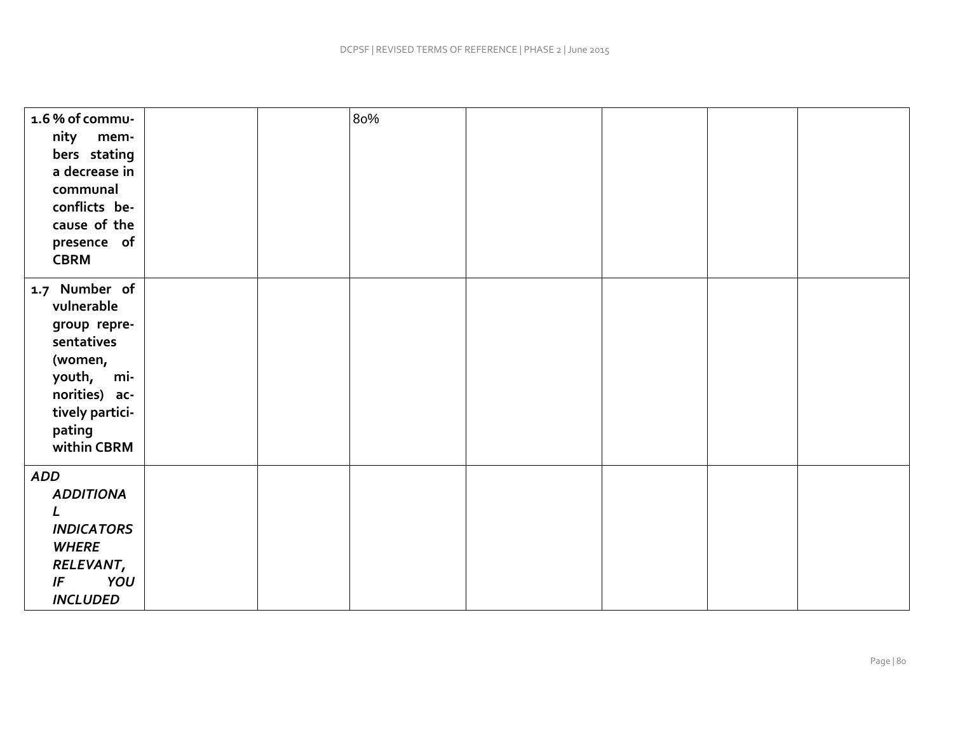| 1.6% of commu-<br>nity<br>mem-<br>bers stating<br>a decrease in<br>communal<br>conflicts be-<br>cause of the<br>presence of<br><b>CBRM</b>      |  | 80% |  |  |
|-------------------------------------------------------------------------------------------------------------------------------------------------|--|-----|--|--|
| 1.7 Number of<br>vulnerable<br>group repre-<br>sentatives<br>(women,<br>youth, mi-<br>norities) ac-<br>tively partici-<br>pating<br>within CBRM |  |     |  |  |
| <b>ADD</b><br><b>ADDITIONA</b><br>L<br><b>INDICATORS</b><br><b>WHERE</b><br>RELEVANT,<br>YOU<br>IF<br><b>INCLUDED</b>                           |  |     |  |  |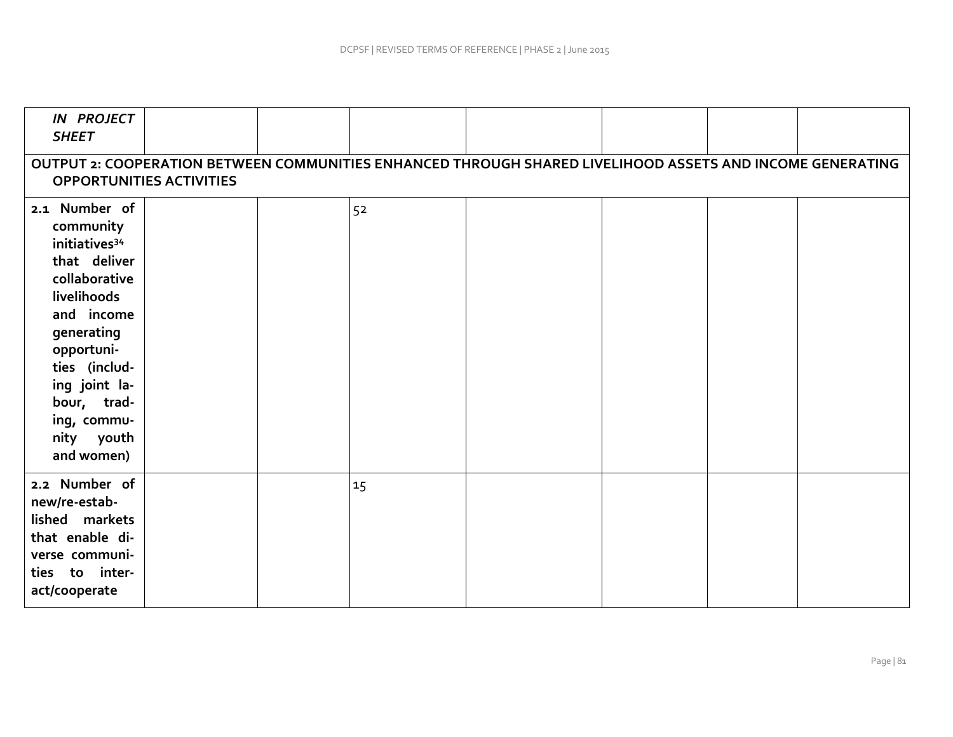| <b>IN PROJECT</b><br><b>SHEET</b>                                                                                                                                                                                                             |  |  |    |  |  |  |  |  |  |  |
|-----------------------------------------------------------------------------------------------------------------------------------------------------------------------------------------------------------------------------------------------|--|--|----|--|--|--|--|--|--|--|
| OUTPUT 2: COOPERATION BETWEEN COMMUNITIES ENHANCED THROUGH SHARED LIVELIHOOD ASSETS AND INCOME GENERATING<br><b>OPPORTUNITIES ACTIVITIES</b>                                                                                                  |  |  |    |  |  |  |  |  |  |  |
| 2.1 Number of<br>community<br>initiatives <sup>34</sup><br>that deliver<br>collaborative<br>livelihoods<br>and income<br>generating<br>opportuni-<br>ties (includ-<br>ing joint la-<br>bour, trad-<br>ing, commu-<br>nity youth<br>and women) |  |  | 52 |  |  |  |  |  |  |  |
| 2.2 Number of<br>new/re-estab-<br>lished markets<br>that enable di-<br>verse communi-<br>ties to inter-<br>act/cooperate                                                                                                                      |  |  | 15 |  |  |  |  |  |  |  |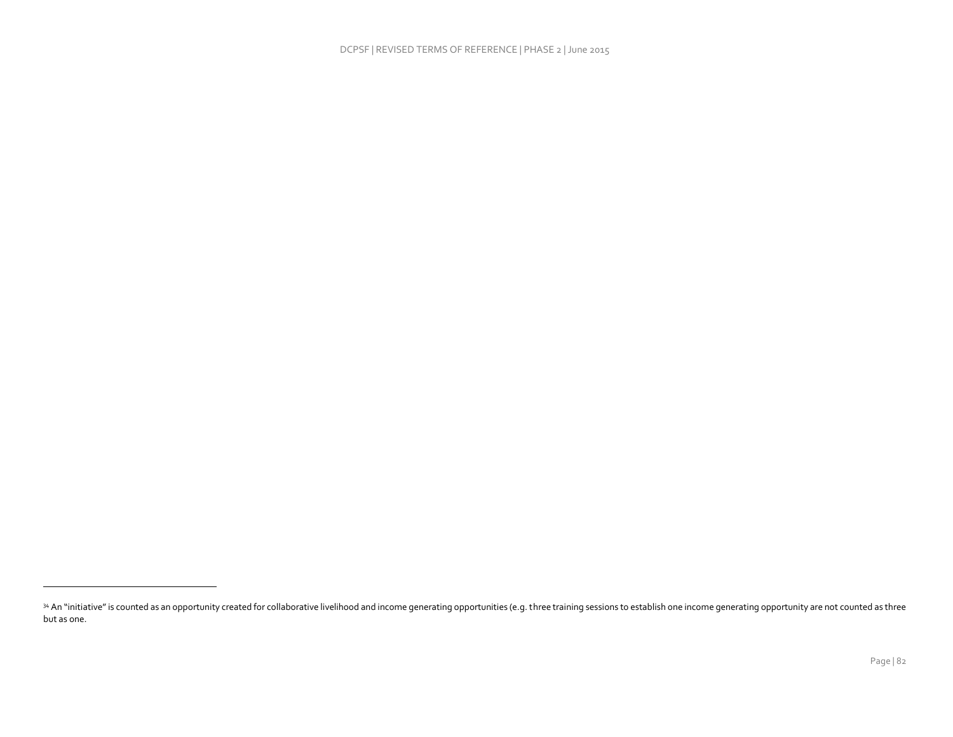<sup>34</sup> An "initiative" is counted as an opportunity created for collaborative livelihood and income generating opportunities (e.g. three training sessions to establish one income generating opportunity are not counted as three but as one.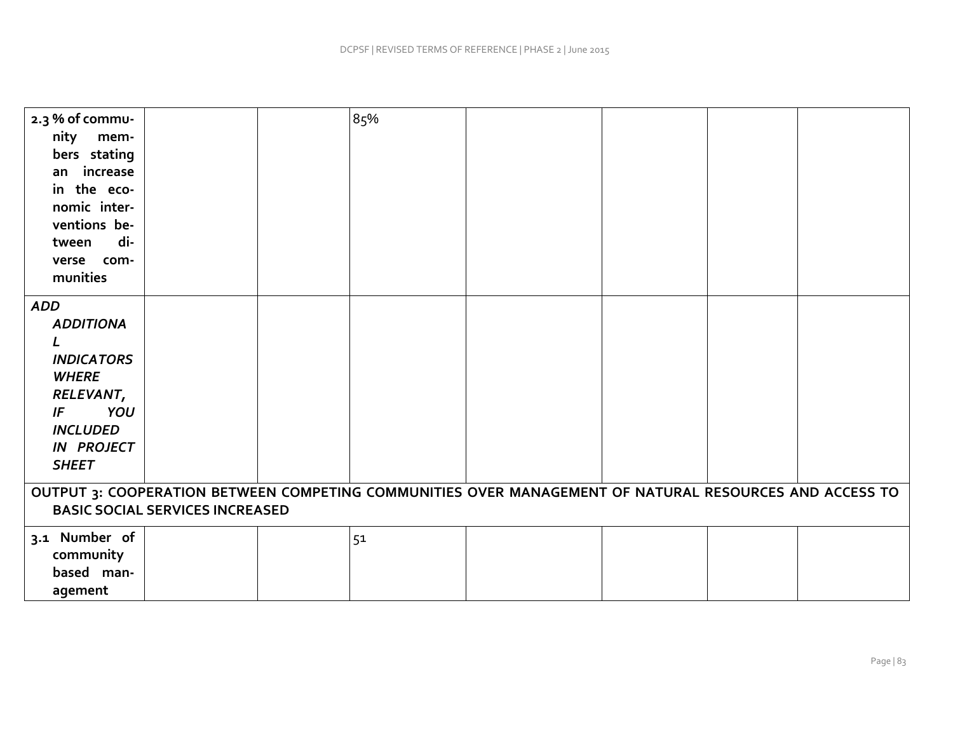| 2.3 % of commu-<br>nity<br>mem-<br>bers stating<br>an increase<br>in the eco-<br>nomic inter-<br>ventions be-<br>di-<br>tween<br>verse com-<br>munities |  |  | 85% |  |  |  |  |  |
|---------------------------------------------------------------------------------------------------------------------------------------------------------|--|--|-----|--|--|--|--|--|
| <b>ADD</b><br><b>ADDITIONA</b><br><b>INDICATORS</b><br><b>WHERE</b><br>RELEVANT,<br>YOU<br>IF<br><b>INCLUDED</b><br><b>IN PROJECT</b><br><b>SHEET</b>   |  |  |     |  |  |  |  |  |
| OUTPUT 3: COOPERATION BETWEEN COMPETING COMMUNITIES OVER MANAGEMENT OF NATURAL RESOURCES AND ACCESS TO<br><b>BASIC SOCIAL SERVICES INCREASED</b>        |  |  |     |  |  |  |  |  |
| 3.1 Number of<br>community<br>based man-<br>agement                                                                                                     |  |  | 51  |  |  |  |  |  |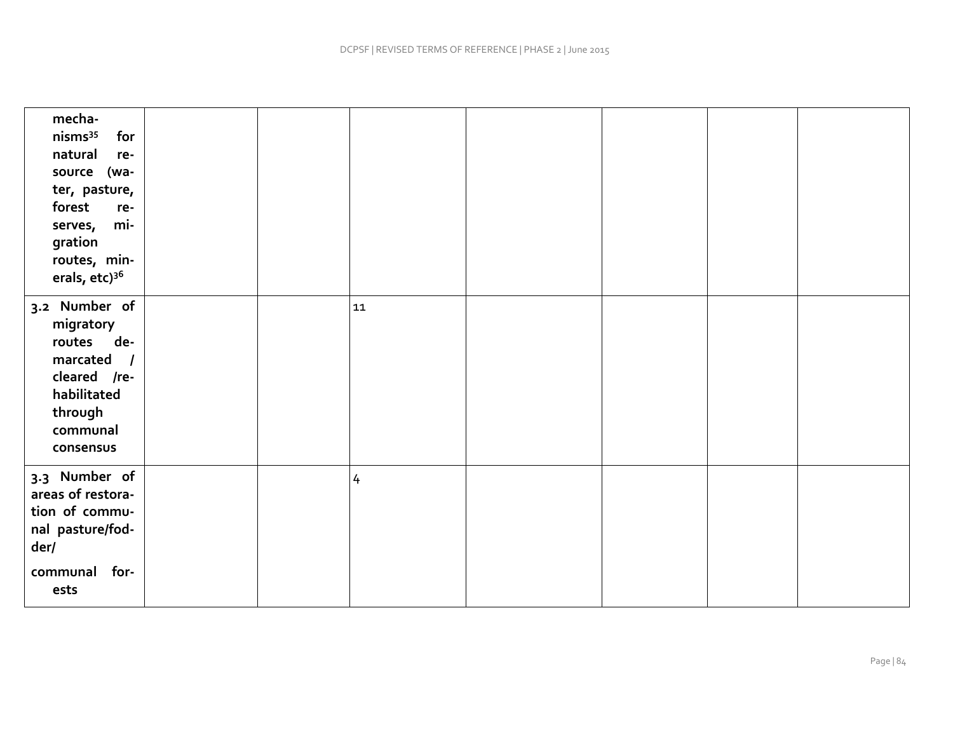| mecha-<br>nisms <sup>35</sup><br>for<br>natural<br>re-<br>source (wa-<br>ter, pasture,<br>forest<br>re-<br>mi-<br>serves,<br>gration<br>routes, min-<br>erals, etc) <sup>36</sup> |  |                |  |  |
|-----------------------------------------------------------------------------------------------------------------------------------------------------------------------------------|--|----------------|--|--|
| 3.2 Number of<br>migratory<br>routes de-<br>marcated /<br>cleared /re-<br>habilitated<br>through<br>communal<br>consensus                                                         |  | 11             |  |  |
| 3.3 Number of<br>areas of restora-<br>tion of commu-<br>nal pasture/fod-<br>der/<br>for-<br>communal<br>ests                                                                      |  | $\overline{4}$ |  |  |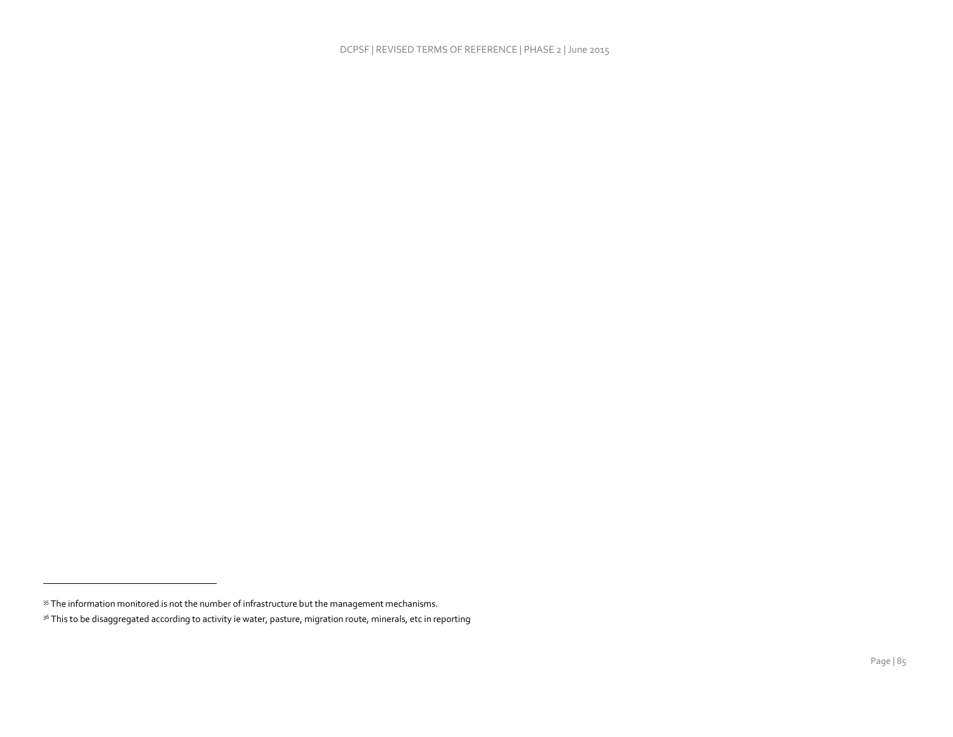<sup>35</sup> The information monitored is not the number of infrastructure but the management mechanisms.

<sup>&</sup>lt;sup>36</sup> This to be disaggregated according to activity ie water, pasture, migration route, minerals, etc in reporting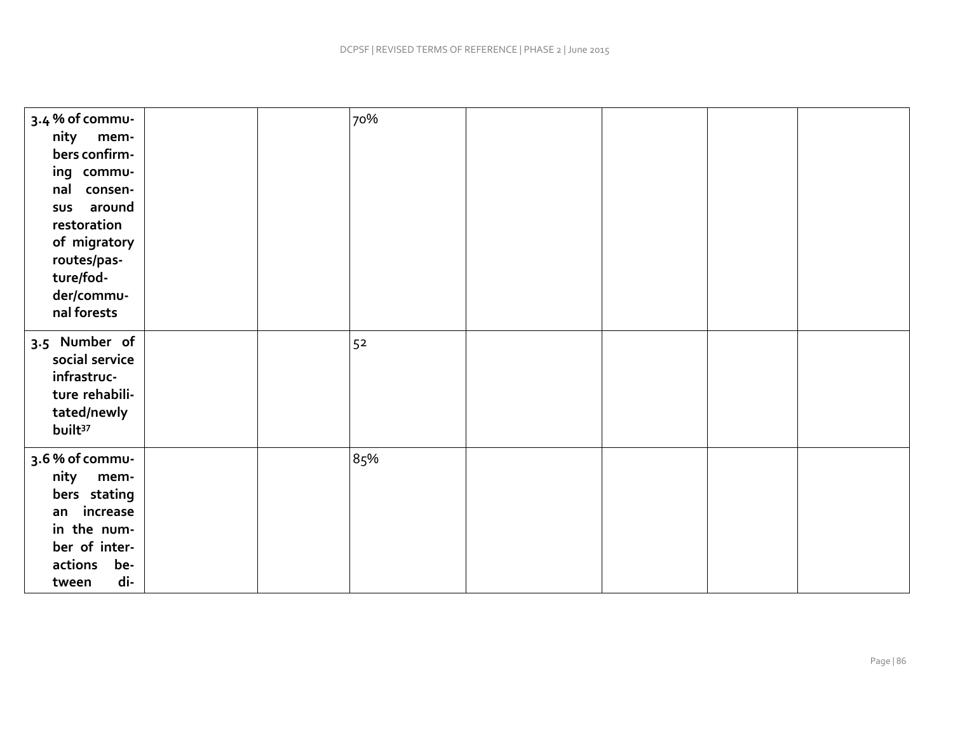| 3.4 % of commu-<br>nity<br>mem-<br>bers confirm-<br>ing commu-<br>nal consen-<br>sus around<br>restoration<br>of migratory<br>routes/pas-<br>ture/fod-<br>der/commu-<br>nal forests |  | 70% |  |  |
|-------------------------------------------------------------------------------------------------------------------------------------------------------------------------------------|--|-----|--|--|
| 3.5 Number of<br>social service<br>infrastruc-<br>ture rehabili-<br>tated/newly<br>built <sup>37</sup>                                                                              |  | 52  |  |  |
| 3.6% of commu-<br>nity<br>mem-<br>bers stating<br>increase<br>an<br>in the num-<br>ber of inter-<br>actions<br>be-<br>di-<br>tween                                                  |  | 85% |  |  |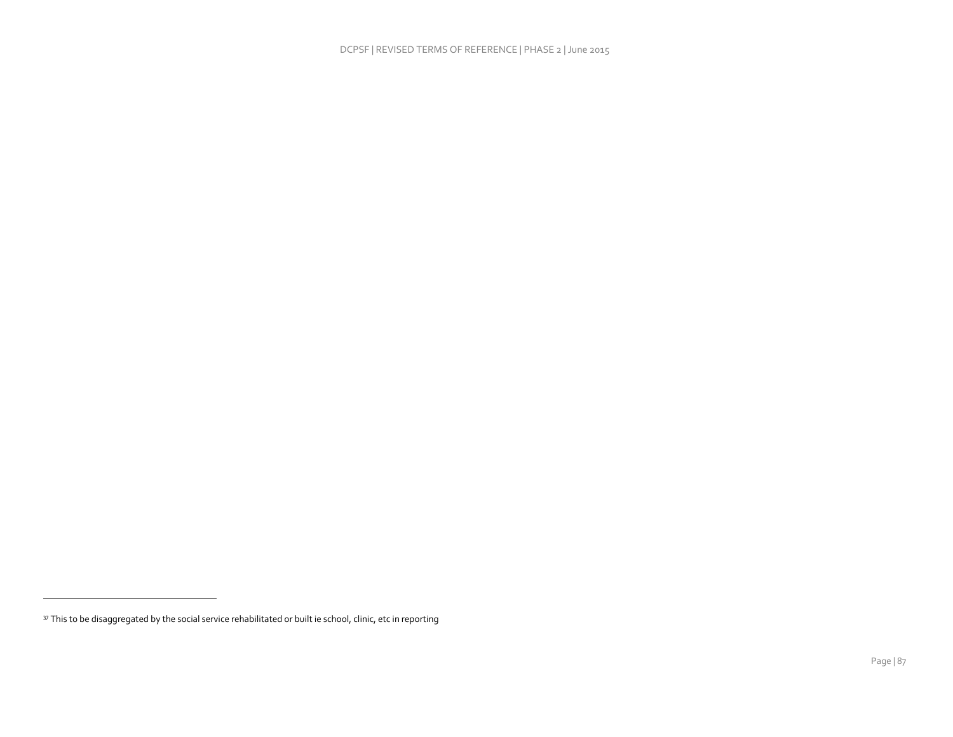$\mathcal{L}_{\mathcal{A}}$ 

<sup>&</sup>lt;sup>37</sup> This to be disaggregated by the social service rehabilitated or built ie school, clinic, etc in reporting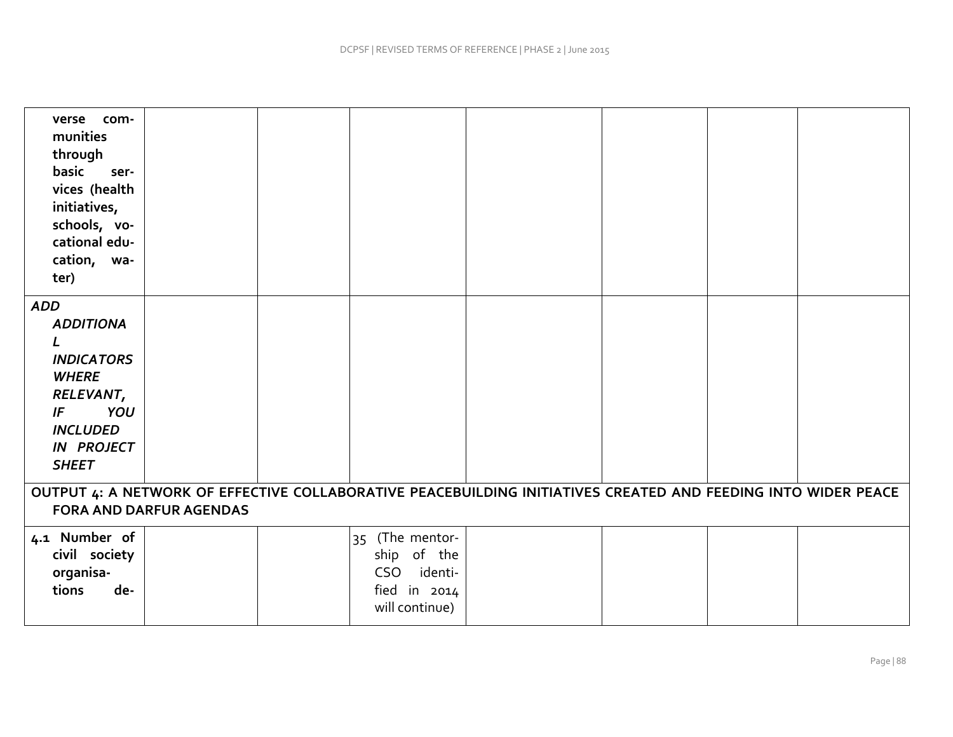| verse com-<br>munities<br>through<br>basic<br>ser-<br>vices (health<br>initiatives,<br>schools, vo-<br>cational edu-<br>cation, wa-<br>ter)                |  |  |                                                                                   |  |  |  |  |  |  |
|------------------------------------------------------------------------------------------------------------------------------------------------------------|--|--|-----------------------------------------------------------------------------------|--|--|--|--|--|--|
| <b>ADD</b><br><b>ADDITIONA</b><br>L<br><b>INDICATORS</b><br><b>WHERE</b><br>RELEVANT,<br>YOU<br>IF<br><b>INCLUDED</b><br><b>IN PROJECT</b><br><b>SHEET</b> |  |  |                                                                                   |  |  |  |  |  |  |
| OUTPUT 4: A NETWORK OF EFFECTIVE COLLABORATIVE PEACEBUILDING INITIATIVES CREATED AND FEEDING INTO WIDER PEACE<br><b>FORA AND DARFUR AGENDAS</b>            |  |  |                                                                                   |  |  |  |  |  |  |
| 4.1 Number of<br>civil society<br>organisa-<br>tions<br>de-                                                                                                |  |  | 35 (The mentor-<br>ship of the<br>CSO identi-<br>fied in $2014$<br>will continue) |  |  |  |  |  |  |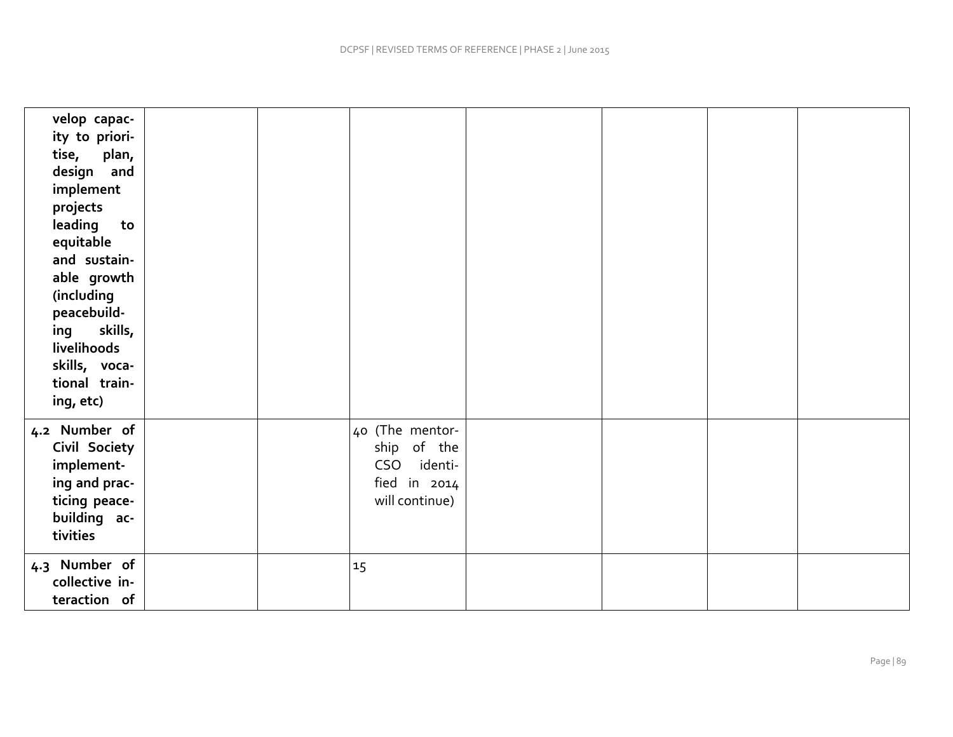| velop capac-<br>ity to priori-<br>plan,<br>tise,<br>design and<br>implement<br>projects<br>leading<br>to<br>equitable<br>and sustain-<br>able growth<br>(including<br>peacebuild-<br>skills,<br>ing<br>livelihoods<br>skills, voca-<br>tional train-<br>ing, etc) |  |                                                                                   |  |  |
|-------------------------------------------------------------------------------------------------------------------------------------------------------------------------------------------------------------------------------------------------------------------|--|-----------------------------------------------------------------------------------|--|--|
| 4.2 Number of<br>Civil Society<br>implement-<br>ing and prac-<br>ticing peace-<br>building ac-<br>tivities                                                                                                                                                        |  | 40 (The mentor-<br>ship of the<br>CSO identi-<br>fied in $2014$<br>will continue) |  |  |
| 4.3 Number of<br>collective in-<br>teraction of                                                                                                                                                                                                                   |  | 15                                                                                |  |  |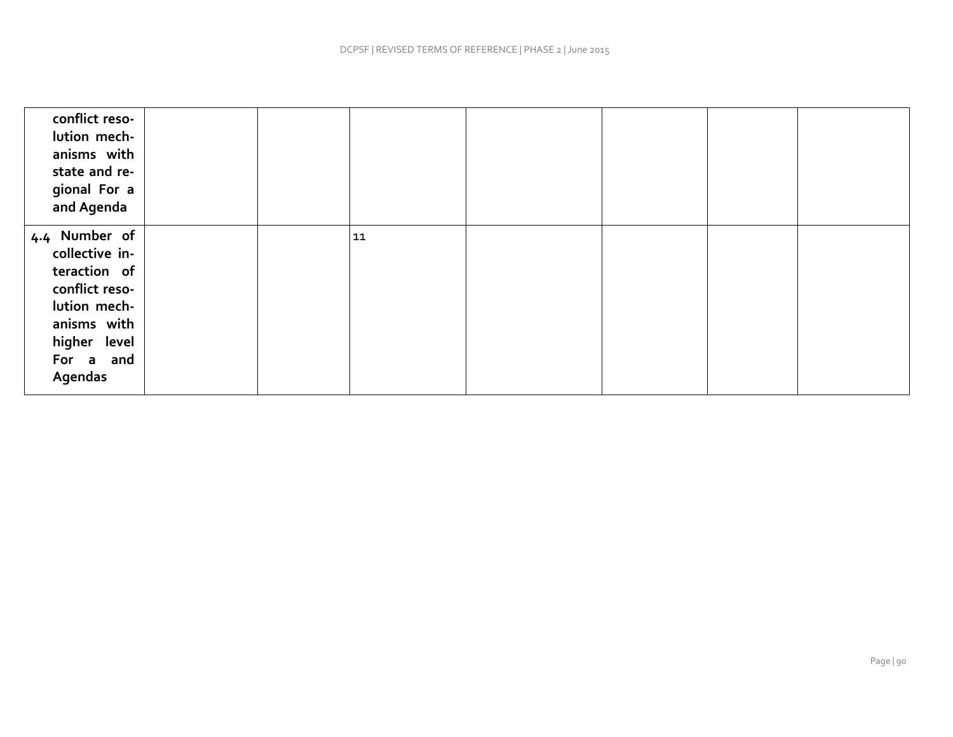| conflict reso-<br>lution mech-<br>anisms with<br>state and re-<br>gional For a<br>and Agenda                                                    |  |    |  |  |
|-------------------------------------------------------------------------------------------------------------------------------------------------|--|----|--|--|
| 4.4 Number of<br>collective in-<br>teraction of<br>conflict reso-<br>lution mech-<br>anisms with<br>higher level<br>For a and<br><b>Agendas</b> |  | 11 |  |  |